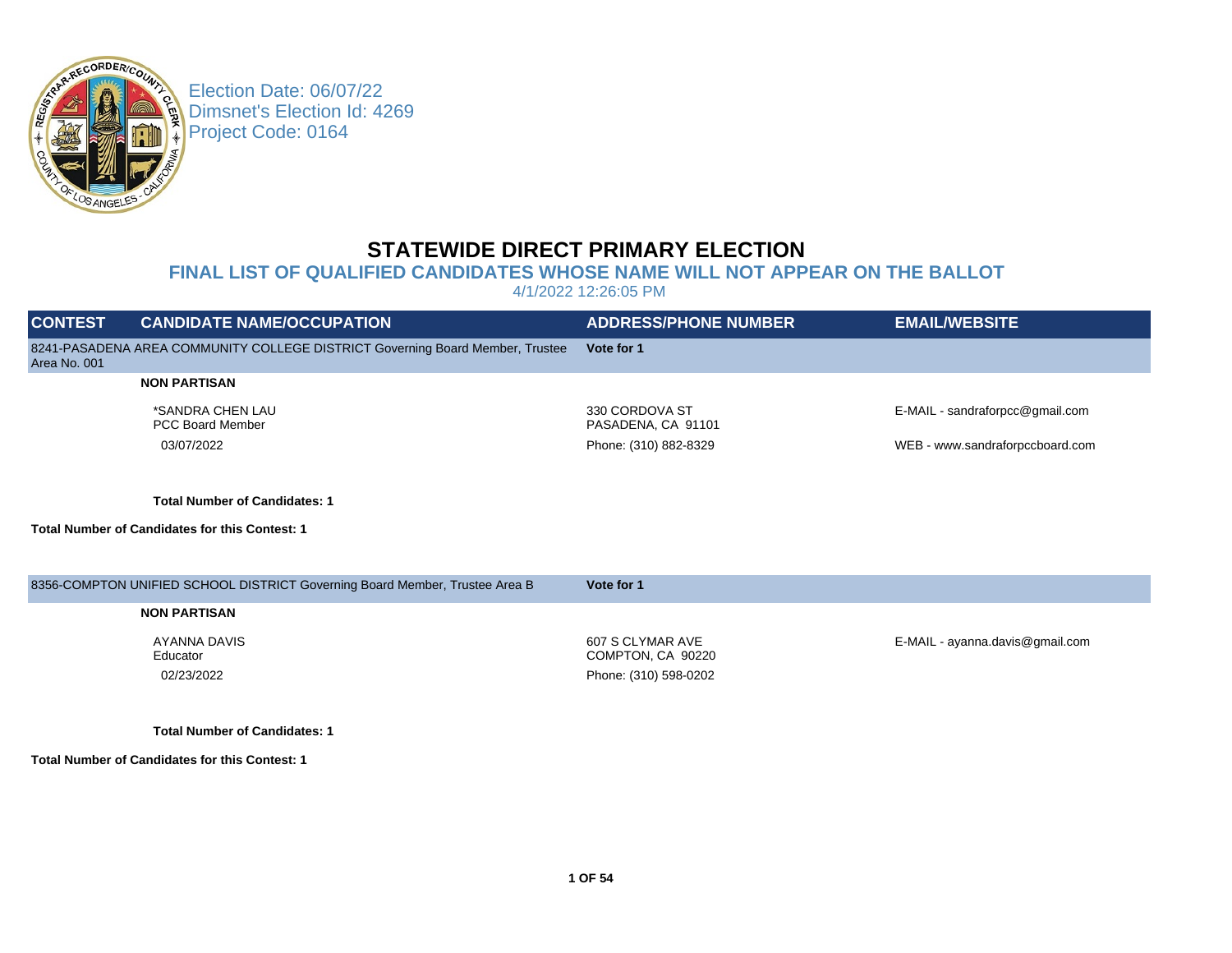

Election Date: 06/07/22 Dimsnet's Election Id: 4269 Project Code: 0164

## **STATEWIDE DIRECT PRIMARY ELECTION**

## **FINAL LIST OF QUALIFIED CANDIDATES WHOSE NAME WILL NOT APPEAR ON THE BALLOT**

4/1/2022 12:26:05 PM

| <b>CONTEST</b> | <b>CANDIDATE NAME/OCCUPATION</b>                                              | <b>ADDRESS/PHONE NUMBER</b>           | <b>EMAIL/WEBSITE</b>            |
|----------------|-------------------------------------------------------------------------------|---------------------------------------|---------------------------------|
| Area No. 001   | 8241-PASADENA AREA COMMUNITY COLLEGE DISTRICT Governing Board Member, Trustee | Vote for 1                            |                                 |
|                | <b>NON PARTISAN</b>                                                           |                                       |                                 |
|                | *SANDRA CHEN LAU<br><b>PCC Board Member</b>                                   | 330 CORDOVA ST<br>PASADENA, CA 91101  | E-MAIL - sandraforpcc@gmail.com |
|                | 03/07/2022                                                                    | Phone: (310) 882-8329                 | WEB - www.sandraforpccboard.com |
|                |                                                                               |                                       |                                 |
|                | <b>Total Number of Candidates: 1</b>                                          |                                       |                                 |
|                | <b>Total Number of Candidates for this Contest: 1</b>                         |                                       |                                 |
|                |                                                                               |                                       |                                 |
|                | 8356-COMPTON UNIFIED SCHOOL DISTRICT Governing Board Member, Trustee Area B   | Vote for 1                            |                                 |
|                | <b>NON PARTISAN</b>                                                           |                                       |                                 |
|                | AYANNA DAVIS<br>Educator                                                      | 607 S CLYMAR AVE<br>COMPTON, CA 90220 | E-MAIL - ayanna.davis@gmail.com |
|                | 02/23/2022                                                                    | Phone: (310) 598-0202                 |                                 |
|                |                                                                               |                                       |                                 |
|                |                                                                               |                                       |                                 |

**Total Number of Candidates: 1**

**Total Number of Candidates for this Contest: 1**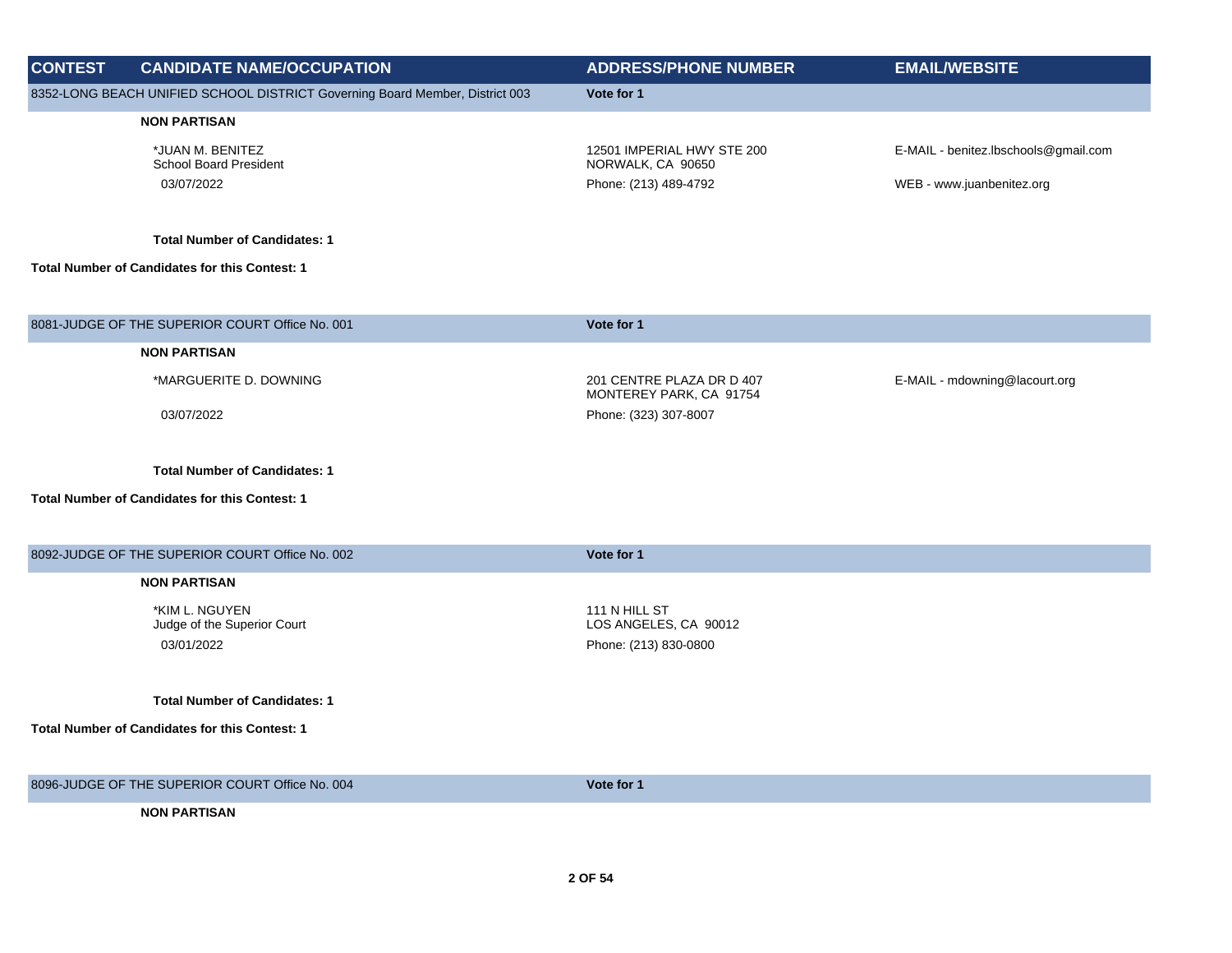| <b>CONTEST</b> | <b>CANDIDATE NAME/OCCUPATION</b>                                                              | <b>ADDRESS/PHONE NUMBER</b>                                              | <b>EMAIL/WEBSITE</b>                                              |
|----------------|-----------------------------------------------------------------------------------------------|--------------------------------------------------------------------------|-------------------------------------------------------------------|
|                | 8352-LONG BEACH UNIFIED SCHOOL DISTRICT Governing Board Member, District 003                  | Vote for 1                                                               |                                                                   |
|                | <b>NON PARTISAN</b>                                                                           |                                                                          |                                                                   |
|                | *JUAN M. BENITEZ<br><b>School Board President</b><br>03/07/2022                               | 12501 IMPERIAL HWY STE 200<br>NORWALK, CA 90650<br>Phone: (213) 489-4792 | E-MAIL - benitez.lbschools@gmail.com<br>WEB - www.juanbenitez.org |
|                | <b>Total Number of Candidates: 1</b>                                                          |                                                                          |                                                                   |
|                | <b>Total Number of Candidates for this Contest: 1</b>                                         |                                                                          |                                                                   |
|                |                                                                                               |                                                                          |                                                                   |
|                | 8081-JUDGE OF THE SUPERIOR COURT Office No. 001                                               | Vote for 1                                                               |                                                                   |
|                | <b>NON PARTISAN</b>                                                                           |                                                                          |                                                                   |
|                | *MARGUERITE D. DOWNING                                                                        | 201 CENTRE PLAZA DR D 407<br>MONTEREY PARK, CA 91754                     | E-MAIL - mdowning@lacourt.org                                     |
|                | 03/07/2022                                                                                    | Phone: (323) 307-8007                                                    |                                                                   |
|                | <b>Total Number of Candidates: 1</b><br><b>Total Number of Candidates for this Contest: 1</b> |                                                                          |                                                                   |
|                | 8092-JUDGE OF THE SUPERIOR COURT Office No. 002                                               | Vote for 1                                                               |                                                                   |
|                | <b>NON PARTISAN</b>                                                                           |                                                                          |                                                                   |
|                | *KIM L. NGUYEN<br>Judge of the Superior Court                                                 | 111 N HILL ST<br>LOS ANGELES, CA 90012                                   |                                                                   |
|                | 03/01/2022                                                                                    | Phone: (213) 830-0800                                                    |                                                                   |
|                | <b>Total Number of Candidates: 1</b>                                                          |                                                                          |                                                                   |
|                | <b>Total Number of Candidates for this Contest: 1</b>                                         |                                                                          |                                                                   |
|                | 8096-JUDGE OF THE SUPERIOR COURT Office No. 004                                               | Vote for 1                                                               |                                                                   |
|                | <b>NON PARTISAN</b>                                                                           |                                                                          |                                                                   |

 **2 OF 54**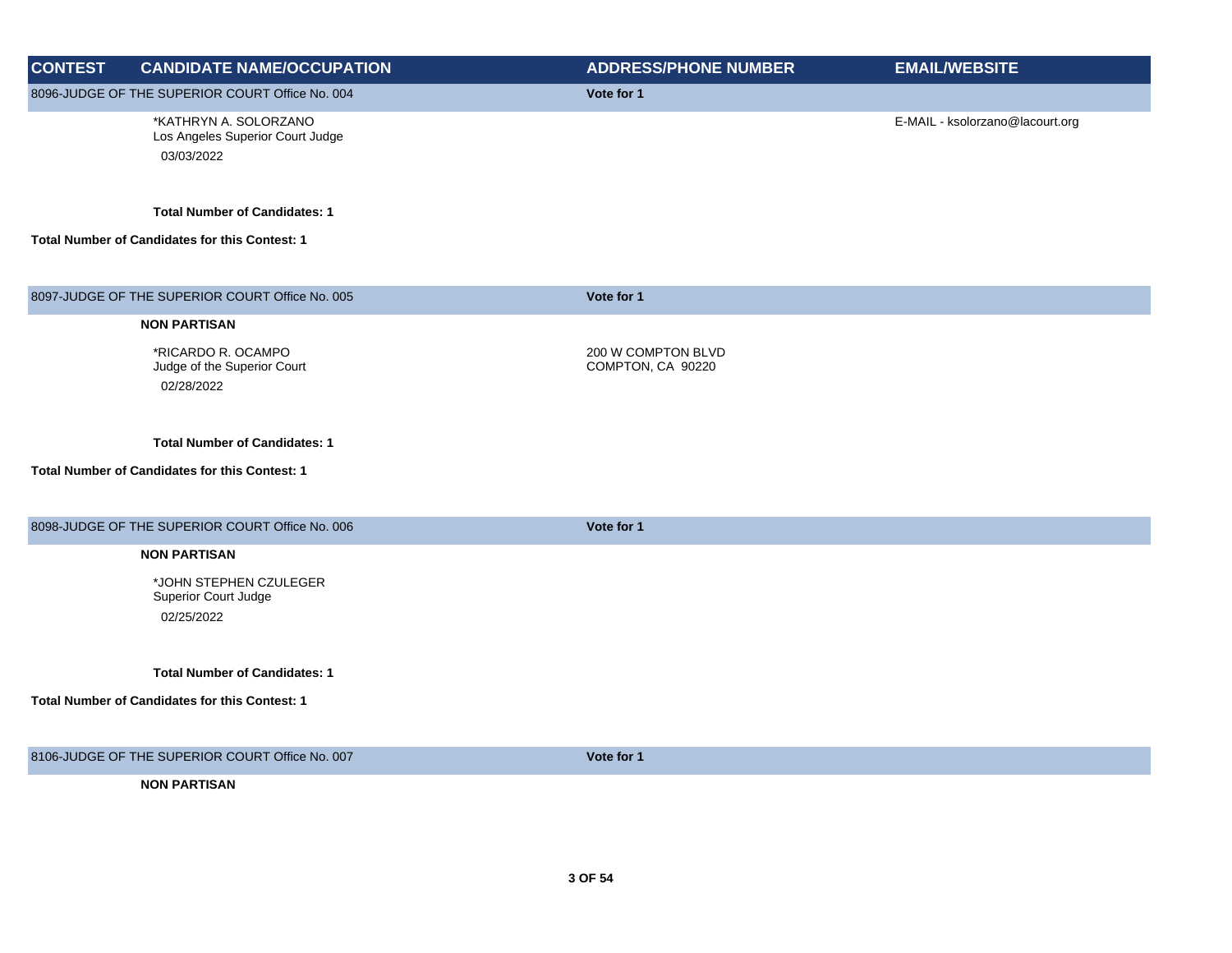| <b>CONTEST</b> | <b>CANDIDATE NAME/OCCUPATION</b>                                        | <b>ADDRESS/PHONE NUMBER</b>             | <b>EMAIL/WEBSITE</b>            |
|----------------|-------------------------------------------------------------------------|-----------------------------------------|---------------------------------|
|                | 8096-JUDGE OF THE SUPERIOR COURT Office No. 004                         | Vote for 1                              |                                 |
|                | *KATHRYN A. SOLORZANO<br>Los Angeles Superior Court Judge<br>03/03/2022 |                                         | E-MAIL - ksolorzano@lacourt.org |
|                | <b>Total Number of Candidates: 1</b>                                    |                                         |                                 |
|                | Total Number of Candidates for this Contest: 1                          |                                         |                                 |
|                | 8097-JUDGE OF THE SUPERIOR COURT Office No. 005                         | Vote for 1                              |                                 |
|                | <b>NON PARTISAN</b>                                                     |                                         |                                 |
|                | *RICARDO R. OCAMPO<br>Judge of the Superior Court<br>02/28/2022         | 200 W COMPTON BLVD<br>COMPTON, CA 90220 |                                 |
|                | <b>Total Number of Candidates: 1</b>                                    |                                         |                                 |
|                | <b>Total Number of Candidates for this Contest: 1</b>                   |                                         |                                 |
|                | 8098-JUDGE OF THE SUPERIOR COURT Office No. 006                         | Vote for 1                              |                                 |
|                | <b>NON PARTISAN</b>                                                     |                                         |                                 |
|                | *JOHN STEPHEN CZULEGER<br>Superior Court Judge                          |                                         |                                 |
|                | 02/25/2022                                                              |                                         |                                 |
|                | <b>Total Number of Candidates: 1</b>                                    |                                         |                                 |
|                | Total Number of Candidates for this Contest: 1                          |                                         |                                 |
|                | 8106-JUDGE OF THE SUPERIOR COURT Office No. 007                         | Vote for 1                              |                                 |
|                | <b>NON PARTISAN</b>                                                     |                                         |                                 |
|                |                                                                         |                                         |                                 |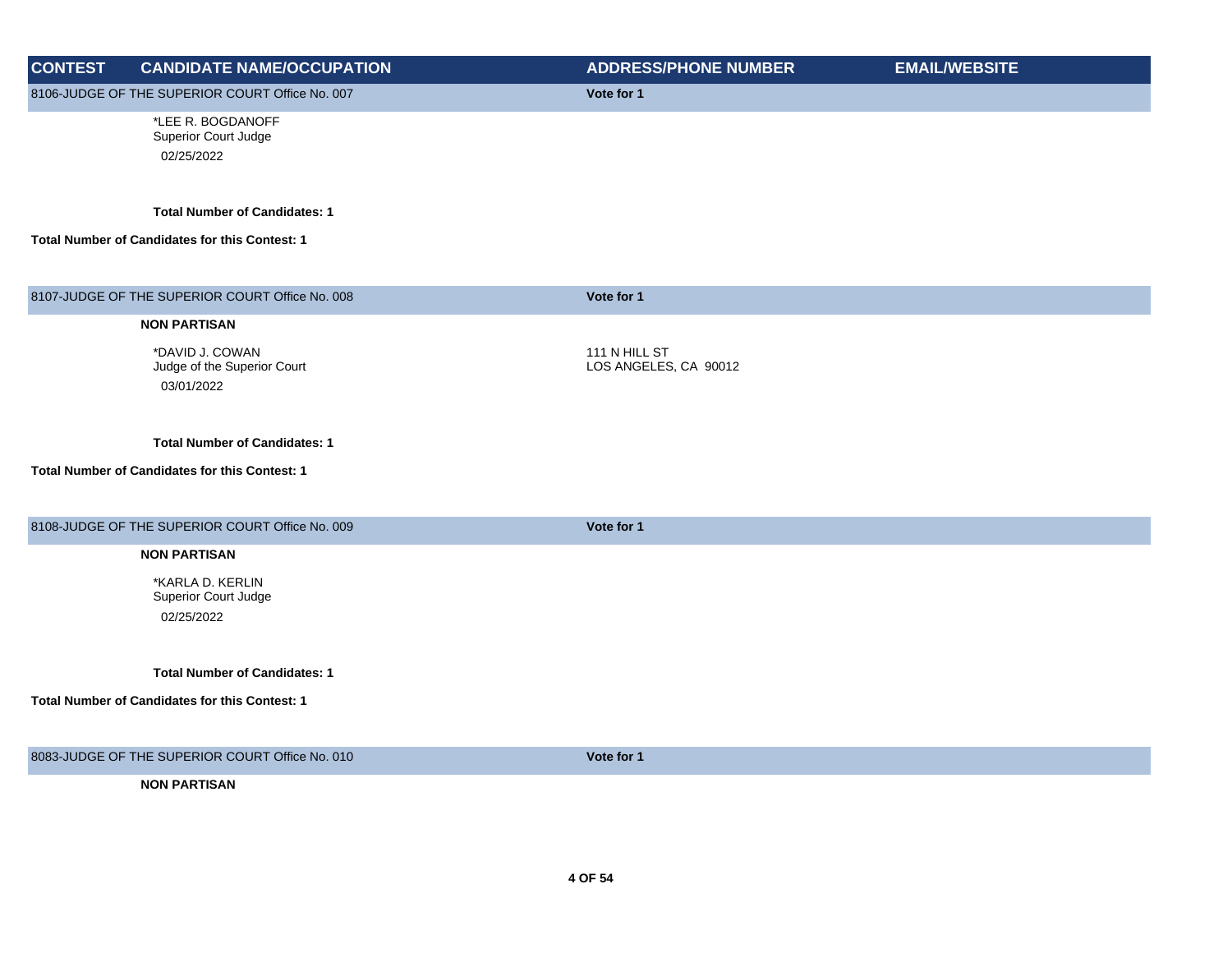| <b>CONTEST</b> | <b>CANDIDATE NAME/OCCUPATION</b>                | <b>ADDRESS/PHONE NUMBER</b> | <b>EMAIL/WEBSITE</b> |
|----------------|-------------------------------------------------|-----------------------------|----------------------|
|                | 8106-JUDGE OF THE SUPERIOR COURT Office No. 007 | Vote for 1                  |                      |
|                | *LEE R. BOGDANOFF                               |                             |                      |
|                | Superior Court Judge                            |                             |                      |
|                | 02/25/2022                                      |                             |                      |
|                |                                                 |                             |                      |
|                | <b>Total Number of Candidates: 1</b>            |                             |                      |
|                | Total Number of Candidates for this Contest: 1  |                             |                      |
|                |                                                 |                             |                      |
|                | 8107-JUDGE OF THE SUPERIOR COURT Office No. 008 | Vote for 1                  |                      |
|                | <b>NON PARTISAN</b>                             |                             |                      |
|                | *DAVID J. COWAN                                 | 111 N HILL ST               |                      |
|                | Judge of the Superior Court                     | LOS ANGELES, CA 90012       |                      |
|                | 03/01/2022                                      |                             |                      |
|                |                                                 |                             |                      |
|                | <b>Total Number of Candidates: 1</b>            |                             |                      |
|                | Total Number of Candidates for this Contest: 1  |                             |                      |
|                |                                                 |                             |                      |
|                |                                                 |                             |                      |
|                | 8108-JUDGE OF THE SUPERIOR COURT Office No. 009 | Vote for 1                  |                      |
|                | <b>NON PARTISAN</b>                             |                             |                      |
|                | *KARLA D. KERLIN                                |                             |                      |
|                | Superior Court Judge                            |                             |                      |
|                | 02/25/2022                                      |                             |                      |
|                |                                                 |                             |                      |
|                | <b>Total Number of Candidates: 1</b>            |                             |                      |
|                | Total Number of Candidates for this Contest: 1  |                             |                      |
|                |                                                 |                             |                      |
|                | 8083-JUDGE OF THE SUPERIOR COURT Office No. 010 | Vote for 1                  |                      |
|                | <b>NON PARTISAN</b>                             |                             |                      |
|                |                                                 |                             |                      |
|                |                                                 |                             |                      |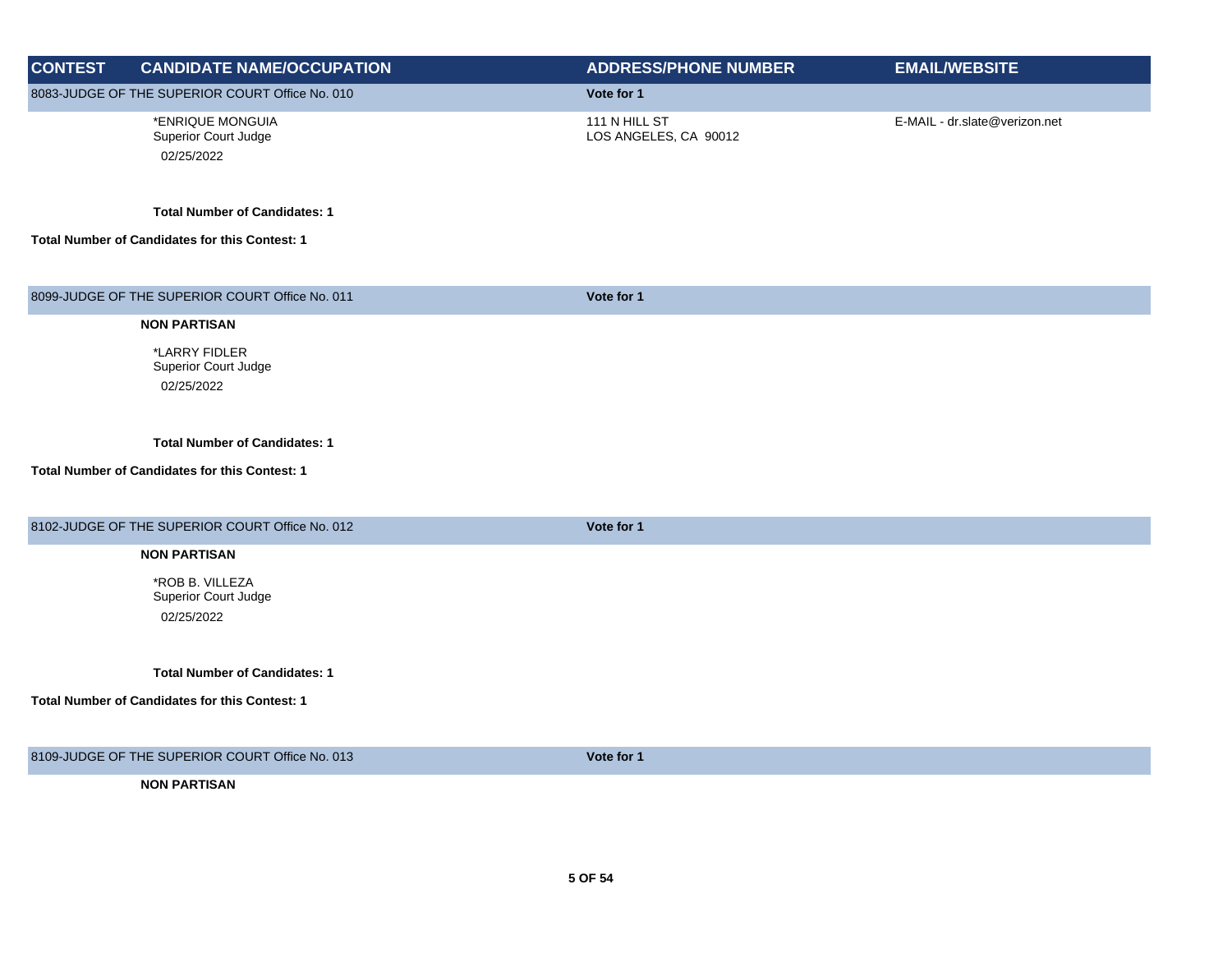| <b>CONTEST</b> | <b>CANDIDATE NAME/OCCUPATION</b>                                                       | <b>ADDRESS/PHONE NUMBER</b>            | <b>EMAIL/WEBSITE</b>          |
|----------------|----------------------------------------------------------------------------------------|----------------------------------------|-------------------------------|
|                | 8083-JUDGE OF THE SUPERIOR COURT Office No. 010                                        | Vote for 1                             |                               |
|                | *ENRIQUE MONGUIA<br>Superior Court Judge<br>02/25/2022                                 | 111 N HILL ST<br>LOS ANGELES, CA 90012 | E-MAIL - dr.slate@verizon.net |
|                | <b>Total Number of Candidates: 1</b>                                                   |                                        |                               |
|                | Total Number of Candidates for this Contest: 1                                         |                                        |                               |
|                | 8099-JUDGE OF THE SUPERIOR COURT Office No. 011                                        | Vote for 1                             |                               |
|                | <b>NON PARTISAN</b>                                                                    |                                        |                               |
|                | *LARRY FIDLER<br>Superior Court Judge<br>02/25/2022                                    |                                        |                               |
|                | <b>Total Number of Candidates: 1</b><br>Total Number of Candidates for this Contest: 1 |                                        |                               |
|                | 8102-JUDGE OF THE SUPERIOR COURT Office No. 012                                        | Vote for 1                             |                               |
|                | <b>NON PARTISAN</b><br>*ROB B. VILLEZA<br>Superior Court Judge<br>02/25/2022           |                                        |                               |
|                | <b>Total Number of Candidates: 1</b><br>Total Number of Candidates for this Contest: 1 |                                        |                               |
|                | 8109-JUDGE OF THE SUPERIOR COURT Office No. 013                                        | Vote for 1                             |                               |
|                | <b>NON PARTISAN</b>                                                                    |                                        |                               |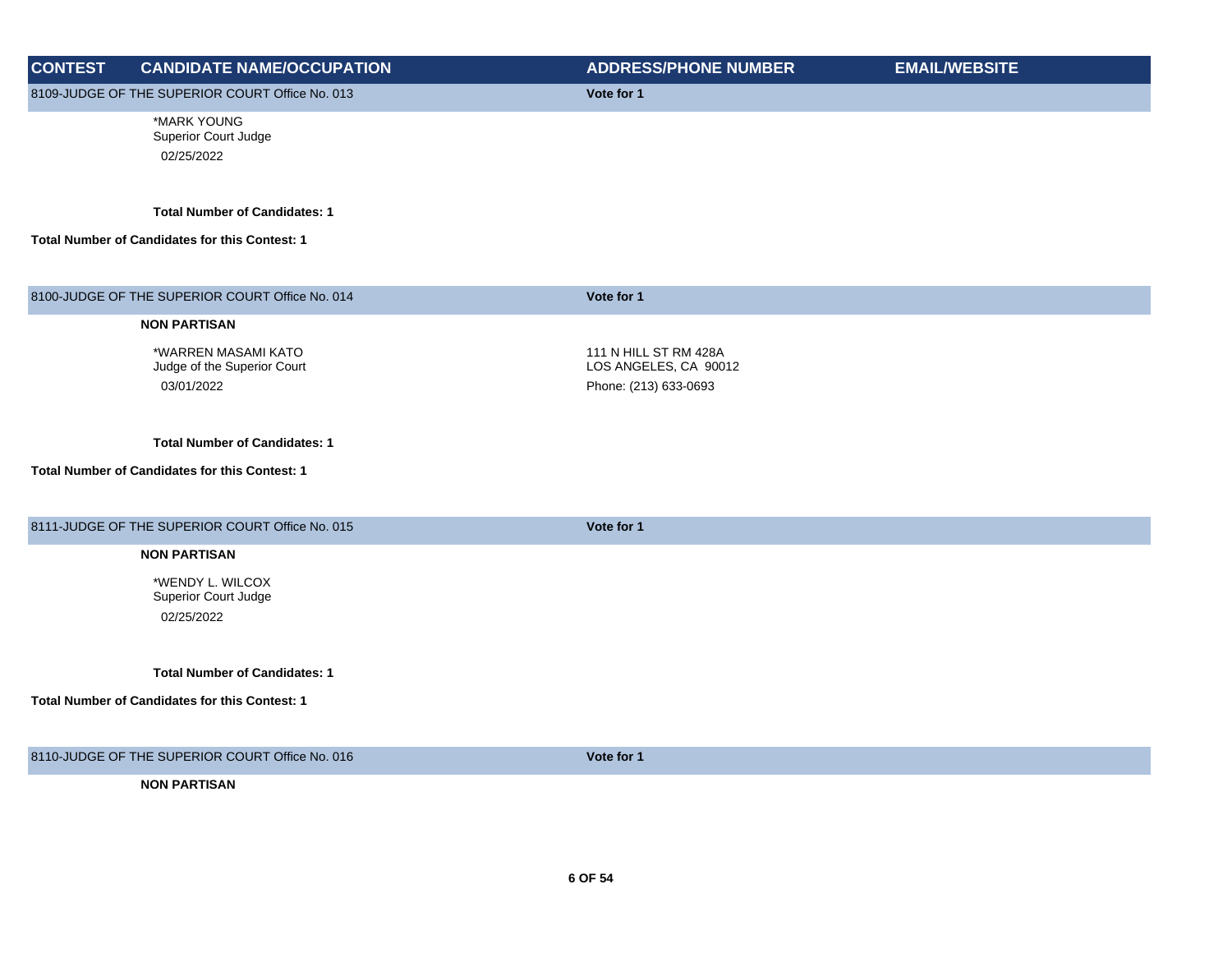| <b>CONTEST</b> | <b>CANDIDATE NAME/OCCUPATION</b>                                 | <b>ADDRESS/PHONE NUMBER</b>                                             | <b>EMAIL/WEBSITE</b> |
|----------------|------------------------------------------------------------------|-------------------------------------------------------------------------|----------------------|
|                | 8109-JUDGE OF THE SUPERIOR COURT Office No. 013                  | Vote for 1                                                              |                      |
|                | *MARK YOUNG<br>Superior Court Judge<br>02/25/2022                |                                                                         |                      |
|                | <b>Total Number of Candidates: 1</b>                             |                                                                         |                      |
|                | Total Number of Candidates for this Contest: 1                   |                                                                         |                      |
|                | 8100-JUDGE OF THE SUPERIOR COURT Office No. 014                  | Vote for 1                                                              |                      |
|                | <b>NON PARTISAN</b>                                              |                                                                         |                      |
|                | *WARREN MASAMI KATO<br>Judge of the Superior Court<br>03/01/2022 | 111 N HILL ST RM 428A<br>LOS ANGELES, CA 90012<br>Phone: (213) 633-0693 |                      |
|                | <b>Total Number of Candidates: 1</b>                             |                                                                         |                      |
|                | Total Number of Candidates for this Contest: 1                   |                                                                         |                      |
|                | 8111-JUDGE OF THE SUPERIOR COURT Office No. 015                  | Vote for 1                                                              |                      |
|                | <b>NON PARTISAN</b>                                              |                                                                         |                      |
|                | *WENDY L. WILCOX<br>Superior Court Judge<br>02/25/2022           |                                                                         |                      |
|                | <b>Total Number of Candidates: 1</b>                             |                                                                         |                      |
|                | Total Number of Candidates for this Contest: 1                   |                                                                         |                      |
|                | 8110-JUDGE OF THE SUPERIOR COURT Office No. 016                  | Vote for 1                                                              |                      |
|                | <b>NON PARTISAN</b>                                              |                                                                         |                      |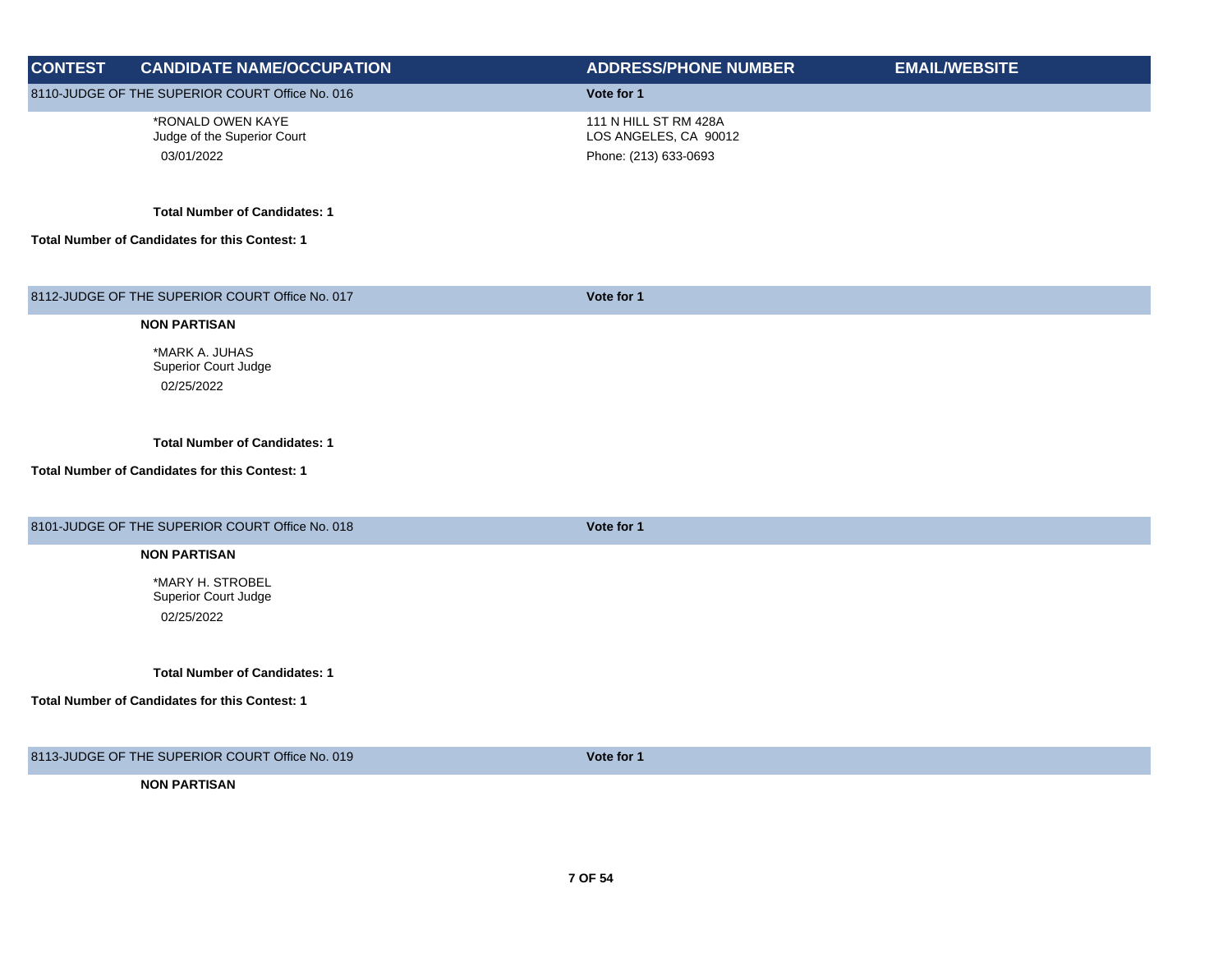| <b>CONTEST</b> | <b>CANDIDATE NAME/OCCUPATION</b>                                                       | <b>ADDRESS/PHONE NUMBER</b>                                             | <b>EMAIL/WEBSITE</b> |
|----------------|----------------------------------------------------------------------------------------|-------------------------------------------------------------------------|----------------------|
|                | 8110-JUDGE OF THE SUPERIOR COURT Office No. 016                                        | Vote for 1                                                              |                      |
|                | *RONALD OWEN KAYE<br>Judge of the Superior Court<br>03/01/2022                         | 111 N HILL ST RM 428A<br>LOS ANGELES, CA 90012<br>Phone: (213) 633-0693 |                      |
|                | <b>Total Number of Candidates: 1</b><br>Total Number of Candidates for this Contest: 1 |                                                                         |                      |
|                |                                                                                        |                                                                         |                      |
|                | 8112-JUDGE OF THE SUPERIOR COURT Office No. 017                                        | Vote for 1                                                              |                      |
|                | <b>NON PARTISAN</b>                                                                    |                                                                         |                      |
|                | *MARK A. JUHAS<br>Superior Court Judge<br>02/25/2022                                   |                                                                         |                      |
|                | <b>Total Number of Candidates: 1</b>                                                   |                                                                         |                      |
|                | Total Number of Candidates for this Contest: 1                                         |                                                                         |                      |
|                | 8101-JUDGE OF THE SUPERIOR COURT Office No. 018                                        | Vote for 1                                                              |                      |
|                | <b>NON PARTISAN</b>                                                                    |                                                                         |                      |
|                | *MARY H. STROBEL<br>Superior Court Judge<br>02/25/2022                                 |                                                                         |                      |
|                | <b>Total Number of Candidates: 1</b>                                                   |                                                                         |                      |
|                | Total Number of Candidates for this Contest: 1                                         |                                                                         |                      |
|                | 8113-JUDGE OF THE SUPERIOR COURT Office No. 019                                        | Vote for 1                                                              |                      |
|                | <b>NON PARTISAN</b>                                                                    |                                                                         |                      |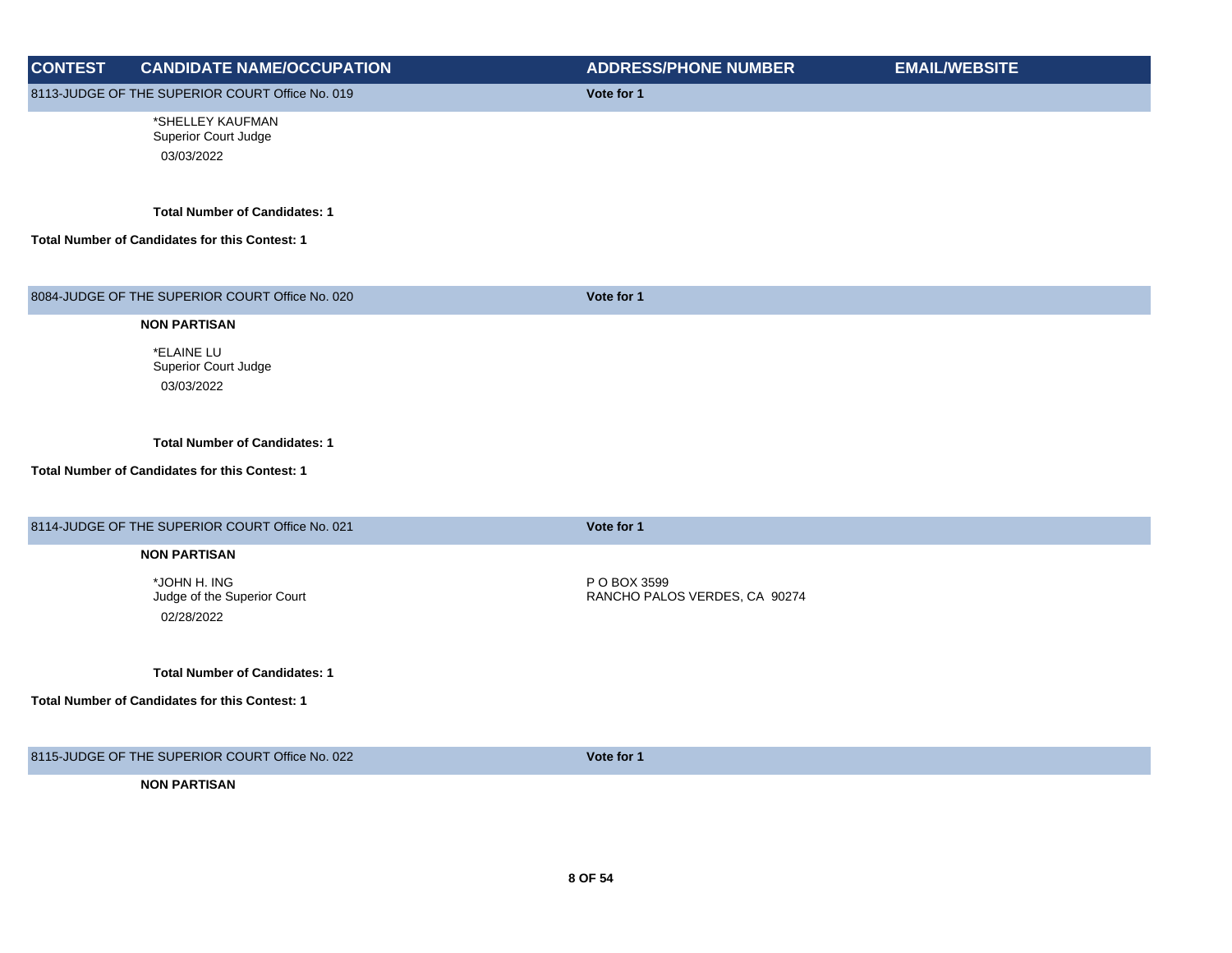| <b>CONTEST</b> | <b>CANDIDATE NAME/OCCUPATION</b>                      | <b>ADDRESS/PHONE NUMBER</b>   | <b>EMAIL/WEBSITE</b> |
|----------------|-------------------------------------------------------|-------------------------------|----------------------|
|                | 8113-JUDGE OF THE SUPERIOR COURT Office No. 019       | Vote for 1                    |                      |
|                | *SHELLEY KAUFMAN<br>Superior Court Judge              |                               |                      |
|                | 03/03/2022                                            |                               |                      |
|                | <b>Total Number of Candidates: 1</b>                  |                               |                      |
|                | <b>Total Number of Candidates for this Contest: 1</b> |                               |                      |
|                | 8084-JUDGE OF THE SUPERIOR COURT Office No. 020       | Vote for 1                    |                      |
|                | <b>NON PARTISAN</b>                                   |                               |                      |
|                | *ELAINE LU                                            |                               |                      |
|                | Superior Court Judge                                  |                               |                      |
|                | 03/03/2022                                            |                               |                      |
|                | <b>Total Number of Candidates: 1</b>                  |                               |                      |
|                | Total Number of Candidates for this Contest: 1        |                               |                      |
|                | 8114-JUDGE OF THE SUPERIOR COURT Office No. 021       | Vote for 1                    |                      |
|                | <b>NON PARTISAN</b>                                   |                               |                      |
|                | *JOHN H. ING                                          | P O BOX 3599                  |                      |
|                | Judge of the Superior Court                           | RANCHO PALOS VERDES, CA 90274 |                      |
|                | 02/28/2022                                            |                               |                      |
|                | <b>Total Number of Candidates: 1</b>                  |                               |                      |
|                | Total Number of Candidates for this Contest: 1        |                               |                      |
|                | 8115-JUDGE OF THE SUPERIOR COURT Office No. 022       | Vote for 1                    |                      |
|                | <b>NON PARTISAN</b>                                   |                               |                      |
|                |                                                       |                               |                      |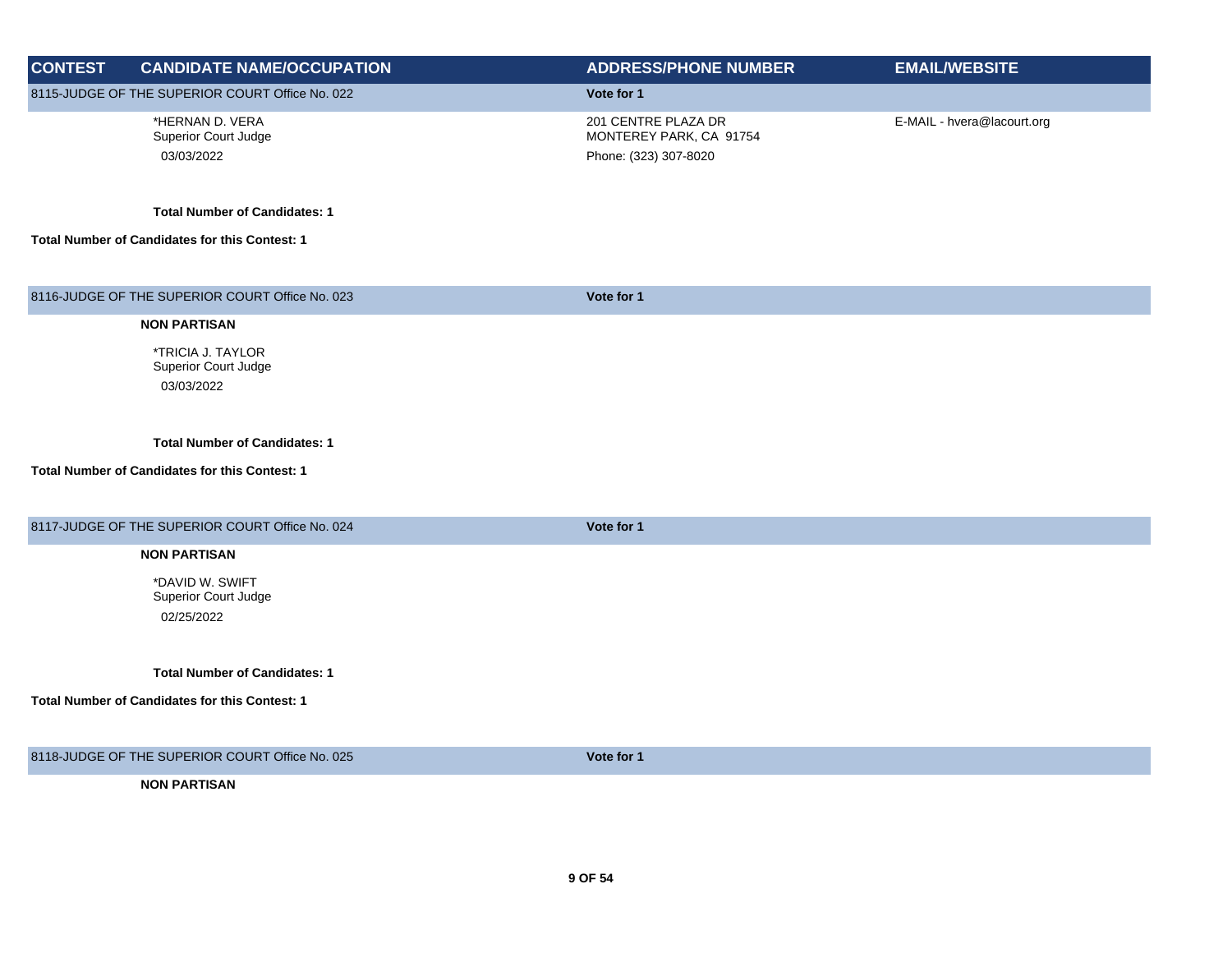| <b>CONTEST</b> | <b>CANDIDATE NAME/OCCUPATION</b>                                                       | <b>ADDRESS/PHONE NUMBER</b>                                             | <b>EMAIL/WEBSITE</b>       |
|----------------|----------------------------------------------------------------------------------------|-------------------------------------------------------------------------|----------------------------|
|                | 8115-JUDGE OF THE SUPERIOR COURT Office No. 022                                        | Vote for 1                                                              |                            |
|                | *HERNAN D. VERA<br>Superior Court Judge<br>03/03/2022                                  | 201 CENTRE PLAZA DR<br>MONTEREY PARK, CA 91754<br>Phone: (323) 307-8020 | E-MAIL - hvera@lacourt.org |
|                | <b>Total Number of Candidates: 1</b><br>Total Number of Candidates for this Contest: 1 |                                                                         |                            |
|                | 8116-JUDGE OF THE SUPERIOR COURT Office No. 023                                        | Vote for 1                                                              |                            |
|                | <b>NON PARTISAN</b>                                                                    |                                                                         |                            |
|                | *TRICIA J. TAYLOR<br>Superior Court Judge<br>03/03/2022                                |                                                                         |                            |
|                | <b>Total Number of Candidates: 1</b>                                                   |                                                                         |                            |
|                | Total Number of Candidates for this Contest: 1                                         |                                                                         |                            |
|                | 8117-JUDGE OF THE SUPERIOR COURT Office No. 024                                        | Vote for 1                                                              |                            |
|                | <b>NON PARTISAN</b>                                                                    |                                                                         |                            |
|                | *DAVID W. SWIFT<br>Superior Court Judge<br>02/25/2022                                  |                                                                         |                            |
|                | <b>Total Number of Candidates: 1</b>                                                   |                                                                         |                            |
|                | Total Number of Candidates for this Contest: 1                                         |                                                                         |                            |
|                | 8118-JUDGE OF THE SUPERIOR COURT Office No. 025                                        | Vote for 1                                                              |                            |
|                | <b>NON PARTISAN</b>                                                                    |                                                                         |                            |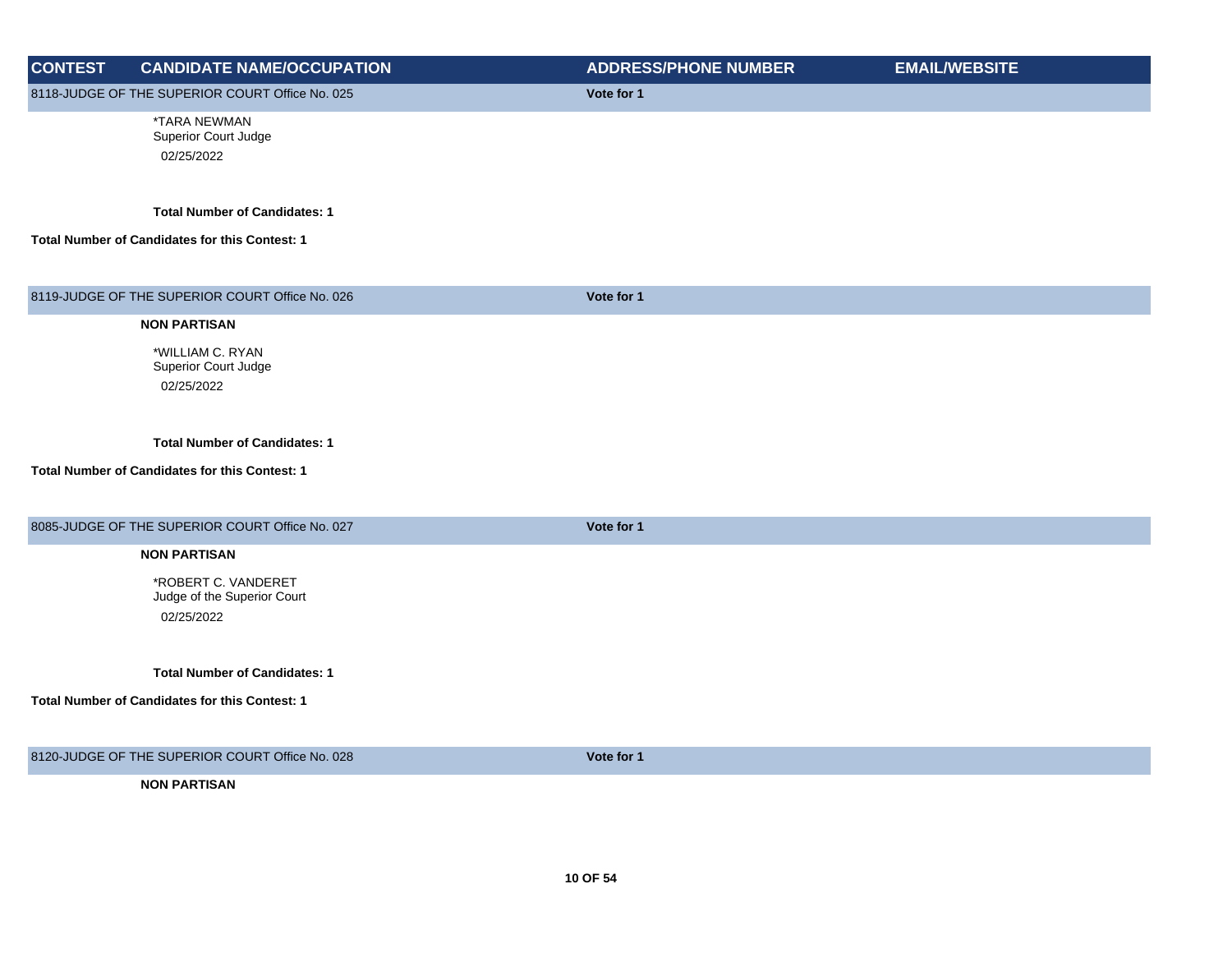|                |                                                    | <b>ADDRESS/PHONE NUMBER</b> | <b>EMAIL/WEBSITE</b> |
|----------------|----------------------------------------------------|-----------------------------|----------------------|
| <b>CONTEST</b> | <b>CANDIDATE NAME/OCCUPATION</b>                   |                             |                      |
|                | 8118-JUDGE OF THE SUPERIOR COURT Office No. 025    | Vote for 1                  |                      |
|                | *TARA NEWMAN<br>Superior Court Judge               |                             |                      |
|                | 02/25/2022                                         |                             |                      |
|                |                                                    |                             |                      |
|                | <b>Total Number of Candidates: 1</b>               |                             |                      |
|                | Total Number of Candidates for this Contest: 1     |                             |                      |
|                |                                                    |                             |                      |
|                | 8119-JUDGE OF THE SUPERIOR COURT Office No. 026    | Vote for 1                  |                      |
|                | <b>NON PARTISAN</b>                                |                             |                      |
|                | *WILLIAM C. RYAN                                   |                             |                      |
|                | Superior Court Judge                               |                             |                      |
|                | 02/25/2022                                         |                             |                      |
|                |                                                    |                             |                      |
|                | <b>Total Number of Candidates: 1</b>               |                             |                      |
|                | Total Number of Candidates for this Contest: 1     |                             |                      |
|                |                                                    |                             |                      |
|                | 8085-JUDGE OF THE SUPERIOR COURT Office No. 027    | Vote for 1                  |                      |
|                | <b>NON PARTISAN</b>                                |                             |                      |
|                |                                                    |                             |                      |
|                | *ROBERT C. VANDERET<br>Judge of the Superior Court |                             |                      |
|                | 02/25/2022                                         |                             |                      |
|                |                                                    |                             |                      |
|                | <b>Total Number of Candidates: 1</b>               |                             |                      |
|                | Total Number of Candidates for this Contest: 1     |                             |                      |
|                |                                                    |                             |                      |
|                |                                                    |                             |                      |
|                | 8120-JUDGE OF THE SUPERIOR COURT Office No. 028    | Vote for 1                  |                      |
|                | <b>NON PARTISAN</b>                                |                             |                      |
|                |                                                    |                             |                      |
|                |                                                    |                             |                      |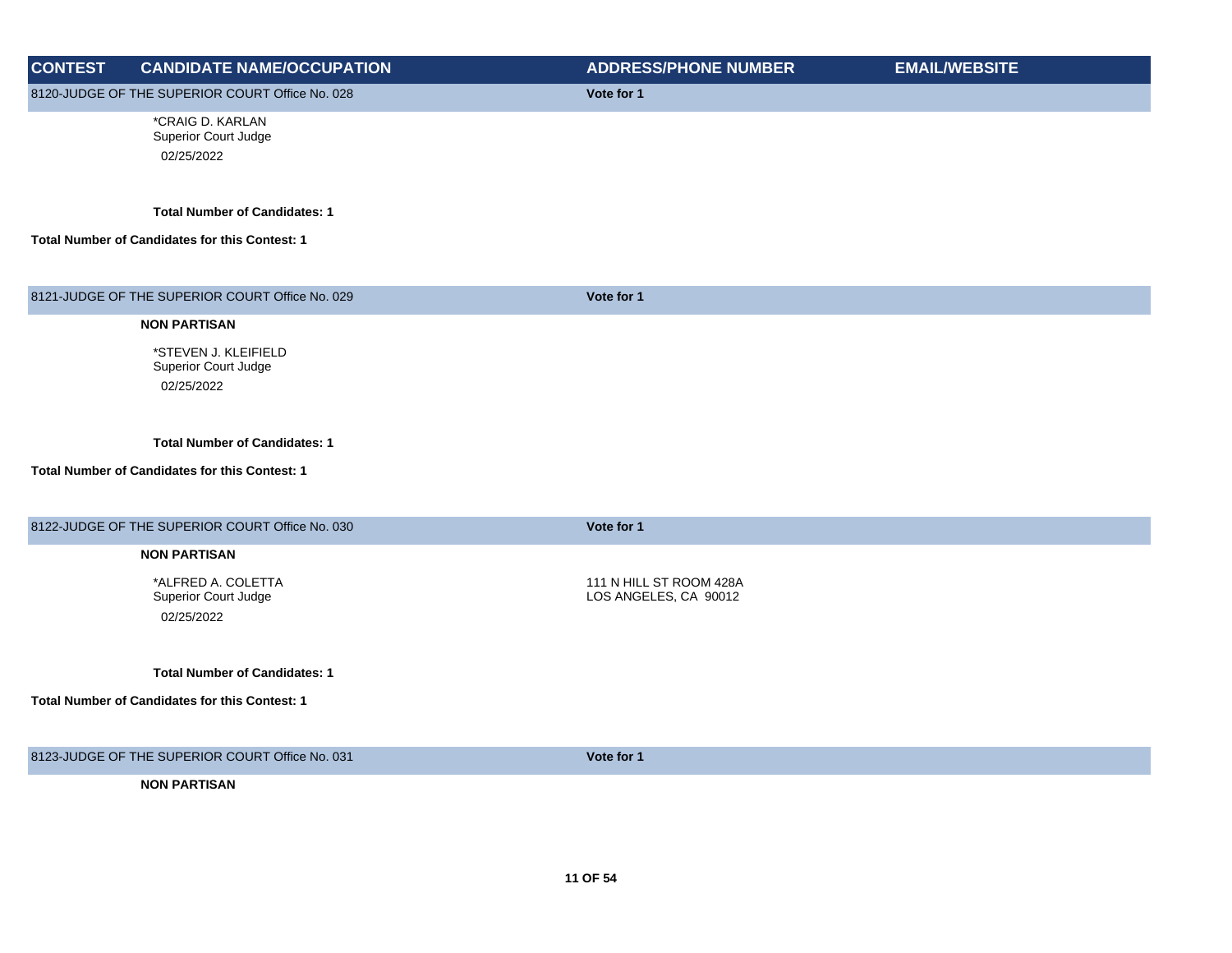| <b>CONTEST</b> | <b>CANDIDATE NAME/OCCUPATION</b>                      | <b>ADDRESS/PHONE NUMBER</b> | <b>EMAIL/WEBSITE</b> |
|----------------|-------------------------------------------------------|-----------------------------|----------------------|
|                | 8120-JUDGE OF THE SUPERIOR COURT Office No. 028       | Vote for 1                  |                      |
|                | *CRAIG D. KARLAN<br>Superior Court Judge              |                             |                      |
|                | 02/25/2022                                            |                             |                      |
|                |                                                       |                             |                      |
|                | <b>Total Number of Candidates: 1</b>                  |                             |                      |
|                |                                                       |                             |                      |
|                | Total Number of Candidates for this Contest: 1        |                             |                      |
|                |                                                       |                             |                      |
|                | 8121-JUDGE OF THE SUPERIOR COURT Office No. 029       | Vote for 1                  |                      |
|                | <b>NON PARTISAN</b>                                   |                             |                      |
|                | *STEVEN J. KLEIFIELD                                  |                             |                      |
|                | Superior Court Judge                                  |                             |                      |
|                | 02/25/2022                                            |                             |                      |
|                |                                                       |                             |                      |
|                | <b>Total Number of Candidates: 1</b>                  |                             |                      |
|                | Total Number of Candidates for this Contest: 1        |                             |                      |
|                |                                                       |                             |                      |
|                | 8122-JUDGE OF THE SUPERIOR COURT Office No. 030       | Vote for 1                  |                      |
|                | <b>NON PARTISAN</b>                                   |                             |                      |
|                | *ALFRED A. COLETTA                                    | 111 N HILL ST ROOM 428A     |                      |
|                | Superior Court Judge                                  | LOS ANGELES, CA 90012       |                      |
|                | 02/25/2022                                            |                             |                      |
|                |                                                       |                             |                      |
|                | <b>Total Number of Candidates: 1</b>                  |                             |                      |
|                | <b>Total Number of Candidates for this Contest: 1</b> |                             |                      |
|                |                                                       |                             |                      |
|                | 8123-JUDGE OF THE SUPERIOR COURT Office No. 031       | Vote for 1                  |                      |
|                | <b>NON PARTISAN</b>                                   |                             |                      |
|                |                                                       |                             |                      |
|                |                                                       |                             |                      |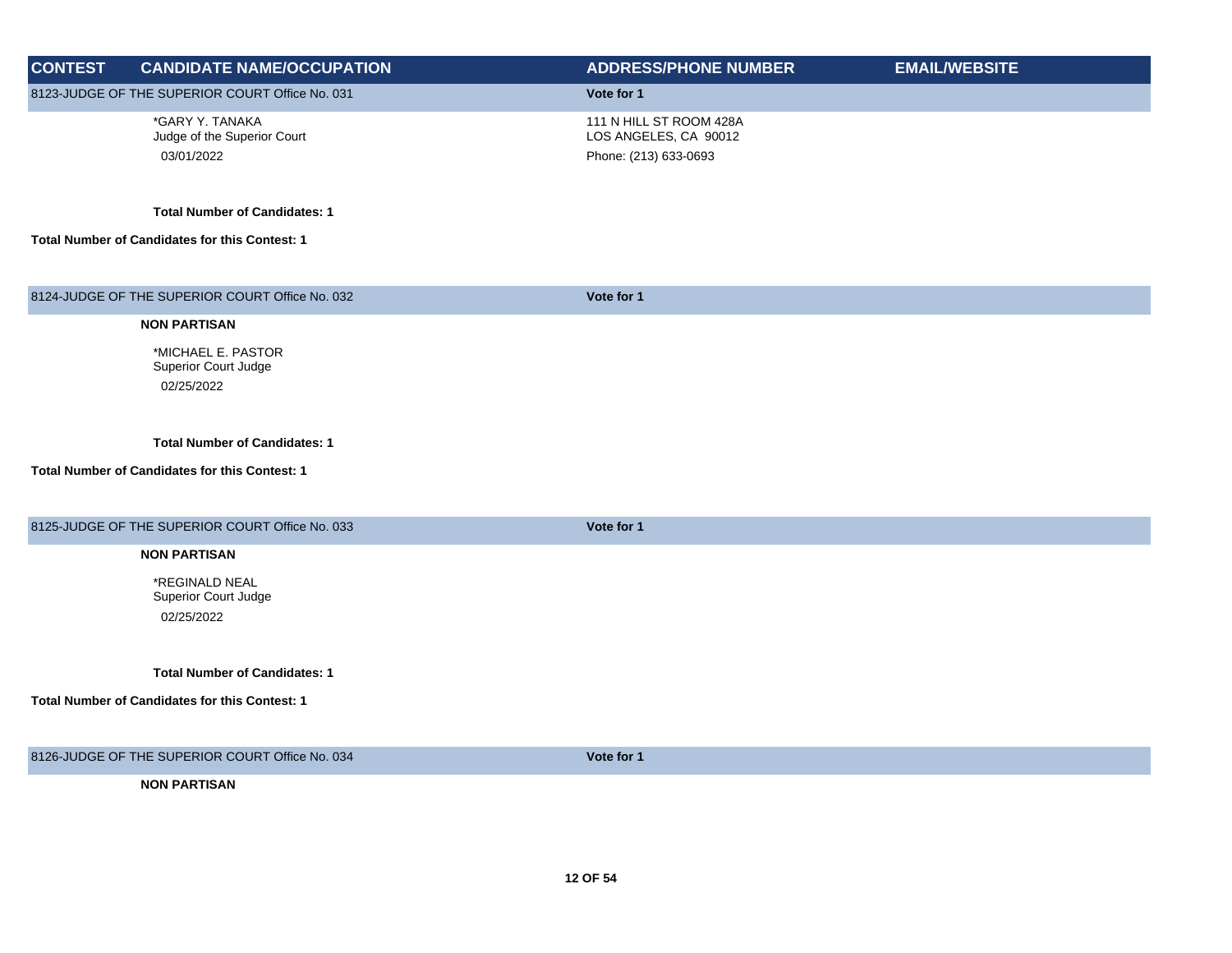| <b>CONTEST</b> | <b>CANDIDATE NAME/OCCUPATION</b>                                                       | <b>ADDRESS/PHONE NUMBER</b>                                               | <b>EMAIL/WEBSITE</b> |
|----------------|----------------------------------------------------------------------------------------|---------------------------------------------------------------------------|----------------------|
|                | 8123-JUDGE OF THE SUPERIOR COURT Office No. 031                                        | Vote for 1                                                                |                      |
|                | *GARY Y. TANAKA<br>Judge of the Superior Court<br>03/01/2022                           | 111 N HILL ST ROOM 428A<br>LOS ANGELES, CA 90012<br>Phone: (213) 633-0693 |                      |
|                | <b>Total Number of Candidates: 1</b>                                                   |                                                                           |                      |
|                | Total Number of Candidates for this Contest: 1                                         |                                                                           |                      |
|                | 8124-JUDGE OF THE SUPERIOR COURT Office No. 032                                        | Vote for 1                                                                |                      |
|                | <b>NON PARTISAN</b>                                                                    |                                                                           |                      |
|                | *MICHAEL E. PASTOR<br>Superior Court Judge<br>02/25/2022                               |                                                                           |                      |
|                | <b>Total Number of Candidates: 1</b><br>Total Number of Candidates for this Contest: 1 |                                                                           |                      |
|                | 8125-JUDGE OF THE SUPERIOR COURT Office No. 033                                        | Vote for 1                                                                |                      |
|                | <b>NON PARTISAN</b>                                                                    |                                                                           |                      |
|                | *REGINALD NEAL<br>Superior Court Judge<br>02/25/2022                                   |                                                                           |                      |
|                | <b>Total Number of Candidates: 1</b>                                                   |                                                                           |                      |
|                | Total Number of Candidates for this Contest: 1                                         |                                                                           |                      |
|                | 8126-JUDGE OF THE SUPERIOR COURT Office No. 034                                        | Vote for 1                                                                |                      |
|                | <b>NON PARTISAN</b>                                                                    |                                                                           |                      |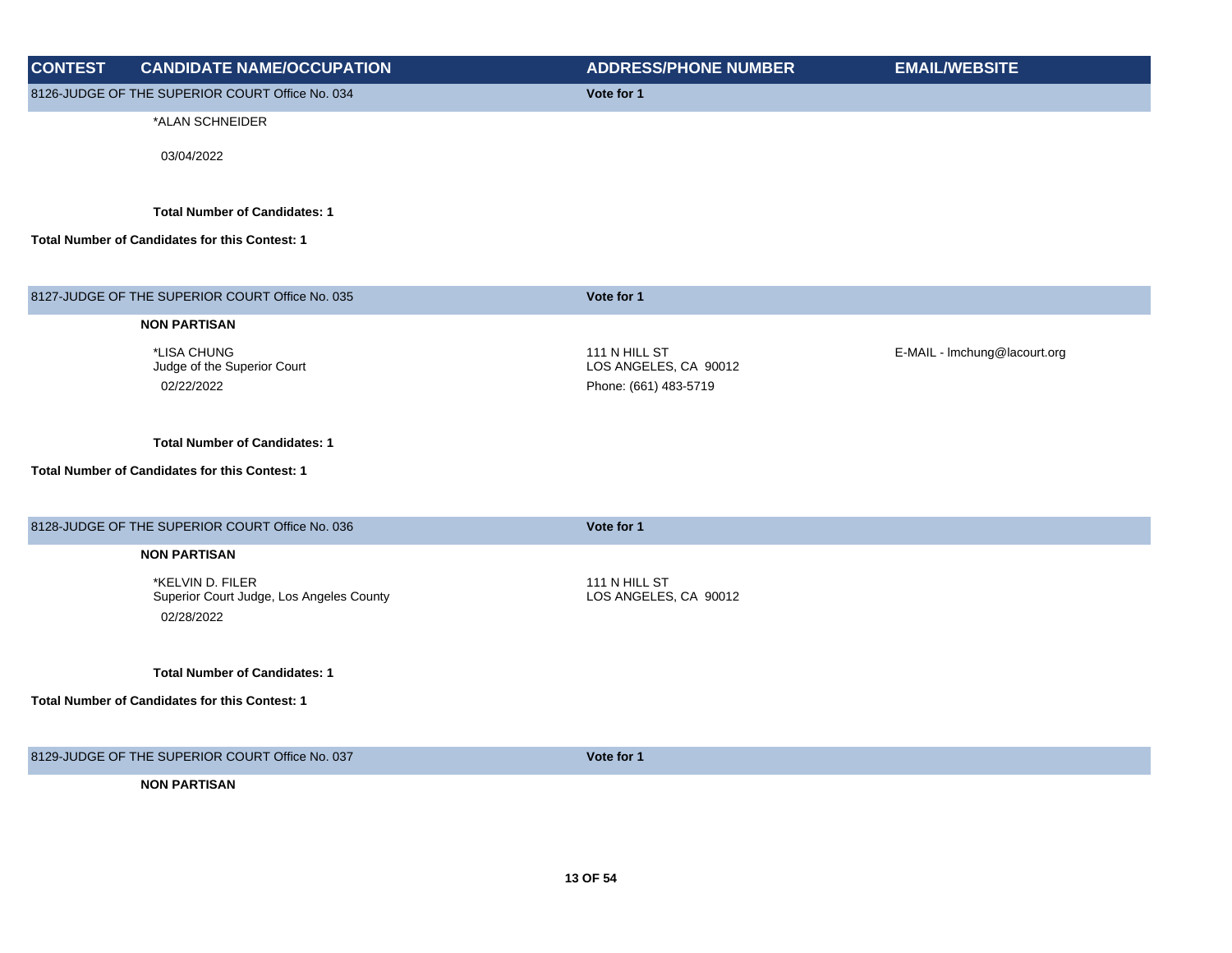| <b>CONTEST</b> | <b>CANDIDATE NAME/OCCUPATION</b>                                           | <b>ADDRESS/PHONE NUMBER</b>            | <b>EMAIL/WEBSITE</b>         |
|----------------|----------------------------------------------------------------------------|----------------------------------------|------------------------------|
|                | 8126-JUDGE OF THE SUPERIOR COURT Office No. 034                            | Vote for 1                             |                              |
|                | *ALAN SCHNEIDER                                                            |                                        |                              |
|                | 03/04/2022                                                                 |                                        |                              |
|                | <b>Total Number of Candidates: 1</b>                                       |                                        |                              |
|                | Total Number of Candidates for this Contest: 1                             |                                        |                              |
|                | 8127-JUDGE OF THE SUPERIOR COURT Office No. 035                            | Vote for 1                             |                              |
|                | <b>NON PARTISAN</b>                                                        |                                        |                              |
|                | *LISA CHUNG<br>Judge of the Superior Court                                 | 111 N HILL ST<br>LOS ANGELES, CA 90012 | E-MAIL - Imchung@lacourt.org |
|                | 02/22/2022                                                                 | Phone: (661) 483-5719                  |                              |
|                | <b>Total Number of Candidates: 1</b>                                       |                                        |                              |
|                | Total Number of Candidates for this Contest: 1                             |                                        |                              |
|                | 8128-JUDGE OF THE SUPERIOR COURT Office No. 036                            | Vote for 1                             |                              |
|                | <b>NON PARTISAN</b>                                                        |                                        |                              |
|                | *KELVIN D. FILER<br>Superior Court Judge, Los Angeles County<br>02/28/2022 | 111 N HILL ST<br>LOS ANGELES, CA 90012 |                              |
|                | <b>Total Number of Candidates: 1</b>                                       |                                        |                              |
|                | Total Number of Candidates for this Contest: 1                             |                                        |                              |
|                | 8129-JUDGE OF THE SUPERIOR COURT Office No. 037                            | Vote for 1                             |                              |
|                | <b>NON PARTISAN</b>                                                        |                                        |                              |
|                |                                                                            |                                        |                              |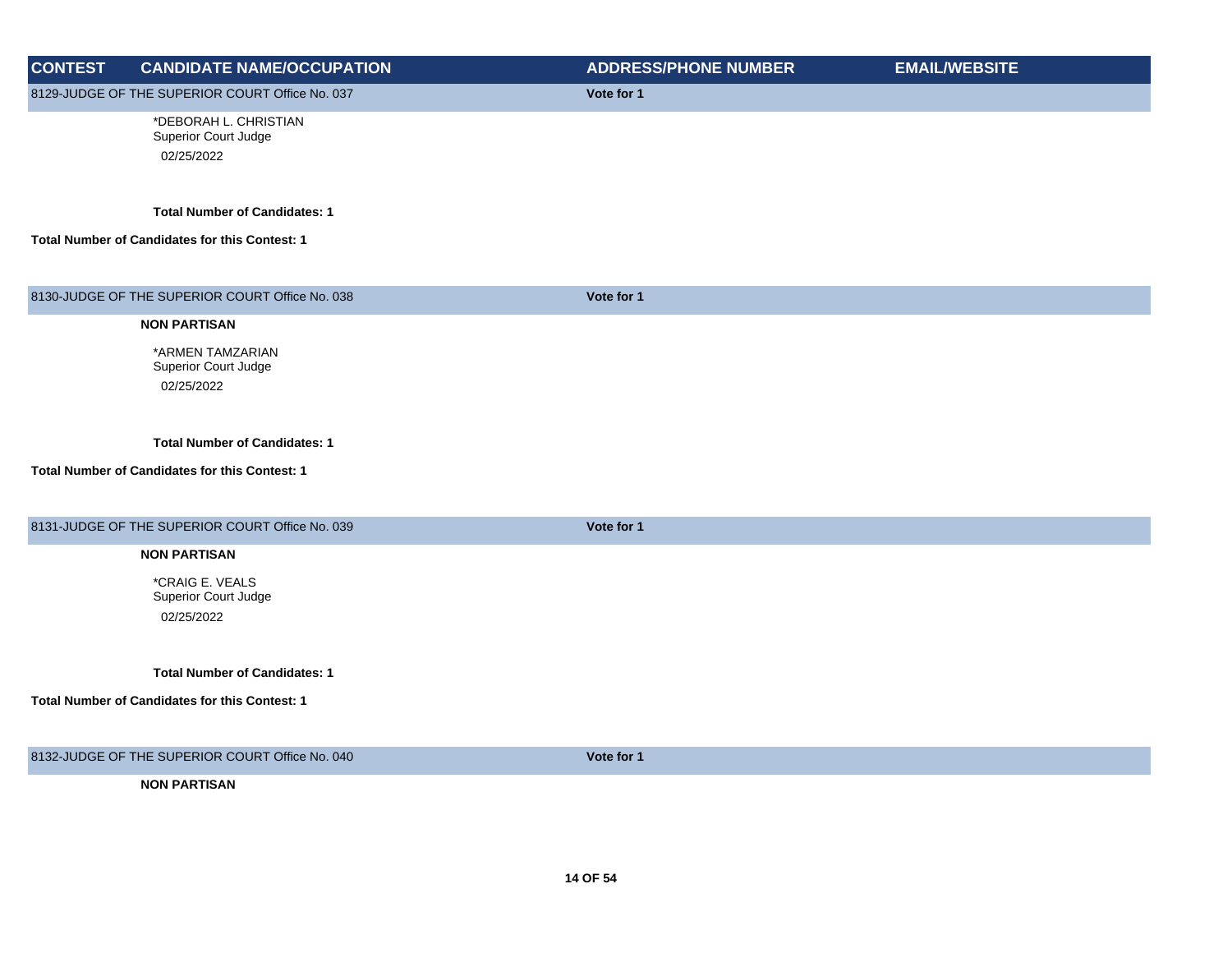| <b>CONTEST</b> | <b>CANDIDATE NAME/OCCUPATION</b>                | <b>ADDRESS/PHONE NUMBER</b> | <b>EMAIL/WEBSITE</b> |
|----------------|-------------------------------------------------|-----------------------------|----------------------|
|                | 8129-JUDGE OF THE SUPERIOR COURT Office No. 037 | Vote for 1                  |                      |
|                | *DEBORAH L. CHRISTIAN                           |                             |                      |
|                | Superior Court Judge                            |                             |                      |
|                | 02/25/2022                                      |                             |                      |
|                |                                                 |                             |                      |
|                | <b>Total Number of Candidates: 1</b>            |                             |                      |
|                | Total Number of Candidates for this Contest: 1  |                             |                      |
|                |                                                 |                             |                      |
|                | 8130-JUDGE OF THE SUPERIOR COURT Office No. 038 | Vote for 1                  |                      |
|                | <b>NON PARTISAN</b>                             |                             |                      |
|                | *ARMEN TAMZARIAN                                |                             |                      |
|                | Superior Court Judge                            |                             |                      |
|                | 02/25/2022                                      |                             |                      |
|                |                                                 |                             |                      |
|                | <b>Total Number of Candidates: 1</b>            |                             |                      |
|                | Total Number of Candidates for this Contest: 1  |                             |                      |
|                |                                                 |                             |                      |
|                |                                                 |                             |                      |
|                | 8131-JUDGE OF THE SUPERIOR COURT Office No. 039 | Vote for 1                  |                      |
|                | <b>NON PARTISAN</b>                             |                             |                      |
|                | *CRAIG E. VEALS                                 |                             |                      |
|                | Superior Court Judge                            |                             |                      |
|                | 02/25/2022                                      |                             |                      |
|                |                                                 |                             |                      |
|                | <b>Total Number of Candidates: 1</b>            |                             |                      |
|                | Total Number of Candidates for this Contest: 1  |                             |                      |
|                |                                                 |                             |                      |
|                |                                                 |                             |                      |
|                | 8132-JUDGE OF THE SUPERIOR COURT Office No. 040 | Vote for 1                  |                      |
|                | <b>NON PARTISAN</b>                             |                             |                      |
|                |                                                 |                             |                      |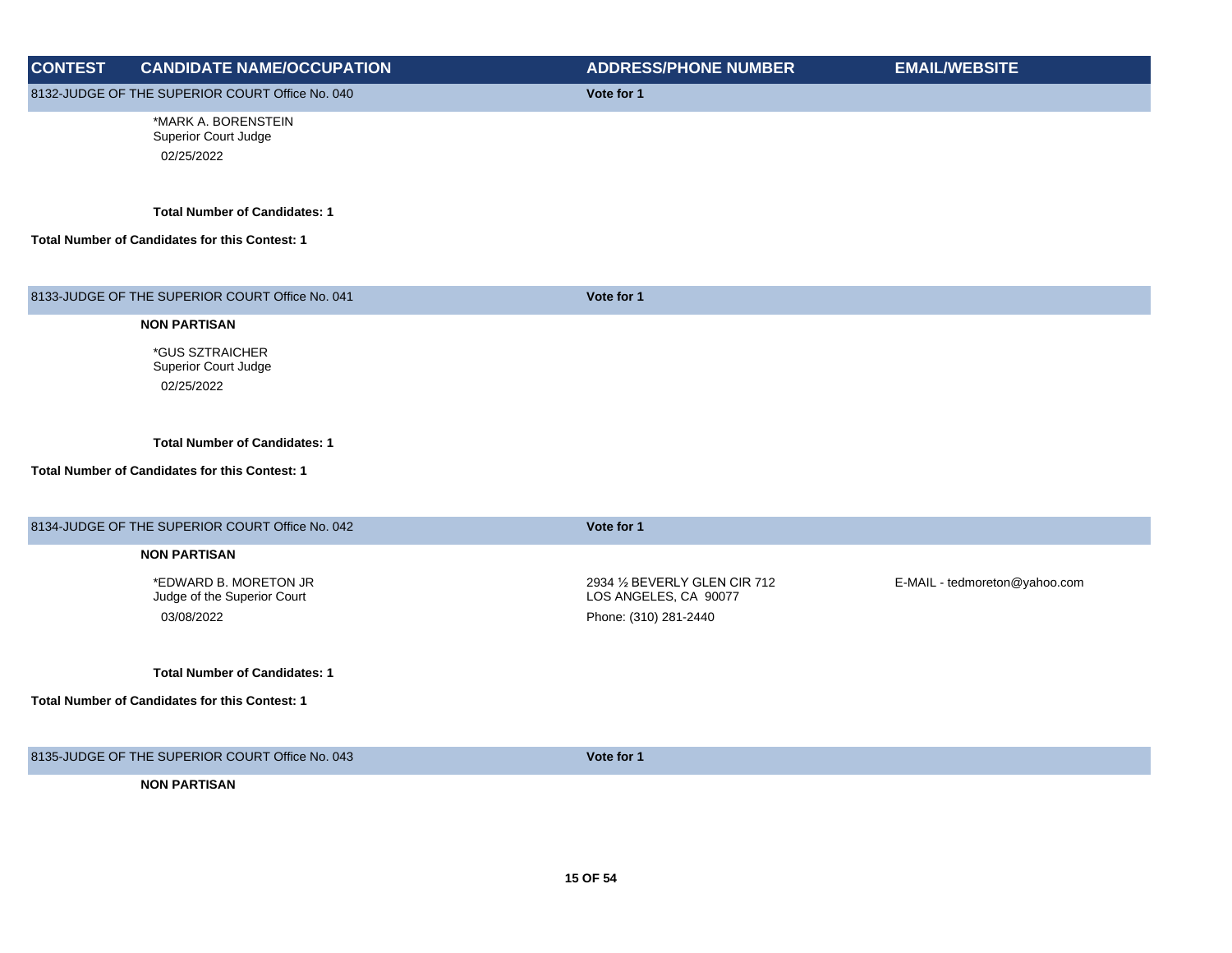| <b>CONTEST</b> | <b>CANDIDATE NAME/OCCUPATION</b>                          | <b>ADDRESS/PHONE NUMBER</b>                            | <b>EMAIL/WEBSITE</b>          |
|----------------|-----------------------------------------------------------|--------------------------------------------------------|-------------------------------|
|                | 8132-JUDGE OF THE SUPERIOR COURT Office No. 040           | Vote for 1                                             |                               |
|                | *MARK A. BORENSTEIN<br>Superior Court Judge<br>02/25/2022 |                                                        |                               |
|                | <b>Total Number of Candidates: 1</b>                      |                                                        |                               |
|                | <b>Total Number of Candidates for this Contest: 1</b>     |                                                        |                               |
|                | 8133-JUDGE OF THE SUPERIOR COURT Office No. 041           | Vote for 1                                             |                               |
|                | <b>NON PARTISAN</b>                                       |                                                        |                               |
|                | <i><b>*GUS SZTRAICHER</b></i><br>Superior Court Judge     |                                                        |                               |
|                | 02/25/2022                                                |                                                        |                               |
|                | <b>Total Number of Candidates: 1</b>                      |                                                        |                               |
|                | Total Number of Candidates for this Contest: 1            |                                                        |                               |
|                | 8134-JUDGE OF THE SUPERIOR COURT Office No. 042           | Vote for 1                                             |                               |
|                | <b>NON PARTISAN</b>                                       |                                                        |                               |
|                | *EDWARD B. MORETON JR<br>Judge of the Superior Court      | 2934 1/2 BEVERLY GLEN CIR 712<br>LOS ANGELES, CA 90077 | E-MAIL - tedmoreton@yahoo.com |
|                | 03/08/2022                                                | Phone: (310) 281-2440                                  |                               |
|                | <b>Total Number of Candidates: 1</b>                      |                                                        |                               |
|                | Total Number of Candidates for this Contest: 1            |                                                        |                               |
|                | 8135-JUDGE OF THE SUPERIOR COURT Office No. 043           | Vote for 1                                             |                               |
|                | <b>NON PARTISAN</b>                                       |                                                        |                               |
|                |                                                           |                                                        |                               |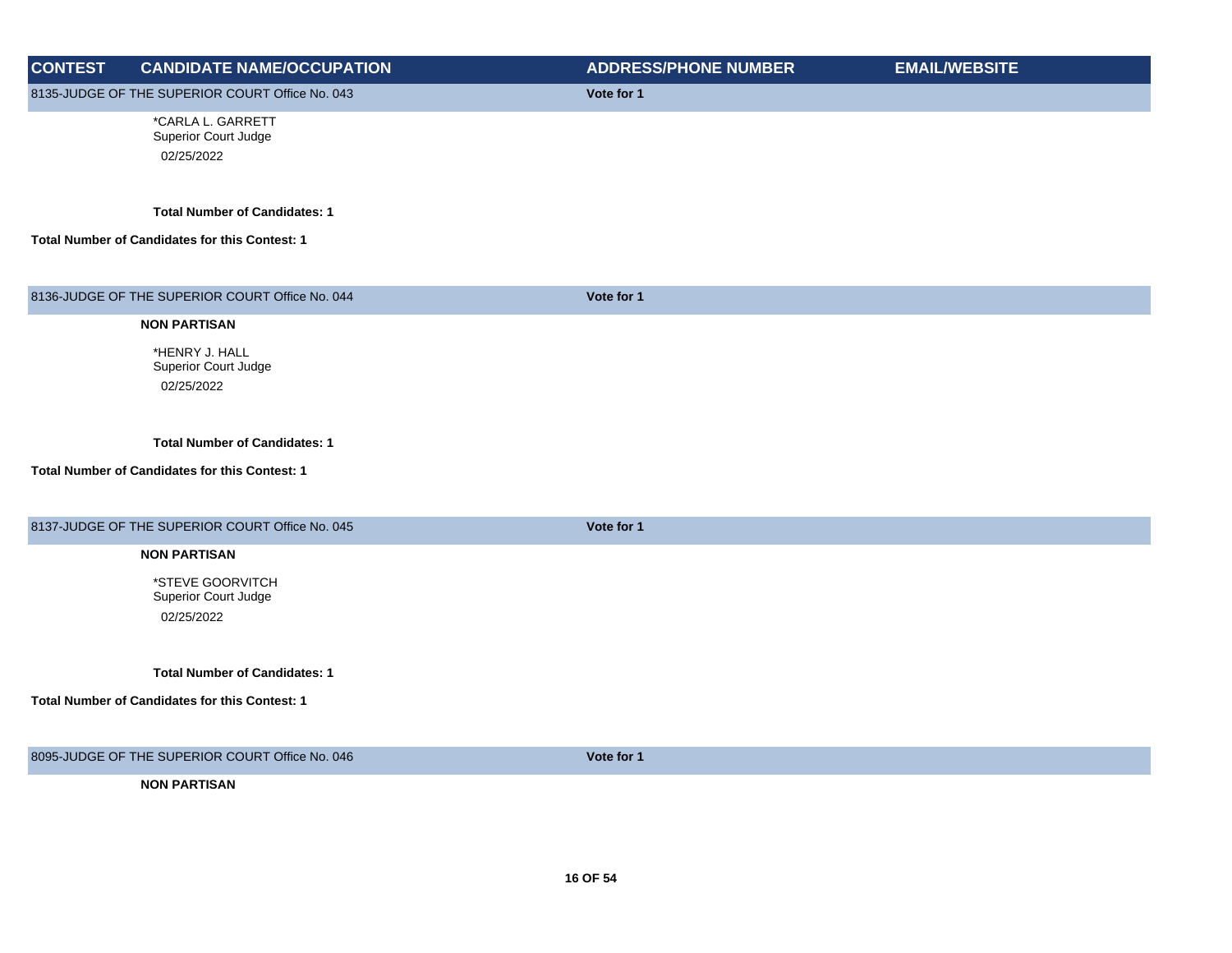| <b>CONTEST</b> | <b>CANDIDATE NAME/OCCUPATION</b>                | <b>ADDRESS/PHONE NUMBER</b> | <b>EMAIL/WEBSITE</b> |
|----------------|-------------------------------------------------|-----------------------------|----------------------|
|                | 8135-JUDGE OF THE SUPERIOR COURT Office No. 043 | Vote for 1                  |                      |
|                | *CARLA L. GARRETT                               |                             |                      |
|                | Superior Court Judge                            |                             |                      |
|                | 02/25/2022                                      |                             |                      |
|                |                                                 |                             |                      |
|                | <b>Total Number of Candidates: 1</b>            |                             |                      |
|                | Total Number of Candidates for this Contest: 1  |                             |                      |
|                |                                                 |                             |                      |
|                | 8136-JUDGE OF THE SUPERIOR COURT Office No. 044 | Vote for 1                  |                      |
|                | <b>NON PARTISAN</b>                             |                             |                      |
|                | *HENRY J. HALL                                  |                             |                      |
|                | Superior Court Judge                            |                             |                      |
|                | 02/25/2022                                      |                             |                      |
|                |                                                 |                             |                      |
|                | <b>Total Number of Candidates: 1</b>            |                             |                      |
|                | Total Number of Candidates for this Contest: 1  |                             |                      |
|                |                                                 |                             |                      |
|                |                                                 |                             |                      |
|                | 8137-JUDGE OF THE SUPERIOR COURT Office No. 045 | Vote for 1                  |                      |
|                | <b>NON PARTISAN</b>                             |                             |                      |
|                | *STEVE GOORVITCH                                |                             |                      |
|                | Superior Court Judge                            |                             |                      |
|                | 02/25/2022                                      |                             |                      |
|                |                                                 |                             |                      |
|                | <b>Total Number of Candidates: 1</b>            |                             |                      |
|                | Total Number of Candidates for this Contest: 1  |                             |                      |
|                |                                                 |                             |                      |
|                | 8095-JUDGE OF THE SUPERIOR COURT Office No. 046 | Vote for 1                  |                      |
|                | <b>NON PARTISAN</b>                             |                             |                      |
|                |                                                 |                             |                      |
|                |                                                 |                             |                      |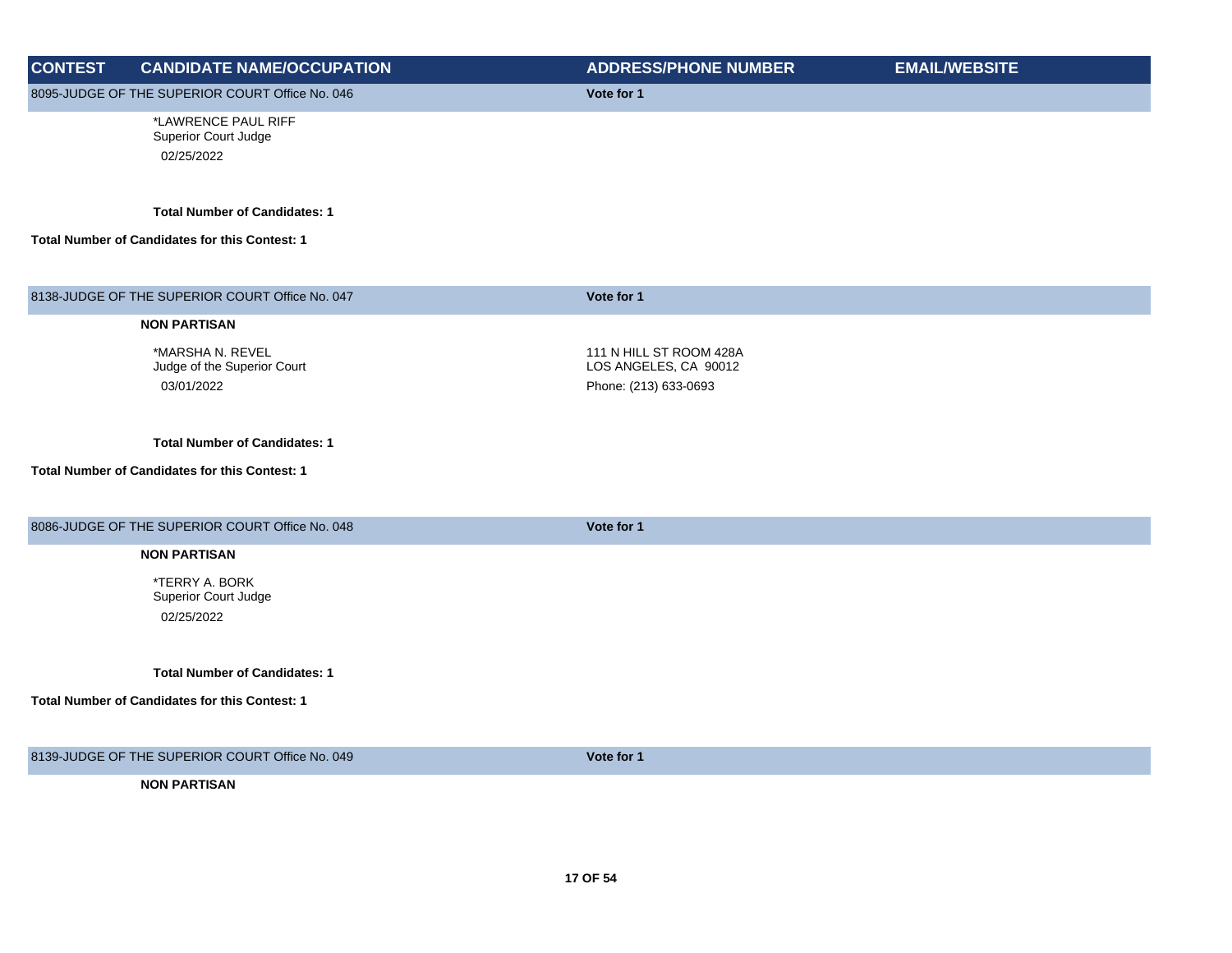| <b>CONTEST</b> | <b>CANDIDATE NAME/OCCUPATION</b>                              | <b>ADDRESS/PHONE NUMBER</b>                                               | <b>EMAIL/WEBSITE</b> |
|----------------|---------------------------------------------------------------|---------------------------------------------------------------------------|----------------------|
|                | 8095-JUDGE OF THE SUPERIOR COURT Office No. 046               | Vote for 1                                                                |                      |
|                | *LAWRENCE PAUL RIFF<br>Superior Court Judge<br>02/25/2022     |                                                                           |                      |
|                | <b>Total Number of Candidates: 1</b>                          |                                                                           |                      |
|                | Total Number of Candidates for this Contest: 1                |                                                                           |                      |
|                | 8138-JUDGE OF THE SUPERIOR COURT Office No. 047               | Vote for 1                                                                |                      |
|                | <b>NON PARTISAN</b>                                           |                                                                           |                      |
|                | *MARSHA N. REVEL<br>Judge of the Superior Court<br>03/01/2022 | 111 N HILL ST ROOM 428A<br>LOS ANGELES, CA 90012<br>Phone: (213) 633-0693 |                      |
|                | <b>Total Number of Candidates: 1</b>                          |                                                                           |                      |
|                | <b>Total Number of Candidates for this Contest: 1</b>         |                                                                           |                      |
|                | 8086-JUDGE OF THE SUPERIOR COURT Office No. 048               | Vote for 1                                                                |                      |
|                | <b>NON PARTISAN</b>                                           |                                                                           |                      |
|                | *TERRY A. BORK<br>Superior Court Judge<br>02/25/2022          |                                                                           |                      |
|                | <b>Total Number of Candidates: 1</b>                          |                                                                           |                      |
|                | Total Number of Candidates for this Contest: 1                |                                                                           |                      |
|                | 8139-JUDGE OF THE SUPERIOR COURT Office No. 049               | Vote for 1                                                                |                      |
|                | <b>NON PARTISAN</b>                                           |                                                                           |                      |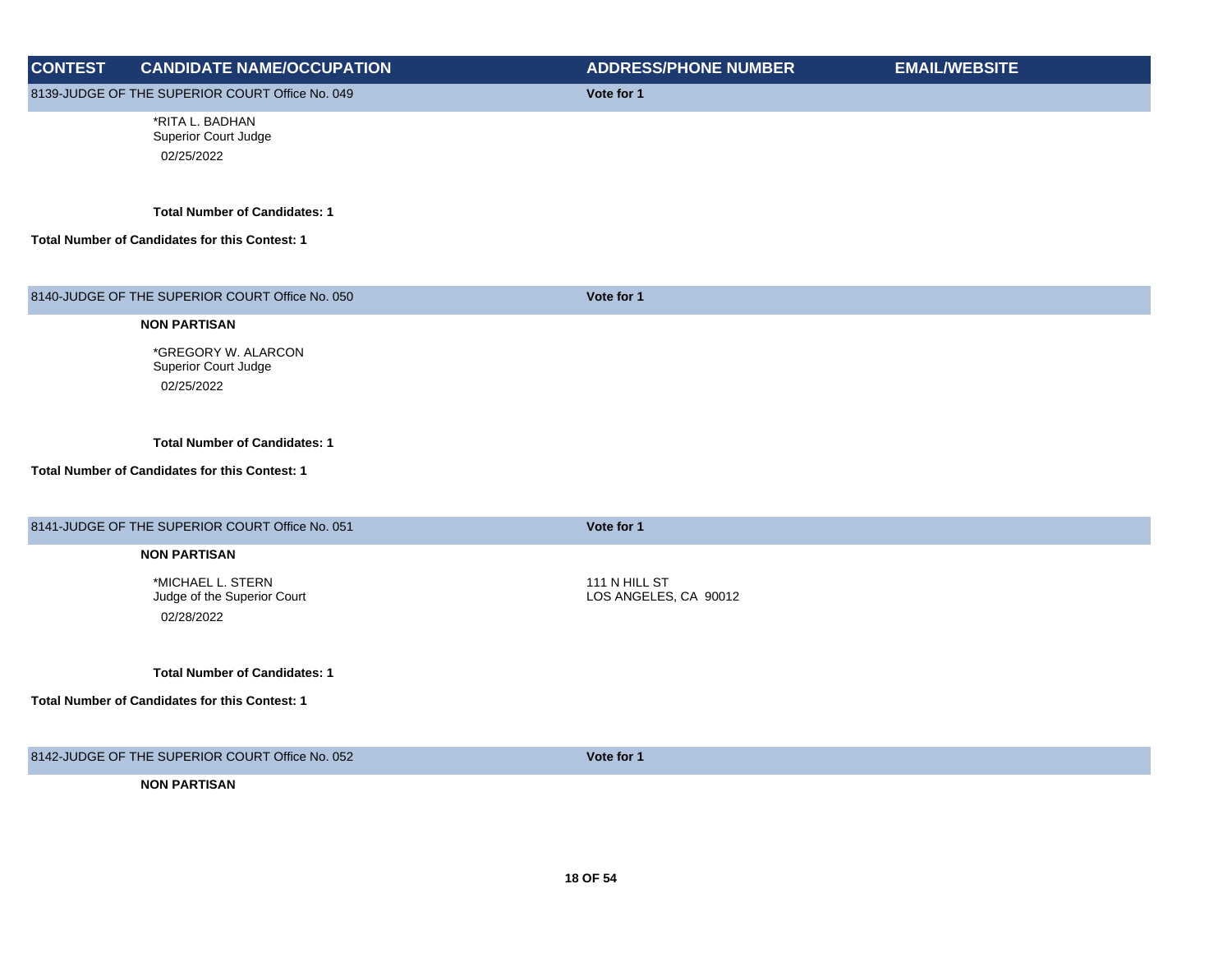| <b>CONTEST</b> | <b>CANDIDATE NAME/OCCUPATION</b>                 | <b>ADDRESS/PHONE NUMBER</b>            | <b>EMAIL/WEBSITE</b> |
|----------------|--------------------------------------------------|----------------------------------------|----------------------|
|                | 8139-JUDGE OF THE SUPERIOR COURT Office No. 049  | Vote for 1                             |                      |
|                | *RITA L. BADHAN                                  |                                        |                      |
|                | Superior Court Judge                             |                                        |                      |
|                | 02/25/2022                                       |                                        |                      |
|                | <b>Total Number of Candidates: 1</b>             |                                        |                      |
|                | Total Number of Candidates for this Contest: 1   |                                        |                      |
|                | 8140-JUDGE OF THE SUPERIOR COURT Office No. 050  | Vote for 1                             |                      |
|                | <b>NON PARTISAN</b>                              |                                        |                      |
|                | *GREGORY W. ALARCON                              |                                        |                      |
|                | Superior Court Judge                             |                                        |                      |
|                | 02/25/2022                                       |                                        |                      |
|                |                                                  |                                        |                      |
|                | <b>Total Number of Candidates: 1</b>             |                                        |                      |
|                | Total Number of Candidates for this Contest: 1   |                                        |                      |
|                |                                                  |                                        |                      |
|                | 8141-JUDGE OF THE SUPERIOR COURT Office No. 051  | Vote for 1                             |                      |
|                | <b>NON PARTISAN</b>                              |                                        |                      |
|                |                                                  |                                        |                      |
|                | *MICHAEL L. STERN<br>Judge of the Superior Court | 111 N HILL ST<br>LOS ANGELES, CA 90012 |                      |
|                | 02/28/2022                                       |                                        |                      |
|                |                                                  |                                        |                      |
|                | <b>Total Number of Candidates: 1</b>             |                                        |                      |
|                | Total Number of Candidates for this Contest: 1   |                                        |                      |
|                |                                                  |                                        |                      |
|                | 8142-JUDGE OF THE SUPERIOR COURT Office No. 052  | Vote for 1                             |                      |
|                | <b>NON PARTISAN</b>                              |                                        |                      |
|                |                                                  |                                        |                      |
|                |                                                  |                                        |                      |
|                |                                                  |                                        |                      |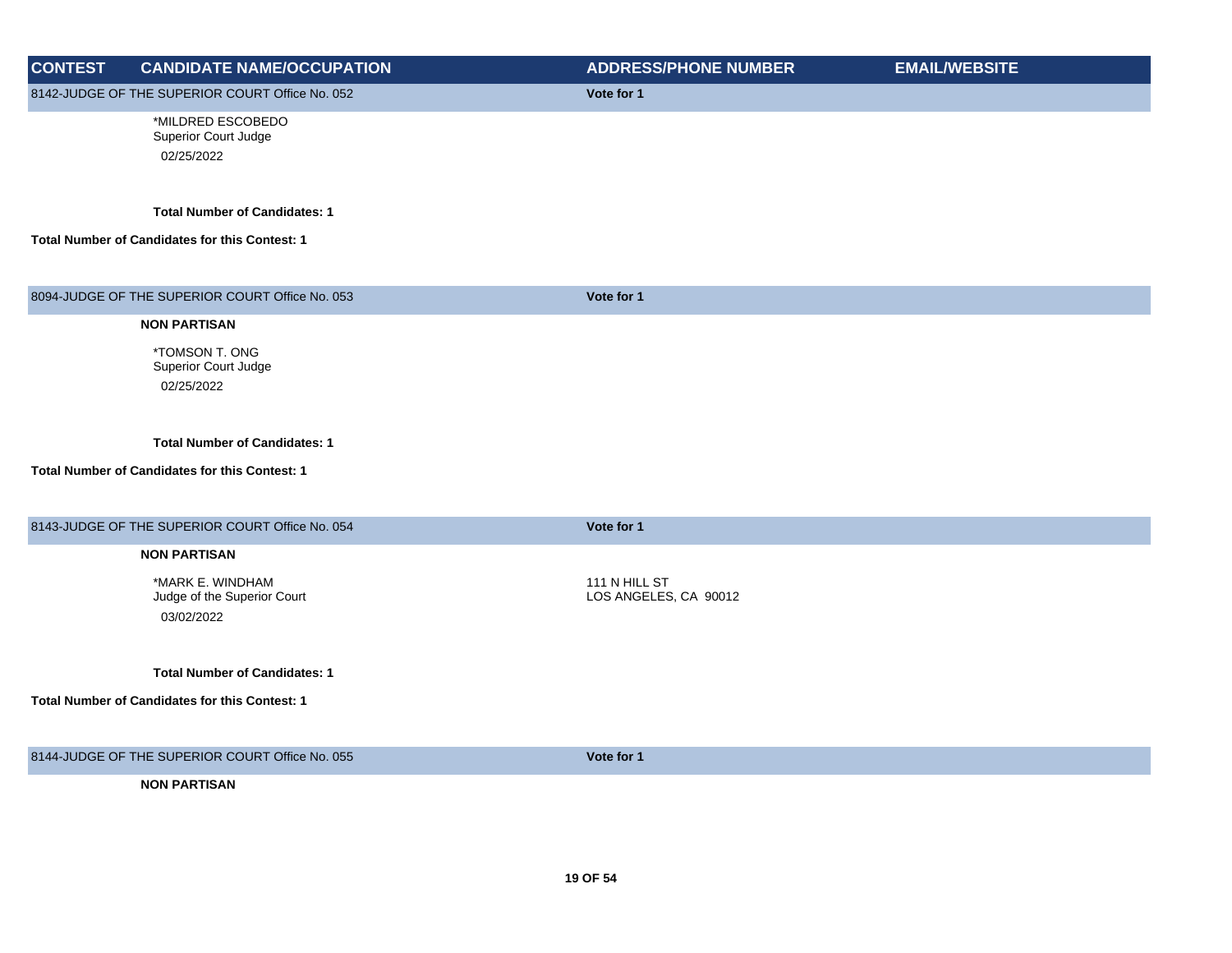| <b>CONTEST</b> | <b>CANDIDATE NAME/OCCUPATION</b>                                                       | <b>ADDRESS/PHONE NUMBER</b>            | <b>EMAIL/WEBSITE</b> |
|----------------|----------------------------------------------------------------------------------------|----------------------------------------|----------------------|
|                | 8142-JUDGE OF THE SUPERIOR COURT Office No. 052                                        | Vote for 1                             |                      |
|                | *MILDRED ESCOBEDO<br>Superior Court Judge<br>02/25/2022                                |                                        |                      |
|                | <b>Total Number of Candidates: 1</b>                                                   |                                        |                      |
|                | Total Number of Candidates for this Contest: 1                                         |                                        |                      |
|                |                                                                                        |                                        |                      |
|                | 8094-JUDGE OF THE SUPERIOR COURT Office No. 053                                        | Vote for 1                             |                      |
|                | <b>NON PARTISAN</b>                                                                    |                                        |                      |
|                | *TOMSON T. ONG<br>Superior Court Judge<br>02/25/2022                                   |                                        |                      |
|                | <b>Total Number of Candidates: 1</b><br>Total Number of Candidates for this Contest: 1 |                                        |                      |
|                |                                                                                        |                                        |                      |
|                | 8143-JUDGE OF THE SUPERIOR COURT Office No. 054                                        | Vote for 1                             |                      |
|                | <b>NON PARTISAN</b>                                                                    |                                        |                      |
|                | *MARK E. WINDHAM<br>Judge of the Superior Court<br>03/02/2022                          | 111 N HILL ST<br>LOS ANGELES, CA 90012 |                      |
|                | <b>Total Number of Candidates: 1</b>                                                   |                                        |                      |
|                | Total Number of Candidates for this Contest: 1                                         |                                        |                      |
|                | 8144-JUDGE OF THE SUPERIOR COURT Office No. 055                                        | Vote for 1                             |                      |
|                | <b>NON PARTISAN</b>                                                                    |                                        |                      |
|                |                                                                                        |                                        |                      |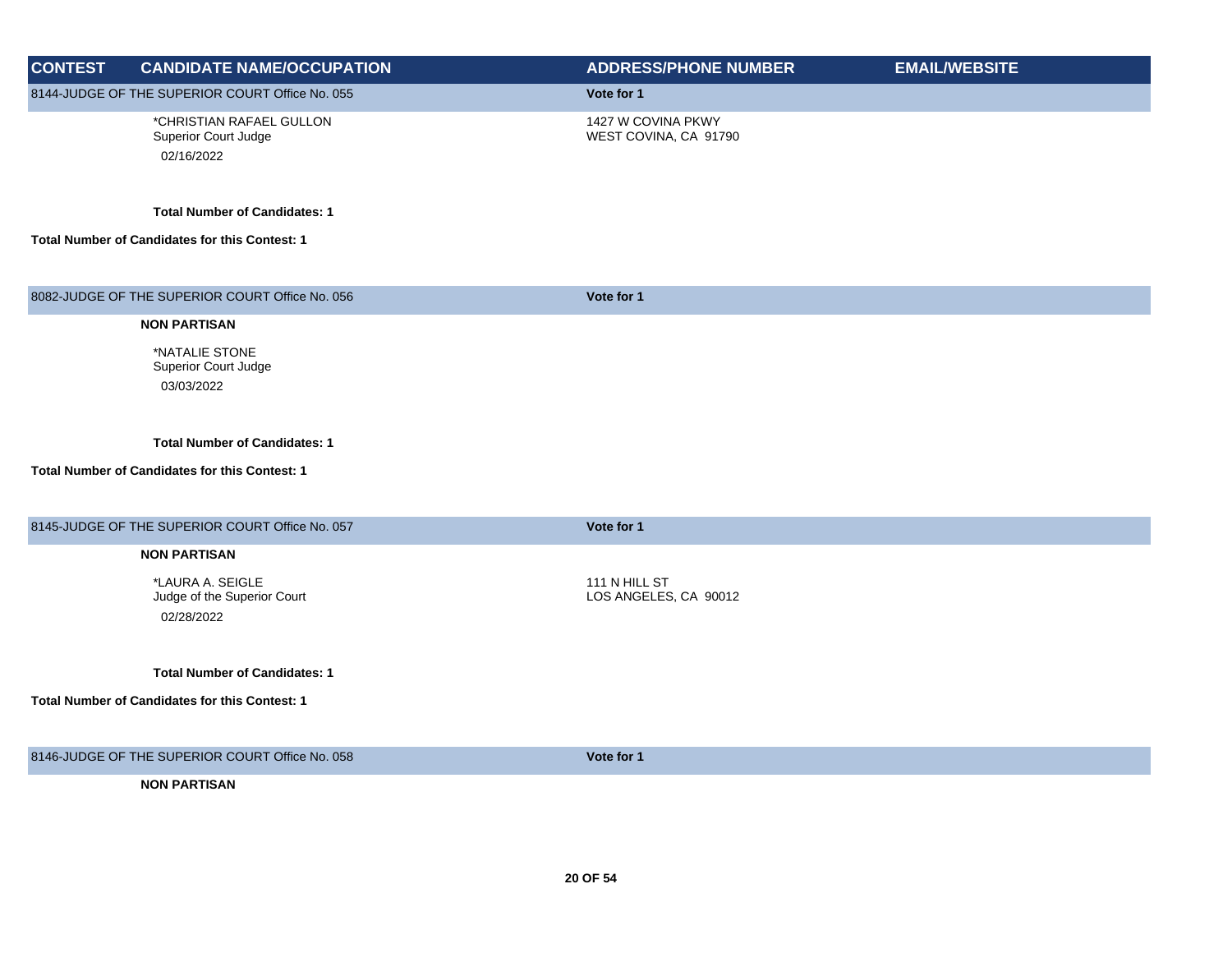| <b>CONTEST</b> | <b>CANDIDATE NAME/OCCUPATION</b>                               | <b>ADDRESS/PHONE NUMBER</b>                 | <b>EMAIL/WEBSITE</b> |
|----------------|----------------------------------------------------------------|---------------------------------------------|----------------------|
|                | 8144-JUDGE OF THE SUPERIOR COURT Office No. 055                | Vote for 1                                  |                      |
|                | *CHRISTIAN RAFAEL GULLON<br>Superior Court Judge<br>02/16/2022 | 1427 W COVINA PKWY<br>WEST COVINA, CA 91790 |                      |
|                | <b>Total Number of Candidates: 1</b>                           |                                             |                      |
|                | Total Number of Candidates for this Contest: 1                 |                                             |                      |
|                | 8082-JUDGE OF THE SUPERIOR COURT Office No. 056                | Vote for 1                                  |                      |
|                | <b>NON PARTISAN</b>                                            |                                             |                      |
|                | *NATALIE STONE<br><b>Superior Court Judge</b><br>03/03/2022    |                                             |                      |
|                | <b>Total Number of Candidates: 1</b>                           |                                             |                      |
|                | Total Number of Candidates for this Contest: 1                 |                                             |                      |
|                | 8145-JUDGE OF THE SUPERIOR COURT Office No. 057                | Vote for 1                                  |                      |
|                | <b>NON PARTISAN</b>                                            |                                             |                      |
|                | *LAURA A. SEIGLE<br>Judge of the Superior Court<br>02/28/2022  | 111 N HILL ST<br>LOS ANGELES, CA 90012      |                      |
|                | <b>Total Number of Candidates: 1</b>                           |                                             |                      |
|                | <b>Total Number of Candidates for this Contest: 1</b>          |                                             |                      |
|                | 8146-JUDGE OF THE SUPERIOR COURT Office No. 058                | Vote for 1                                  |                      |
|                | <b>NON PARTISAN</b>                                            |                                             |                      |
|                |                                                                |                                             |                      |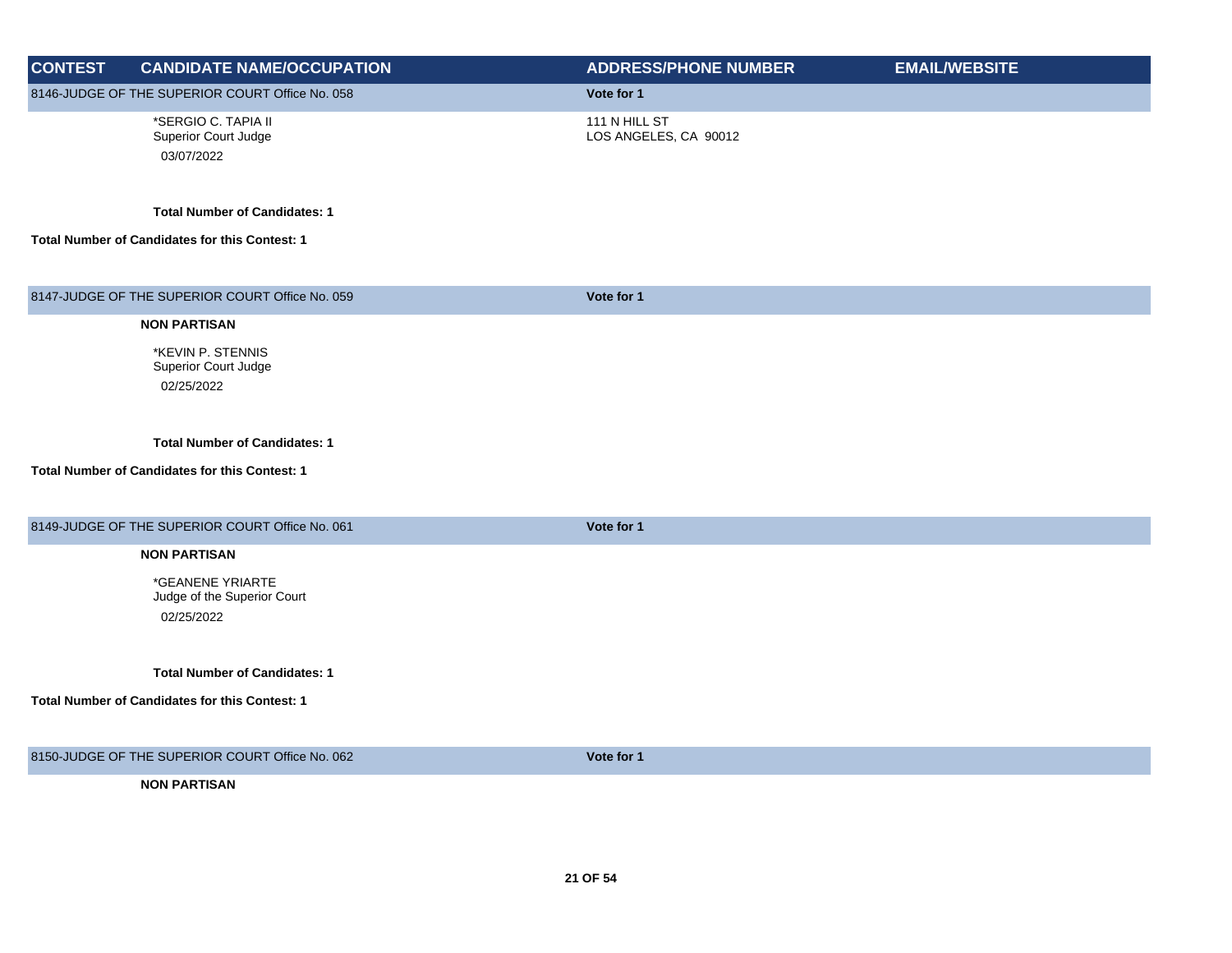| <b>CONTEST</b> | <b>CANDIDATE NAME/OCCUPATION</b>                                                       | <b>ADDRESS/PHONE NUMBER</b>            | <b>EMAIL/WEBSITE</b> |
|----------------|----------------------------------------------------------------------------------------|----------------------------------------|----------------------|
|                | 8146-JUDGE OF THE SUPERIOR COURT Office No. 058                                        | Vote for 1                             |                      |
|                | *SERGIO C. TAPIA II<br>Superior Court Judge<br>03/07/2022                              | 111 N HILL ST<br>LOS ANGELES, CA 90012 |                      |
|                | <b>Total Number of Candidates: 1</b>                                                   |                                        |                      |
|                | Total Number of Candidates for this Contest: 1                                         |                                        |                      |
|                | 8147-JUDGE OF THE SUPERIOR COURT Office No. 059                                        | Vote for 1                             |                      |
|                | <b>NON PARTISAN</b>                                                                    |                                        |                      |
|                | *KEVIN P. STENNIS<br>Superior Court Judge<br>02/25/2022                                |                                        |                      |
|                | <b>Total Number of Candidates: 1</b><br>Total Number of Candidates for this Contest: 1 |                                        |                      |
|                | 8149-JUDGE OF THE SUPERIOR COURT Office No. 061                                        | Vote for 1                             |                      |
|                | <b>NON PARTISAN</b>                                                                    |                                        |                      |
|                | *GEANENE YRIARTE<br>Judge of the Superior Court<br>02/25/2022                          |                                        |                      |
|                | <b>Total Number of Candidates: 1</b>                                                   |                                        |                      |
|                | Total Number of Candidates for this Contest: 1                                         |                                        |                      |
|                | 8150-JUDGE OF THE SUPERIOR COURT Office No. 062                                        | Vote for 1                             |                      |
|                | <b>NON PARTISAN</b>                                                                    |                                        |                      |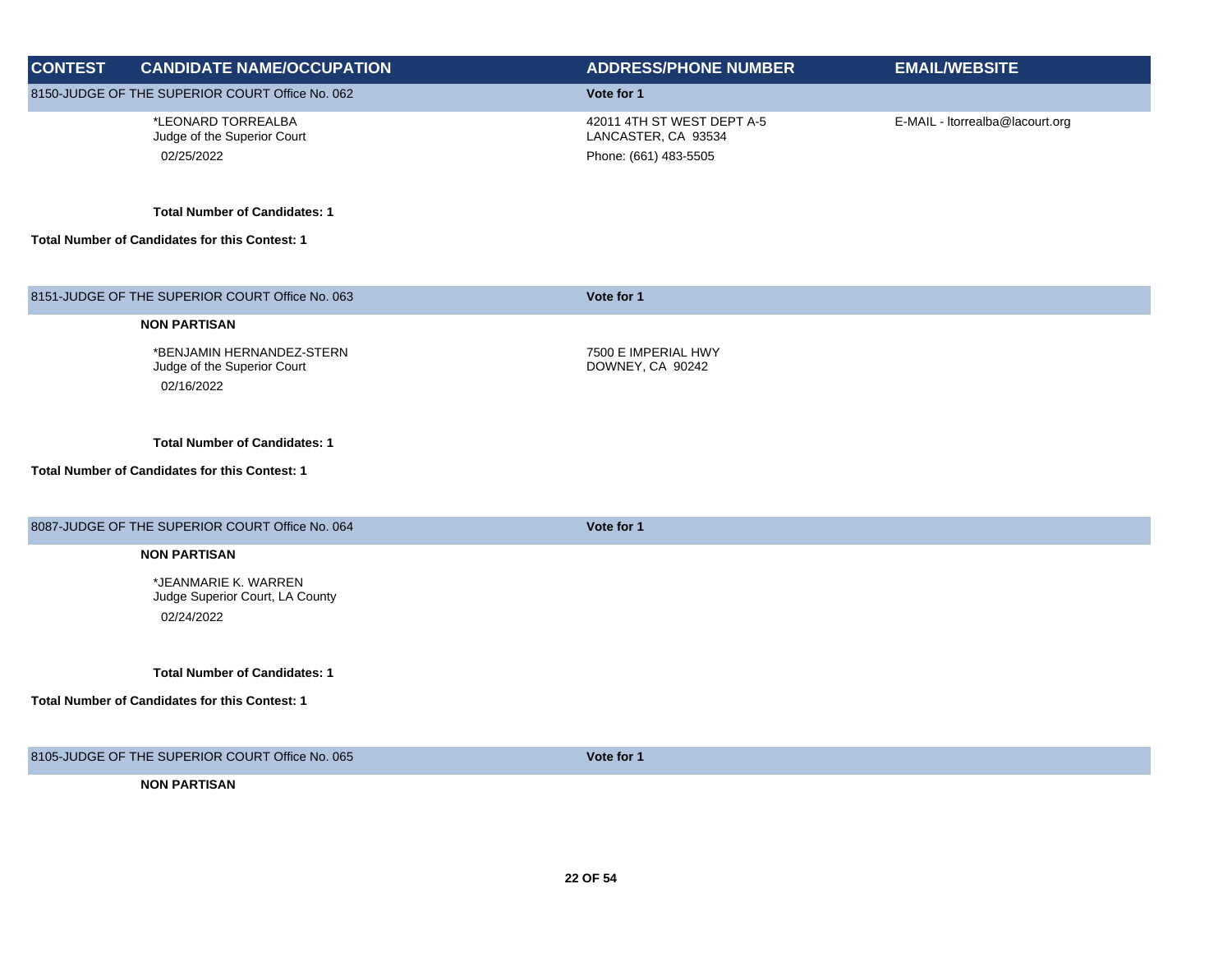| <b>CONTEST</b> | <b>CANDIDATE NAME/OCCUPATION</b>                                                       | <b>ADDRESS/PHONE NUMBER</b>                                                | <b>EMAIL/WEBSITE</b>            |
|----------------|----------------------------------------------------------------------------------------|----------------------------------------------------------------------------|---------------------------------|
|                | 8150-JUDGE OF THE SUPERIOR COURT Office No. 062                                        | Vote for 1                                                                 |                                 |
|                | *LEONARD TORREALBA<br>Judge of the Superior Court<br>02/25/2022                        | 42011 4TH ST WEST DEPT A-5<br>LANCASTER, CA 93534<br>Phone: (661) 483-5505 | E-MAIL - Itorrealba@lacourt.org |
|                | <b>Total Number of Candidates: 1</b>                                                   |                                                                            |                                 |
|                | Total Number of Candidates for this Contest: 1                                         |                                                                            |                                 |
|                | 8151-JUDGE OF THE SUPERIOR COURT Office No. 063                                        | Vote for 1                                                                 |                                 |
|                | <b>NON PARTISAN</b>                                                                    |                                                                            |                                 |
|                | *BENJAMIN HERNANDEZ-STERN<br>Judge of the Superior Court<br>02/16/2022                 | 7500 E IMPERIAL HWY<br>DOWNEY, CA 90242                                    |                                 |
|                | <b>Total Number of Candidates: 1</b><br>Total Number of Candidates for this Contest: 1 |                                                                            |                                 |
|                |                                                                                        |                                                                            |                                 |
|                | 8087-JUDGE OF THE SUPERIOR COURT Office No. 064                                        | Vote for 1                                                                 |                                 |
|                | <b>NON PARTISAN</b>                                                                    |                                                                            |                                 |
|                | *JEANMARIE K. WARREN<br>Judge Superior Court, LA County<br>02/24/2022                  |                                                                            |                                 |
|                | <b>Total Number of Candidates: 1</b>                                                   |                                                                            |                                 |
|                | <b>Total Number of Candidates for this Contest: 1</b>                                  |                                                                            |                                 |
|                | 8105-JUDGE OF THE SUPERIOR COURT Office No. 065                                        | Vote for 1                                                                 |                                 |
|                | <b>NON PARTISAN</b>                                                                    |                                                                            |                                 |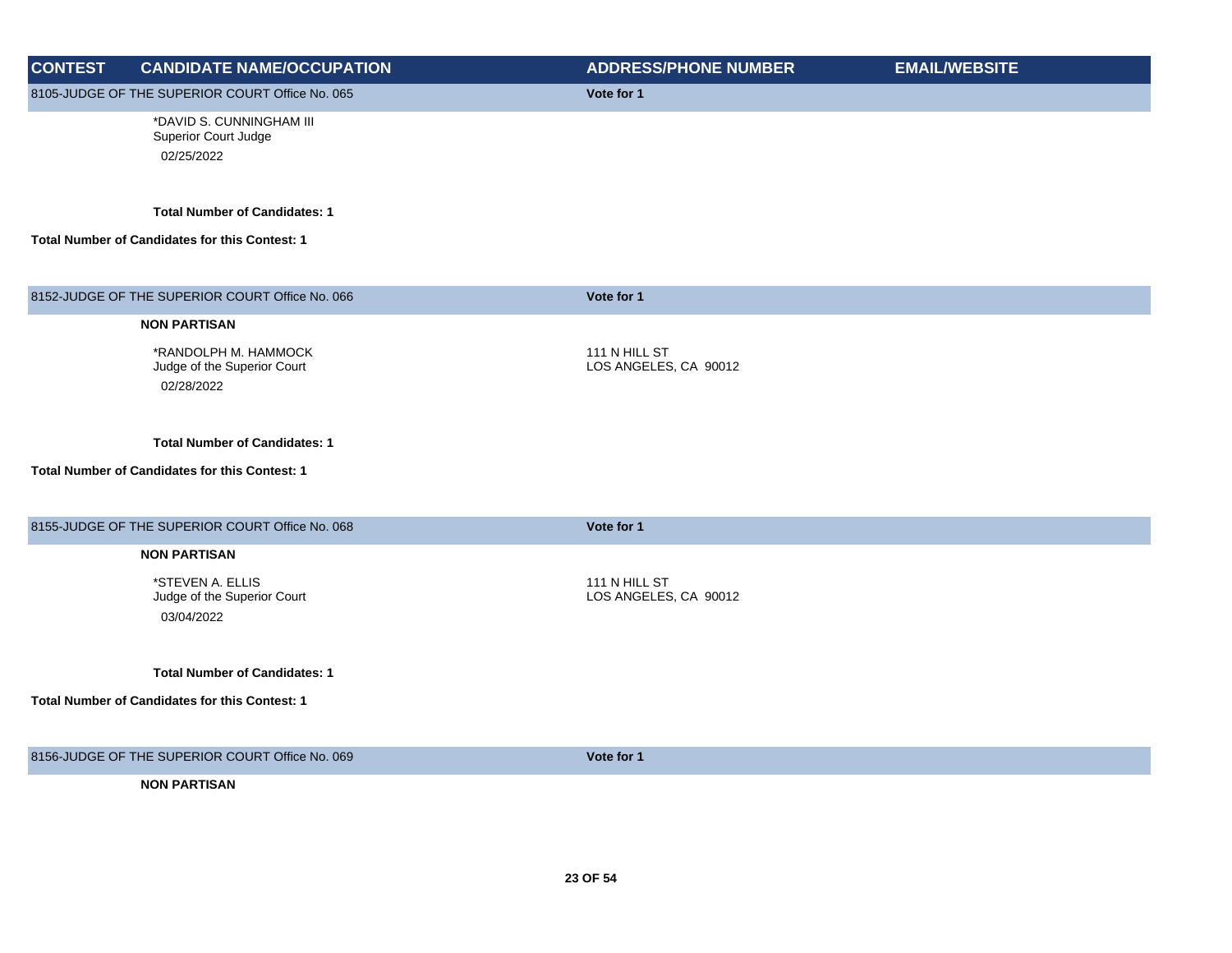| <b>CONTEST</b> | <b>CANDIDATE NAME/OCCUPATION</b>                                                              | <b>ADDRESS/PHONE NUMBER</b>            | <b>EMAIL/WEBSITE</b> |
|----------------|-----------------------------------------------------------------------------------------------|----------------------------------------|----------------------|
|                | 8105-JUDGE OF THE SUPERIOR COURT Office No. 065                                               | Vote for 1                             |                      |
|                | *DAVID S. CUNNINGHAM III<br>Superior Court Judge<br>02/25/2022                                |                                        |                      |
|                | <b>Total Number of Candidates: 1</b><br><b>Total Number of Candidates for this Contest: 1</b> |                                        |                      |
|                | 8152-JUDGE OF THE SUPERIOR COURT Office No. 066                                               | Vote for 1                             |                      |
|                | <b>NON PARTISAN</b>                                                                           |                                        |                      |
|                | *RANDOLPH M. HAMMOCK<br>Judge of the Superior Court<br>02/28/2022                             | 111 N HILL ST<br>LOS ANGELES, CA 90012 |                      |
|                | <b>Total Number of Candidates: 1</b><br>Total Number of Candidates for this Contest: 1        |                                        |                      |
|                | 8155-JUDGE OF THE SUPERIOR COURT Office No. 068                                               | Vote for 1                             |                      |
|                | <b>NON PARTISAN</b>                                                                           |                                        |                      |
|                | *STEVEN A. ELLIS<br>Judge of the Superior Court<br>03/04/2022                                 | 111 N HILL ST<br>LOS ANGELES, CA 90012 |                      |
|                | <b>Total Number of Candidates: 1</b>                                                          |                                        |                      |
|                | Total Number of Candidates for this Contest: 1                                                |                                        |                      |
|                | 8156-JUDGE OF THE SUPERIOR COURT Office No. 069                                               | Vote for 1                             |                      |
|                | <b>NON PARTISAN</b>                                                                           |                                        |                      |
|                |                                                                                               |                                        |                      |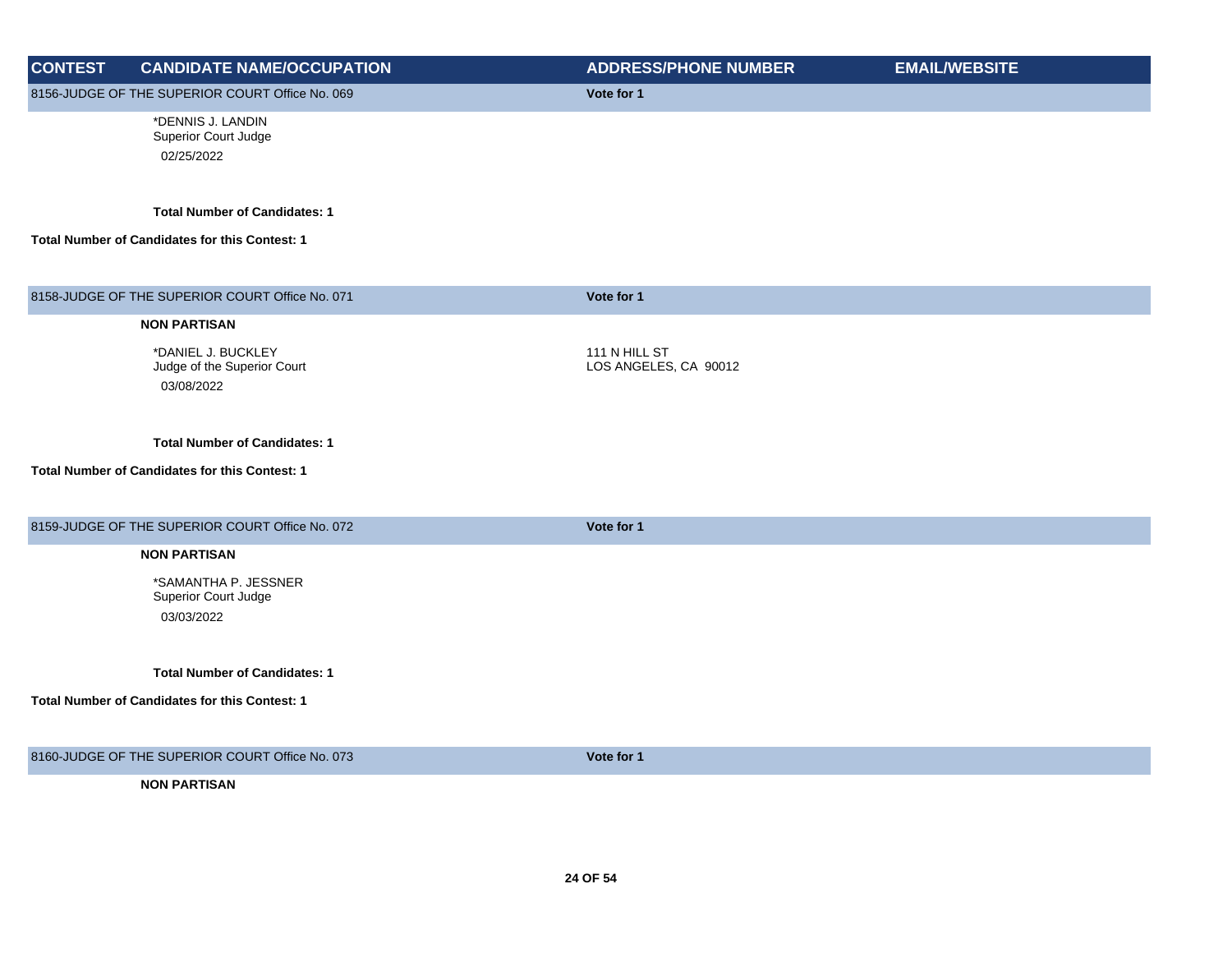| <b>CONTEST</b> | <b>CANDIDATE NAME/OCCUPATION</b>                                                       | <b>ADDRESS/PHONE NUMBER</b>            | <b>EMAIL/WEBSITE</b> |
|----------------|----------------------------------------------------------------------------------------|----------------------------------------|----------------------|
|                | 8156-JUDGE OF THE SUPERIOR COURT Office No. 069                                        | Vote for 1                             |                      |
|                | *DENNIS J. LANDIN<br>Superior Court Judge<br>02/25/2022                                |                                        |                      |
|                | <b>Total Number of Candidates: 1</b><br>Total Number of Candidates for this Contest: 1 |                                        |                      |
|                | 8158-JUDGE OF THE SUPERIOR COURT Office No. 071                                        | Vote for 1                             |                      |
|                | <b>NON PARTISAN</b>                                                                    |                                        |                      |
|                | *DANIEL J. BUCKLEY<br>Judge of the Superior Court<br>03/08/2022                        | 111 N HILL ST<br>LOS ANGELES, CA 90012 |                      |
|                | <b>Total Number of Candidates: 1</b><br>Total Number of Candidates for this Contest: 1 |                                        |                      |
|                | 8159-JUDGE OF THE SUPERIOR COURT Office No. 072                                        | Vote for 1                             |                      |
|                | <b>NON PARTISAN</b>                                                                    |                                        |                      |
|                | *SAMANTHA P. JESSNER<br>Superior Court Judge<br>03/03/2022                             |                                        |                      |
|                | <b>Total Number of Candidates: 1</b>                                                   |                                        |                      |
|                | Total Number of Candidates for this Contest: 1                                         |                                        |                      |
|                | 8160-JUDGE OF THE SUPERIOR COURT Office No. 073                                        | Vote for 1                             |                      |
|                | <b>NON PARTISAN</b>                                                                    |                                        |                      |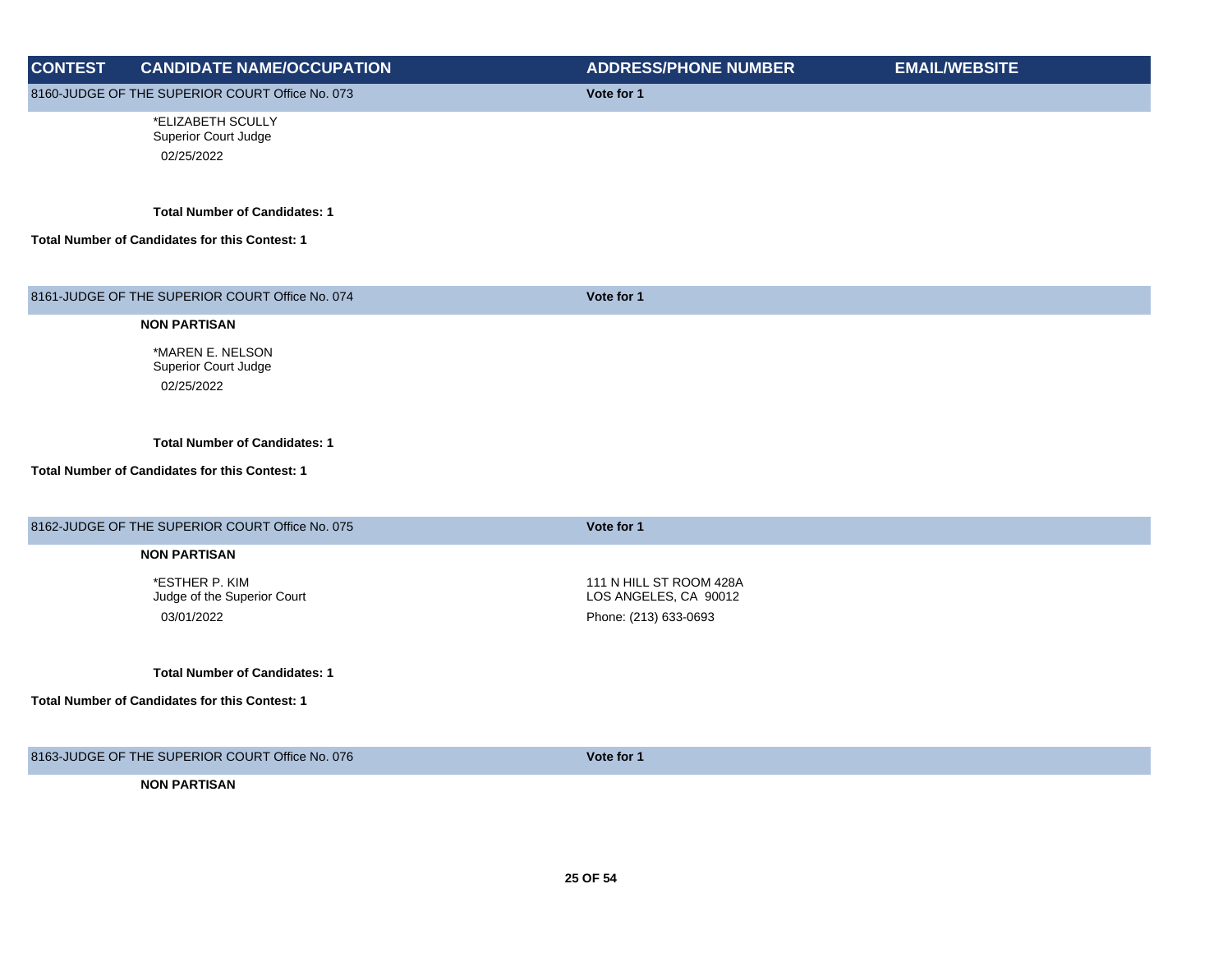| <b>CONTEST</b> | <b>CANDIDATE NAME/OCCUPATION</b>                      | <b>ADDRESS/PHONE NUMBER</b> | <b>EMAIL/WEBSITE</b> |
|----------------|-------------------------------------------------------|-----------------------------|----------------------|
|                | 8160-JUDGE OF THE SUPERIOR COURT Office No. 073       | Vote for 1                  |                      |
|                | *ELIZABETH SCULLY                                     |                             |                      |
|                | Superior Court Judge                                  |                             |                      |
|                | 02/25/2022                                            |                             |                      |
|                | <b>Total Number of Candidates: 1</b>                  |                             |                      |
|                | Total Number of Candidates for this Contest: 1        |                             |                      |
|                |                                                       |                             |                      |
|                | 8161-JUDGE OF THE SUPERIOR COURT Office No. 074       | Vote for 1                  |                      |
|                | <b>NON PARTISAN</b>                                   |                             |                      |
|                | *MAREN E. NELSON                                      |                             |                      |
|                | Superior Court Judge                                  |                             |                      |
|                | 02/25/2022                                            |                             |                      |
|                |                                                       |                             |                      |
|                | <b>Total Number of Candidates: 1</b>                  |                             |                      |
|                | Total Number of Candidates for this Contest: 1        |                             |                      |
|                |                                                       |                             |                      |
|                | 8162-JUDGE OF THE SUPERIOR COURT Office No. 075       | Vote for 1                  |                      |
|                | <b>NON PARTISAN</b>                                   |                             |                      |
|                | *ESTHER P. KIM                                        | 111 N HILL ST ROOM 428A     |                      |
|                | Judge of the Superior Court                           | LOS ANGELES, CA 90012       |                      |
|                | 03/01/2022                                            | Phone: (213) 633-0693       |                      |
|                |                                                       |                             |                      |
|                | <b>Total Number of Candidates: 1</b>                  |                             |                      |
|                | <b>Total Number of Candidates for this Contest: 1</b> |                             |                      |
|                |                                                       |                             |                      |
|                | 8163-JUDGE OF THE SUPERIOR COURT Office No. 076       | Vote for 1                  |                      |
|                |                                                       |                             |                      |

**NON PARTISAN**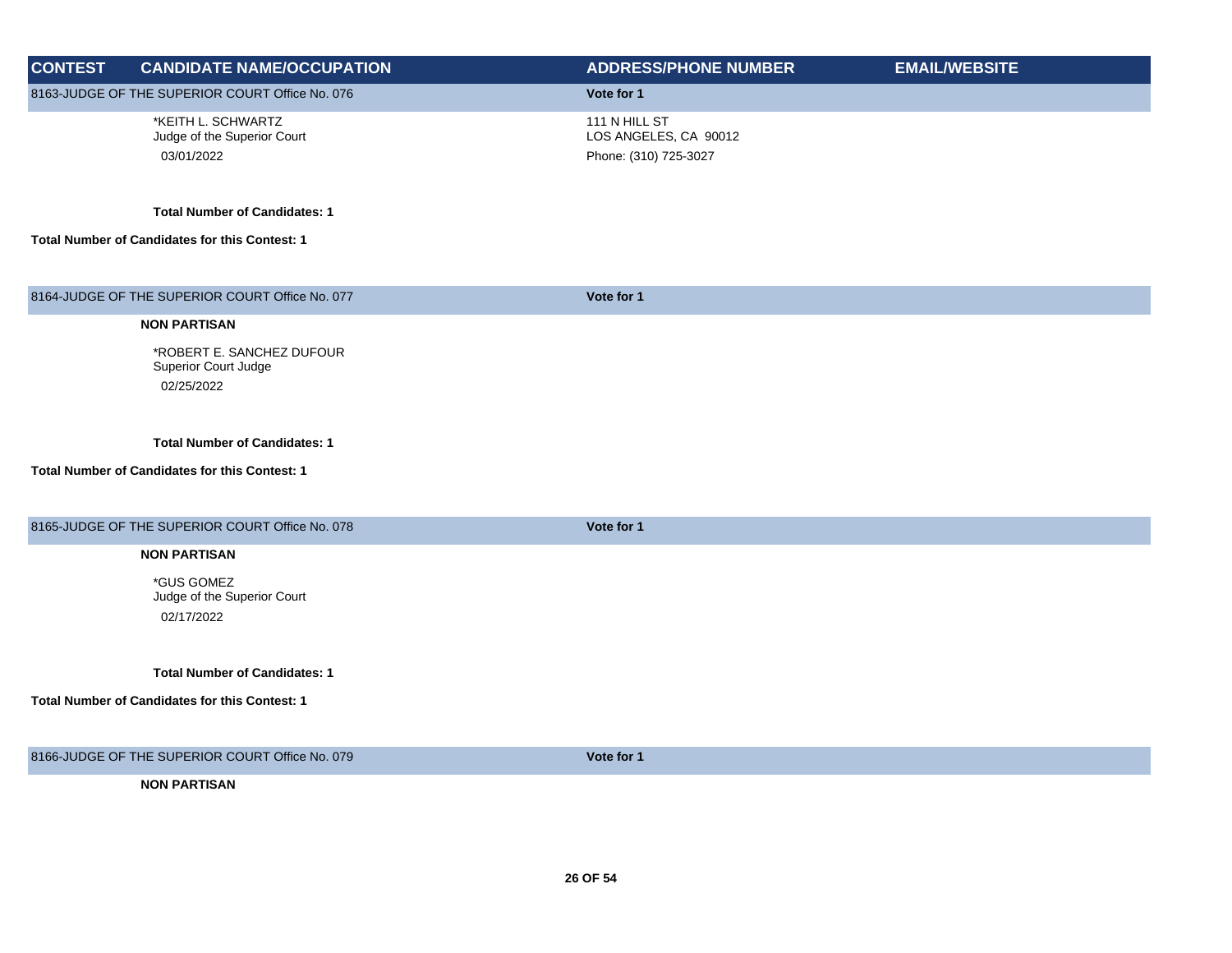| <b>CONTEST</b> | <b>CANDIDATE NAME/OCCUPATION</b>                                       | <b>ADDRESS/PHONE NUMBER</b>                                     | <b>EMAIL/WEBSITE</b> |
|----------------|------------------------------------------------------------------------|-----------------------------------------------------------------|----------------------|
|                | 8163-JUDGE OF THE SUPERIOR COURT Office No. 076                        | Vote for 1                                                      |                      |
|                | *KEITH L. SCHWARTZ<br>Judge of the Superior Court<br>03/01/2022        | 111 N HILL ST<br>LOS ANGELES, CA 90012<br>Phone: (310) 725-3027 |                      |
|                | <b>Total Number of Candidates: 1</b>                                   |                                                                 |                      |
|                | <b>Total Number of Candidates for this Contest: 1</b>                  |                                                                 |                      |
|                | 8164-JUDGE OF THE SUPERIOR COURT Office No. 077                        | Vote for 1                                                      |                      |
|                | <b>NON PARTISAN</b>                                                    |                                                                 |                      |
|                | *ROBERT E. SANCHEZ DUFOUR<br><b>Superior Court Judge</b><br>02/25/2022 |                                                                 |                      |
|                | <b>Total Number of Candidates: 1</b>                                   |                                                                 |                      |
|                | Total Number of Candidates for this Contest: 1                         |                                                                 |                      |
|                | 8165-JUDGE OF THE SUPERIOR COURT Office No. 078                        | Vote for 1                                                      |                      |
|                | <b>NON PARTISAN</b>                                                    |                                                                 |                      |
|                | *GUS GOMEZ<br>Judge of the Superior Court<br>02/17/2022                |                                                                 |                      |
|                | <b>Total Number of Candidates: 1</b>                                   |                                                                 |                      |
|                | Total Number of Candidates for this Contest: 1                         |                                                                 |                      |
|                | 8166-JUDGE OF THE SUPERIOR COURT Office No. 079                        | Vote for 1                                                      |                      |
|                | <b>NON PARTISAN</b>                                                    |                                                                 |                      |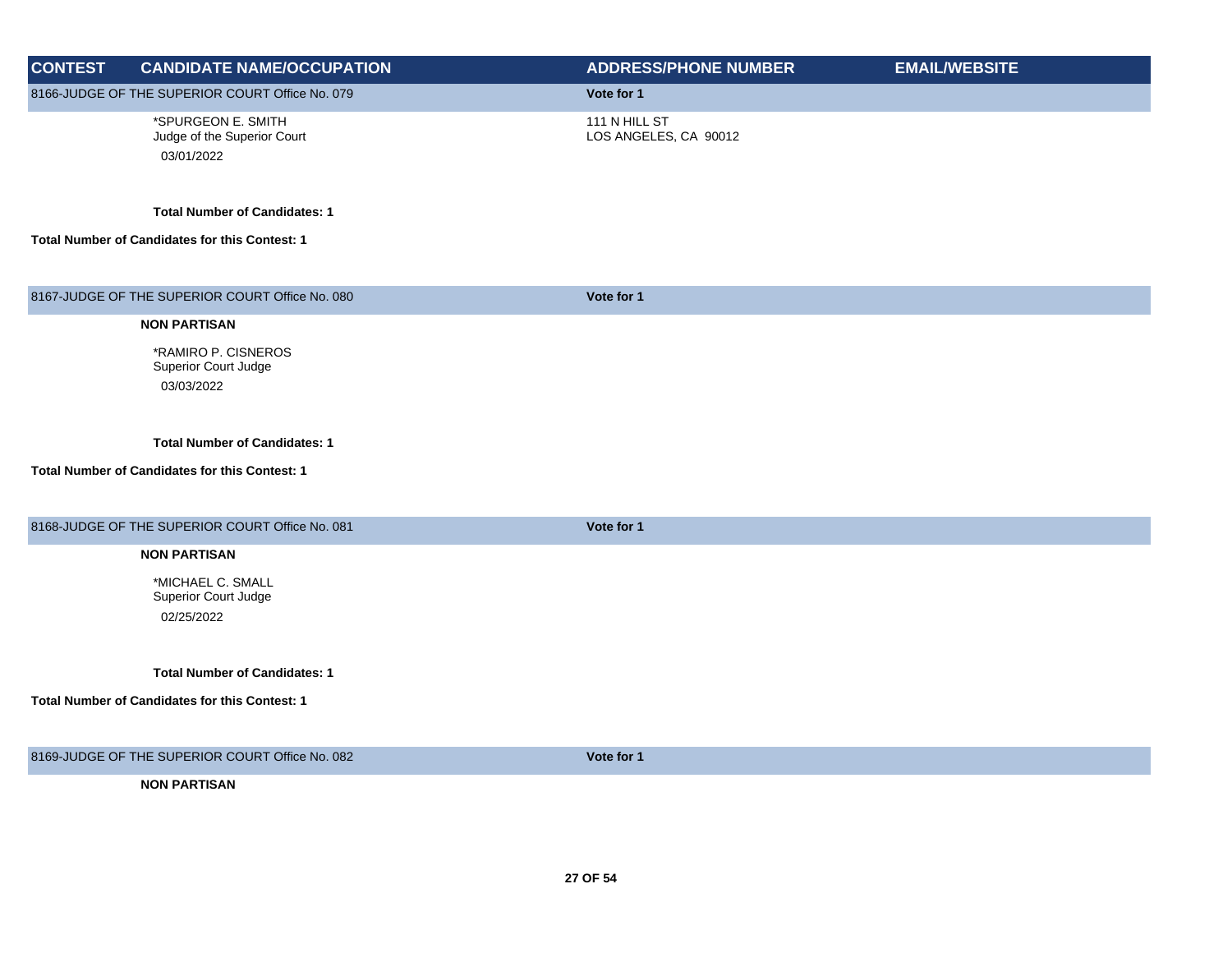| <b>CONTEST</b> | <b>CANDIDATE NAME/OCCUPATION</b>                                | <b>ADDRESS/PHONE NUMBER</b>            | <b>EMAIL/WEBSITE</b> |
|----------------|-----------------------------------------------------------------|----------------------------------------|----------------------|
|                | 8166-JUDGE OF THE SUPERIOR COURT Office No. 079                 | Vote for 1                             |                      |
|                | *SPURGEON E. SMITH<br>Judge of the Superior Court<br>03/01/2022 | 111 N HILL ST<br>LOS ANGELES, CA 90012 |                      |
|                | <b>Total Number of Candidates: 1</b>                            |                                        |                      |
|                | Total Number of Candidates for this Contest: 1                  |                                        |                      |
|                | 8167-JUDGE OF THE SUPERIOR COURT Office No. 080                 | Vote for 1                             |                      |
|                | <b>NON PARTISAN</b>                                             |                                        |                      |
|                | *RAMIRO P. CISNEROS<br>Superior Court Judge<br>03/03/2022       |                                        |                      |
|                | <b>Total Number of Candidates: 1</b>                            |                                        |                      |
|                | Total Number of Candidates for this Contest: 1                  |                                        |                      |
|                | 8168-JUDGE OF THE SUPERIOR COURT Office No. 081                 | Vote for 1                             |                      |
|                | <b>NON PARTISAN</b>                                             |                                        |                      |
|                | *MICHAEL C. SMALL<br>Superior Court Judge<br>02/25/2022         |                                        |                      |
|                |                                                                 |                                        |                      |
|                | <b>Total Number of Candidates: 1</b>                            |                                        |                      |
|                | Total Number of Candidates for this Contest: 1                  |                                        |                      |
|                | 8169-JUDGE OF THE SUPERIOR COURT Office No. 082                 | Vote for 1                             |                      |
|                | <b>NON PARTISAN</b>                                             |                                        |                      |
|                |                                                                 |                                        |                      |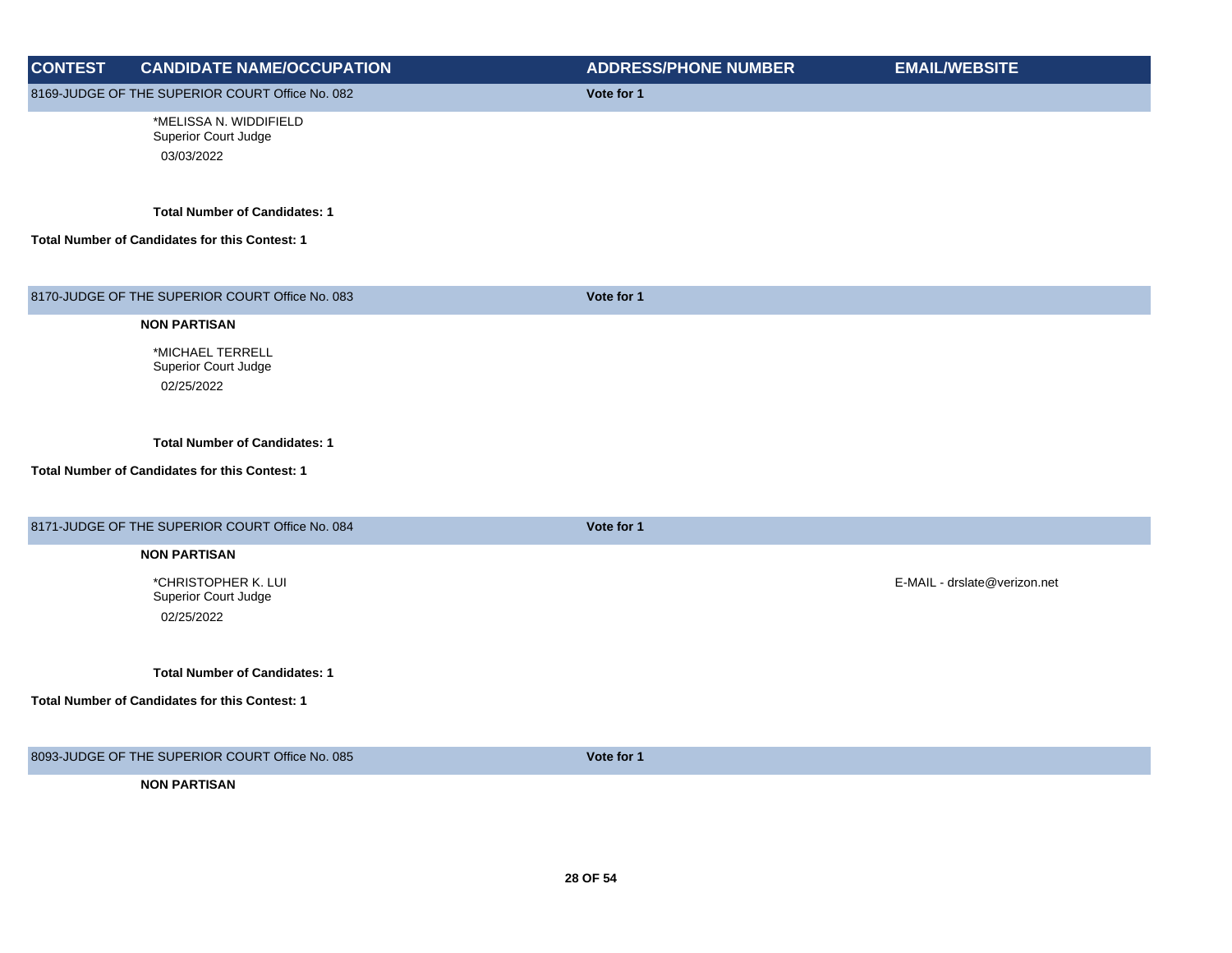| <b>CONTEST</b> | <b>CANDIDATE NAME/OCCUPATION</b>                             | <b>ADDRESS/PHONE NUMBER</b> | <b>EMAIL/WEBSITE</b>         |
|----------------|--------------------------------------------------------------|-----------------------------|------------------------------|
|                | 8169-JUDGE OF THE SUPERIOR COURT Office No. 082              | Vote for 1                  |                              |
|                | *MELISSA N. WIDDIFIELD<br>Superior Court Judge<br>03/03/2022 |                             |                              |
|                | <b>Total Number of Candidates: 1</b>                         |                             |                              |
|                | Total Number of Candidates for this Contest: 1               |                             |                              |
|                | 8170-JUDGE OF THE SUPERIOR COURT Office No. 083              | Vote for 1                  |                              |
|                | <b>NON PARTISAN</b>                                          |                             |                              |
|                | *MICHAEL TERRELL<br>Superior Court Judge                     |                             |                              |
|                | 02/25/2022                                                   |                             |                              |
|                | <b>Total Number of Candidates: 1</b>                         |                             |                              |
|                | Total Number of Candidates for this Contest: 1               |                             |                              |
|                | 8171-JUDGE OF THE SUPERIOR COURT Office No. 084              | Vote for 1                  |                              |
|                | <b>NON PARTISAN</b>                                          |                             |                              |
|                | *CHRISTOPHER K. LUI<br>Superior Court Judge<br>02/25/2022    |                             | E-MAIL - drslate@verizon.net |
|                | <b>Total Number of Candidates: 1</b>                         |                             |                              |
|                | <b>Total Number of Candidates for this Contest: 1</b>        |                             |                              |
|                | 8093-JUDGE OF THE SUPERIOR COURT Office No. 085              | Vote for 1                  |                              |
|                | <b>NON PARTISAN</b>                                          |                             |                              |
|                |                                                              |                             |                              |
|                |                                                              |                             |                              |
|                |                                                              |                             |                              |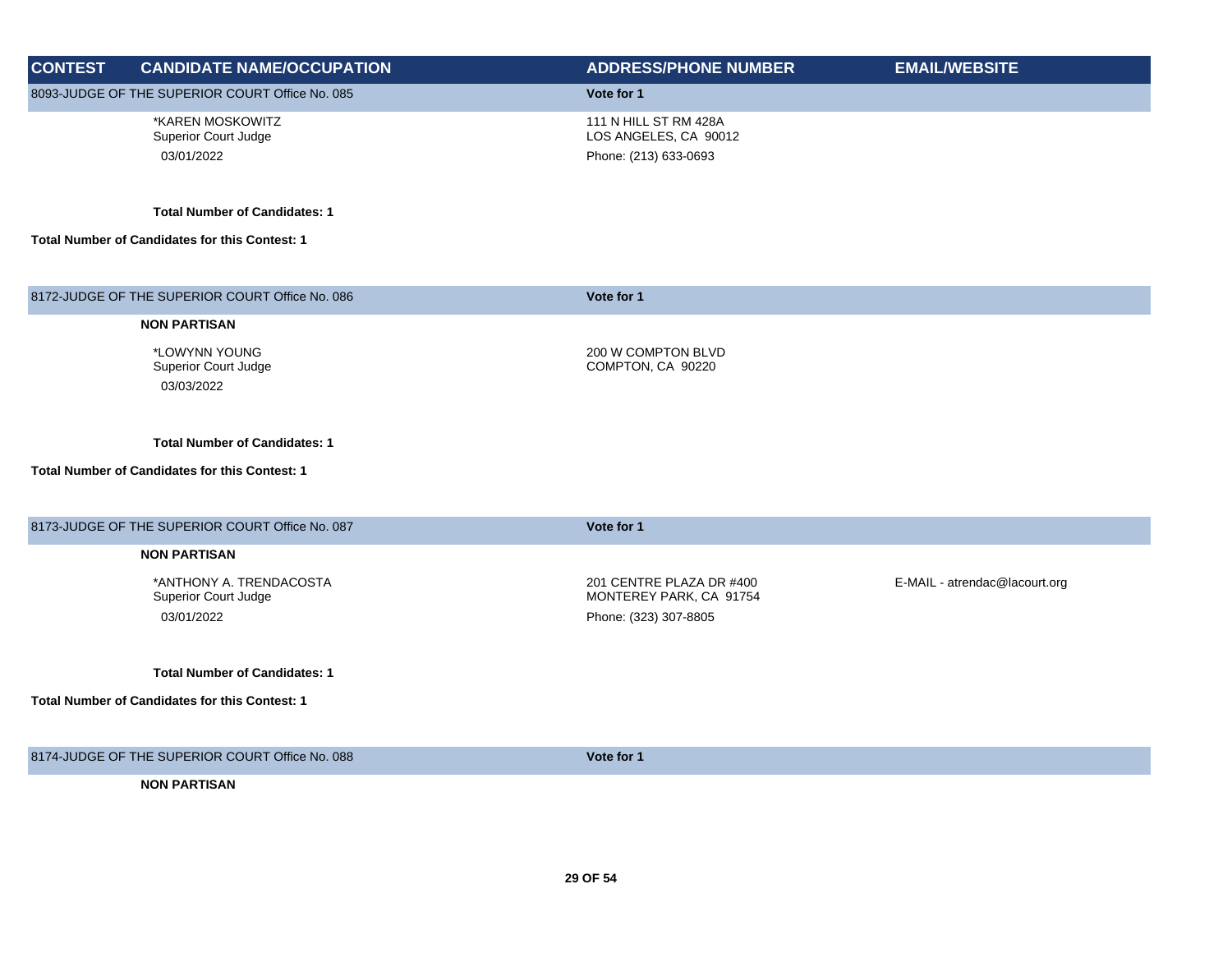| <b>CONTEST</b> | <b>CANDIDATE NAME/OCCUPATION</b>                | <b>ADDRESS/PHONE NUMBER</b>                         | <b>EMAIL/WEBSITE</b>          |
|----------------|-------------------------------------------------|-----------------------------------------------------|-------------------------------|
|                | 8093-JUDGE OF THE SUPERIOR COURT Office No. 085 | Vote for 1                                          |                               |
|                | *KAREN MOSKOWITZ<br><b>Superior Court Judge</b> | 111 N HILL ST RM 428A<br>LOS ANGELES, CA 90012      |                               |
|                | 03/01/2022                                      | Phone: (213) 633-0693                               |                               |
|                |                                                 |                                                     |                               |
|                | <b>Total Number of Candidates: 1</b>            |                                                     |                               |
|                | Total Number of Candidates for this Contest: 1  |                                                     |                               |
|                |                                                 |                                                     |                               |
|                | 8172-JUDGE OF THE SUPERIOR COURT Office No. 086 | Vote for 1                                          |                               |
|                | <b>NON PARTISAN</b>                             |                                                     |                               |
|                | *LOWYNN YOUNG                                   | 200 W COMPTON BLVD                                  |                               |
|                | Superior Court Judge<br>03/03/2022              | COMPTON, CA 90220                                   |                               |
|                |                                                 |                                                     |                               |
|                | <b>Total Number of Candidates: 1</b>            |                                                     |                               |
|                | Total Number of Candidates for this Contest: 1  |                                                     |                               |
|                |                                                 |                                                     |                               |
|                | 8173-JUDGE OF THE SUPERIOR COURT Office No. 087 | Vote for 1                                          |                               |
|                | <b>NON PARTISAN</b>                             |                                                     |                               |
|                | *ANTHONY A. TRENDACOSTA<br>Superior Court Judge | 201 CENTRE PLAZA DR #400<br>MONTEREY PARK, CA 91754 | E-MAIL - atrendac@lacourt.org |
|                | 03/01/2022                                      | Phone: (323) 307-8805                               |                               |
|                |                                                 |                                                     |                               |
|                | <b>Total Number of Candidates: 1</b>            |                                                     |                               |
|                | Total Number of Candidates for this Contest: 1  |                                                     |                               |
|                |                                                 |                                                     |                               |
|                | 8174-JUDGE OF THE SUPERIOR COURT Office No. 088 | Vote for 1                                          |                               |
|                | <b>NON PARTISAN</b>                             |                                                     |                               |
|                |                                                 |                                                     |                               |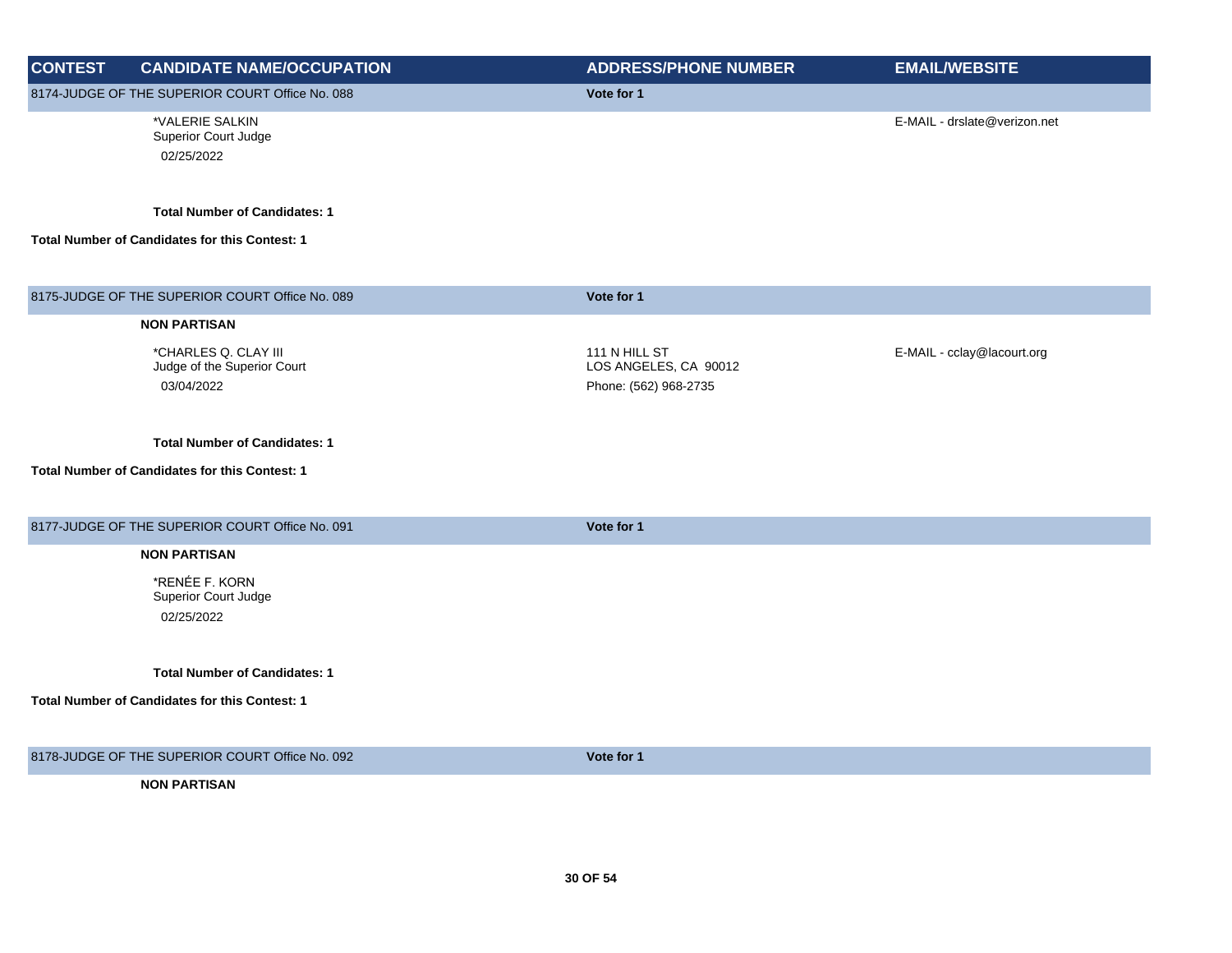| <b>CONTEST</b> | <b>CANDIDATE NAME/OCCUPATION</b>                                  | <b>ADDRESS/PHONE NUMBER</b>                                     | <b>EMAIL/WEBSITE</b>         |
|----------------|-------------------------------------------------------------------|-----------------------------------------------------------------|------------------------------|
|                | 8174-JUDGE OF THE SUPERIOR COURT Office No. 088                   | Vote for 1                                                      |                              |
|                | *VALERIE SALKIN<br>Superior Court Judge<br>02/25/2022             |                                                                 | E-MAIL - drslate@verizon.net |
|                | <b>Total Number of Candidates: 1</b>                              |                                                                 |                              |
|                | Total Number of Candidates for this Contest: 1                    |                                                                 |                              |
|                | 8175-JUDGE OF THE SUPERIOR COURT Office No. 089                   | Vote for 1                                                      |                              |
|                | <b>NON PARTISAN</b>                                               |                                                                 |                              |
|                | *CHARLES Q. CLAY III<br>Judge of the Superior Court<br>03/04/2022 | 111 N HILL ST<br>LOS ANGELES, CA 90012<br>Phone: (562) 968-2735 | E-MAIL - cclay@lacourt.org   |
|                | <b>Total Number of Candidates: 1</b>                              |                                                                 |                              |
|                | Total Number of Candidates for this Contest: 1                    |                                                                 |                              |
|                | 8177-JUDGE OF THE SUPERIOR COURT Office No. 091                   | Vote for 1                                                      |                              |
|                | <b>NON PARTISAN</b>                                               |                                                                 |                              |
|                | *RENÉE F. KORN<br>Superior Court Judge<br>02/25/2022              |                                                                 |                              |
|                | <b>Total Number of Candidates: 1</b>                              |                                                                 |                              |
|                | <b>Total Number of Candidates for this Contest: 1</b>             |                                                                 |                              |
|                | 8178-JUDGE OF THE SUPERIOR COURT Office No. 092                   | Vote for 1                                                      |                              |
|                | <b>NON PARTISAN</b>                                               |                                                                 |                              |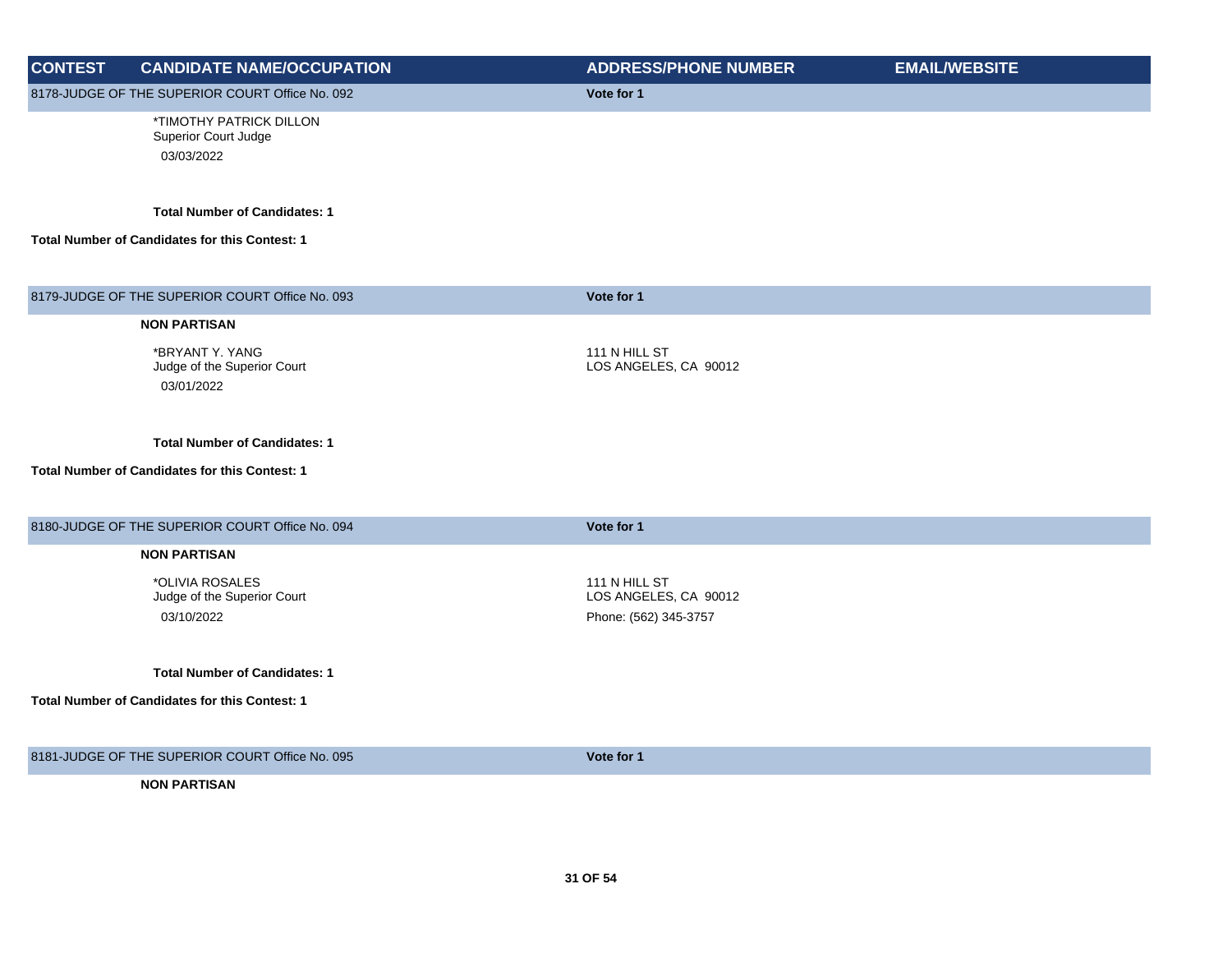| <b>CONTEST</b> | <b>CANDIDATE NAME/OCCUPATION</b>                              | <b>ADDRESS/PHONE NUMBER</b>                                     | <b>EMAIL/WEBSITE</b> |
|----------------|---------------------------------------------------------------|-----------------------------------------------------------------|----------------------|
|                | 8178-JUDGE OF THE SUPERIOR COURT Office No. 092               | Vote for 1                                                      |                      |
|                | *TIMOTHY PATRICK DILLON<br>Superior Court Judge<br>03/03/2022 |                                                                 |                      |
|                | <b>Total Number of Candidates: 1</b>                          |                                                                 |                      |
|                | <b>Total Number of Candidates for this Contest: 1</b>         |                                                                 |                      |
|                | 8179-JUDGE OF THE SUPERIOR COURT Office No. 093               | Vote for 1                                                      |                      |
|                | <b>NON PARTISAN</b>                                           |                                                                 |                      |
|                | *BRYANT Y. YANG<br>Judge of the Superior Court<br>03/01/2022  | 111 N HILL ST<br>LOS ANGELES, CA 90012                          |                      |
|                | <b>Total Number of Candidates: 1</b>                          |                                                                 |                      |
|                | Total Number of Candidates for this Contest: 1                |                                                                 |                      |
|                | 8180-JUDGE OF THE SUPERIOR COURT Office No. 094               | Vote for 1                                                      |                      |
|                | <b>NON PARTISAN</b>                                           |                                                                 |                      |
|                | *OLIVIA ROSALES<br>Judge of the Superior Court<br>03/10/2022  | 111 N HILL ST<br>LOS ANGELES, CA 90012<br>Phone: (562) 345-3757 |                      |
|                | <b>Total Number of Candidates: 1</b>                          |                                                                 |                      |
|                | <b>Total Number of Candidates for this Contest: 1</b>         |                                                                 |                      |
|                | 8181-JUDGE OF THE SUPERIOR COURT Office No. 095               | Vote for 1                                                      |                      |
|                | <b>NON PARTISAN</b>                                           |                                                                 |                      |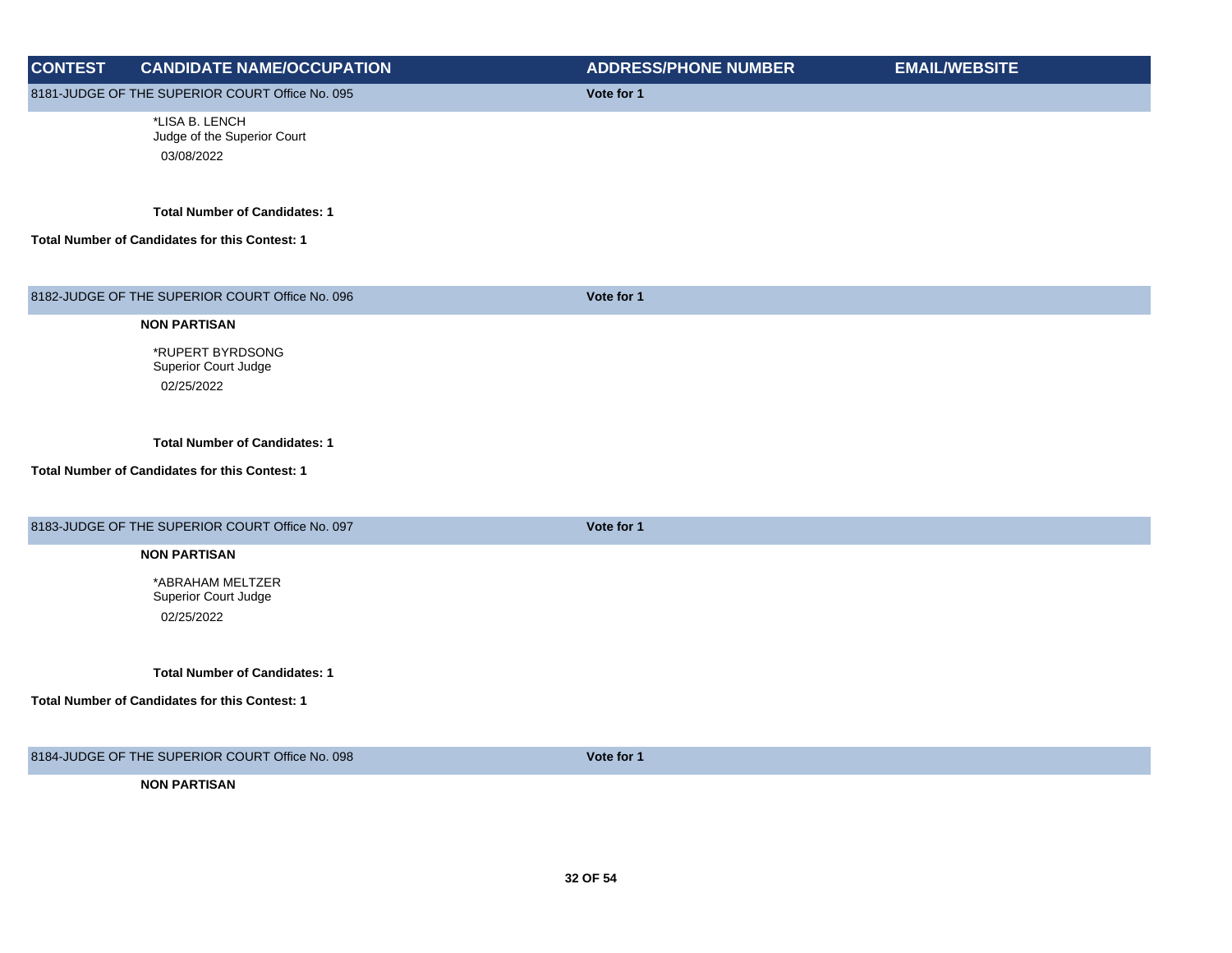| <b>CONTEST</b> | <b>CANDIDATE NAME/OCCUPATION</b>                                                       | <b>ADDRESS/PHONE NUMBER</b> | <b>EMAIL/WEBSITE</b> |
|----------------|----------------------------------------------------------------------------------------|-----------------------------|----------------------|
|                | 8181-JUDGE OF THE SUPERIOR COURT Office No. 095                                        | Vote for 1                  |                      |
|                | *LISA B. LENCH<br>Judge of the Superior Court<br>03/08/2022                            |                             |                      |
|                | <b>Total Number of Candidates: 1</b><br>Total Number of Candidates for this Contest: 1 |                             |                      |
|                | 8182-JUDGE OF THE SUPERIOR COURT Office No. 096                                        | Vote for 1                  |                      |
|                | <b>NON PARTISAN</b>                                                                    |                             |                      |
|                | *RUPERT BYRDSONG<br>Superior Court Judge<br>02/25/2022                                 |                             |                      |
|                | <b>Total Number of Candidates: 1</b><br>Total Number of Candidates for this Contest: 1 |                             |                      |
|                | 8183-JUDGE OF THE SUPERIOR COURT Office No. 097                                        | Vote for 1                  |                      |
|                | <b>NON PARTISAN</b>                                                                    |                             |                      |
|                | *ABRAHAM MELTZER<br>Superior Court Judge<br>02/25/2022                                 |                             |                      |
|                | <b>Total Number of Candidates: 1</b>                                                   |                             |                      |
|                | Total Number of Candidates for this Contest: 1                                         |                             |                      |
|                | 8184-JUDGE OF THE SUPERIOR COURT Office No. 098                                        | Vote for 1                  |                      |
|                | <b>NON PARTISAN</b>                                                                    |                             |                      |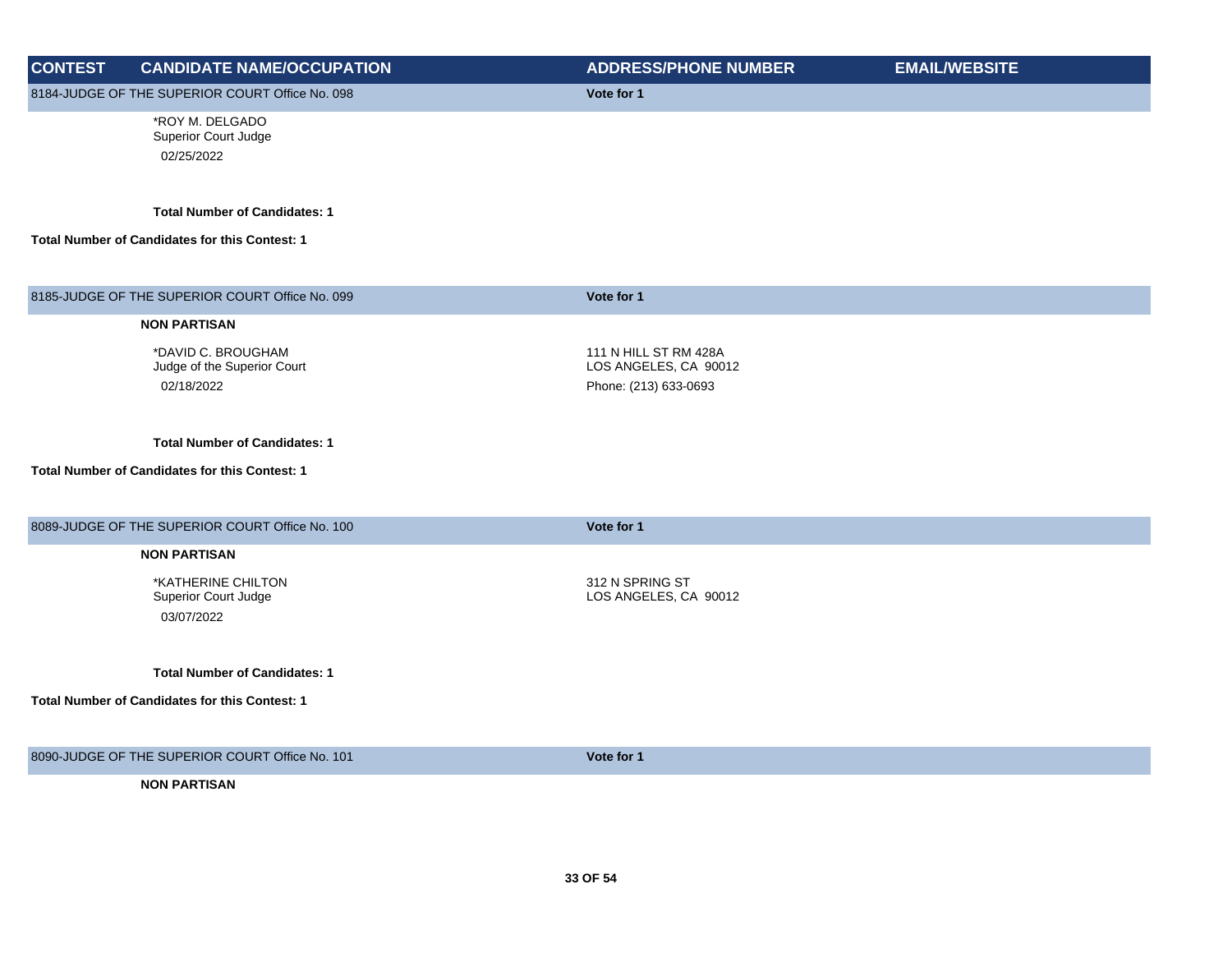| <b>CONTEST</b> | <b>CANDIDATE NAME/OCCUPATION</b>                      | <b>ADDRESS/PHONE NUMBER</b> | <b>EMAIL/WEBSITE</b> |
|----------------|-------------------------------------------------------|-----------------------------|----------------------|
|                | 8184-JUDGE OF THE SUPERIOR COURT Office No. 098       | Vote for 1                  |                      |
|                | *ROY M. DELGADO                                       |                             |                      |
|                | Superior Court Judge                                  |                             |                      |
|                | 02/25/2022                                            |                             |                      |
|                | <b>Total Number of Candidates: 1</b>                  |                             |                      |
|                | Total Number of Candidates for this Contest: 1        |                             |                      |
|                | 8185-JUDGE OF THE SUPERIOR COURT Office No. 099       | Vote for 1                  |                      |
|                | <b>NON PARTISAN</b>                                   |                             |                      |
|                | *DAVID C. BROUGHAM                                    | 111 N HILL ST RM 428A       |                      |
|                | Judge of the Superior Court                           | LOS ANGELES, CA 90012       |                      |
|                | 02/18/2022                                            | Phone: (213) 633-0693       |                      |
|                |                                                       |                             |                      |
|                | <b>Total Number of Candidates: 1</b>                  |                             |                      |
|                | <b>Total Number of Candidates for this Contest: 1</b> |                             |                      |
|                | 8089-JUDGE OF THE SUPERIOR COURT Office No. 100       | Vote for 1                  |                      |
|                |                                                       |                             |                      |
|                | <b>NON PARTISAN</b>                                   |                             |                      |
|                | *KATHERINE CHILTON<br>Superior Court Judge            | 312 N SPRING ST             |                      |
|                | 03/07/2022                                            | LOS ANGELES, CA 90012       |                      |
|                |                                                       |                             |                      |
|                | <b>Total Number of Candidates: 1</b>                  |                             |                      |
|                | Total Number of Candidates for this Contest: 1        |                             |                      |
|                |                                                       |                             |                      |
|                | 8090-JUDGE OF THE SUPERIOR COURT Office No. 101       | Vote for 1                  |                      |
|                | <b>NON PARTISAN</b>                                   |                             |                      |
|                |                                                       |                             |                      |
|                |                                                       |                             |                      |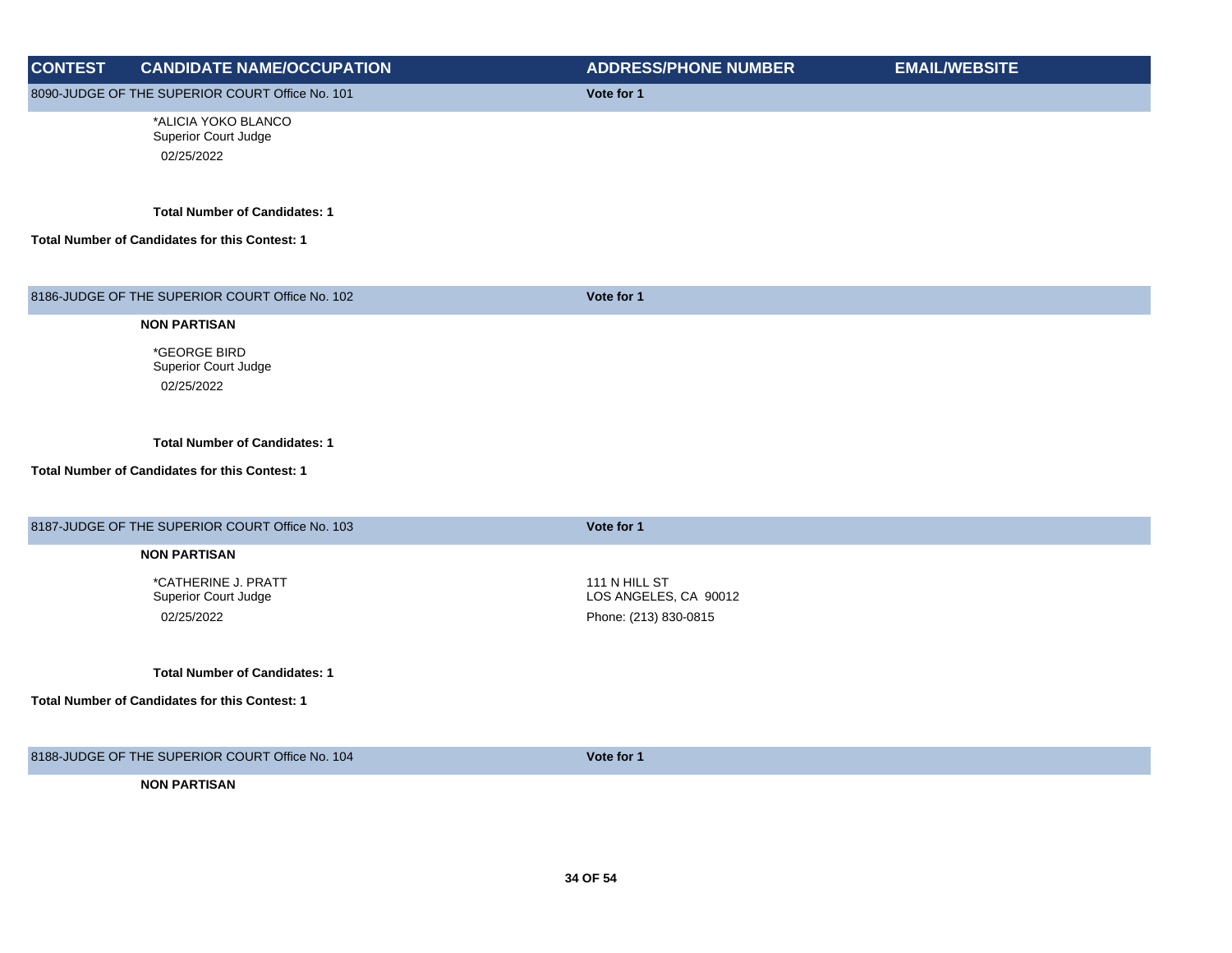| <b>CONTEST</b> | <b>CANDIDATE NAME/OCCUPATION</b>                | <b>ADDRESS/PHONE NUMBER</b> | <b>EMAIL/WEBSITE</b> |
|----------------|-------------------------------------------------|-----------------------------|----------------------|
|                | 8090-JUDGE OF THE SUPERIOR COURT Office No. 101 | Vote for 1                  |                      |
|                | *ALICIA YOKO BLANCO                             |                             |                      |
|                | <b>Superior Court Judge</b>                     |                             |                      |
|                | 02/25/2022                                      |                             |                      |
|                | <b>Total Number of Candidates: 1</b>            |                             |                      |
|                | Total Number of Candidates for this Contest: 1  |                             |                      |
|                | 8186-JUDGE OF THE SUPERIOR COURT Office No. 102 | Vote for 1                  |                      |
|                | <b>NON PARTISAN</b>                             |                             |                      |
|                | *GEORGE BIRD                                    |                             |                      |
|                | Superior Court Judge                            |                             |                      |
|                | 02/25/2022                                      |                             |                      |
|                | <b>Total Number of Candidates: 1</b>            |                             |                      |
|                | Total Number of Candidates for this Contest: 1  |                             |                      |
|                | 8187-JUDGE OF THE SUPERIOR COURT Office No. 103 | Vote for 1                  |                      |
|                | <b>NON PARTISAN</b>                             |                             |                      |
|                | *CATHERINE J. PRATT                             | 111 N HILL ST               |                      |
|                | Superior Court Judge                            | LOS ANGELES, CA 90012       |                      |
|                | 02/25/2022                                      | Phone: (213) 830-0815       |                      |
|                |                                                 |                             |                      |
|                | <b>Total Number of Candidates: 1</b>            |                             |                      |
|                | Total Number of Candidates for this Contest: 1  |                             |                      |
|                | 8188-JUDGE OF THE SUPERIOR COURT Office No. 104 | Vote for 1                  |                      |

**NON PARTISAN**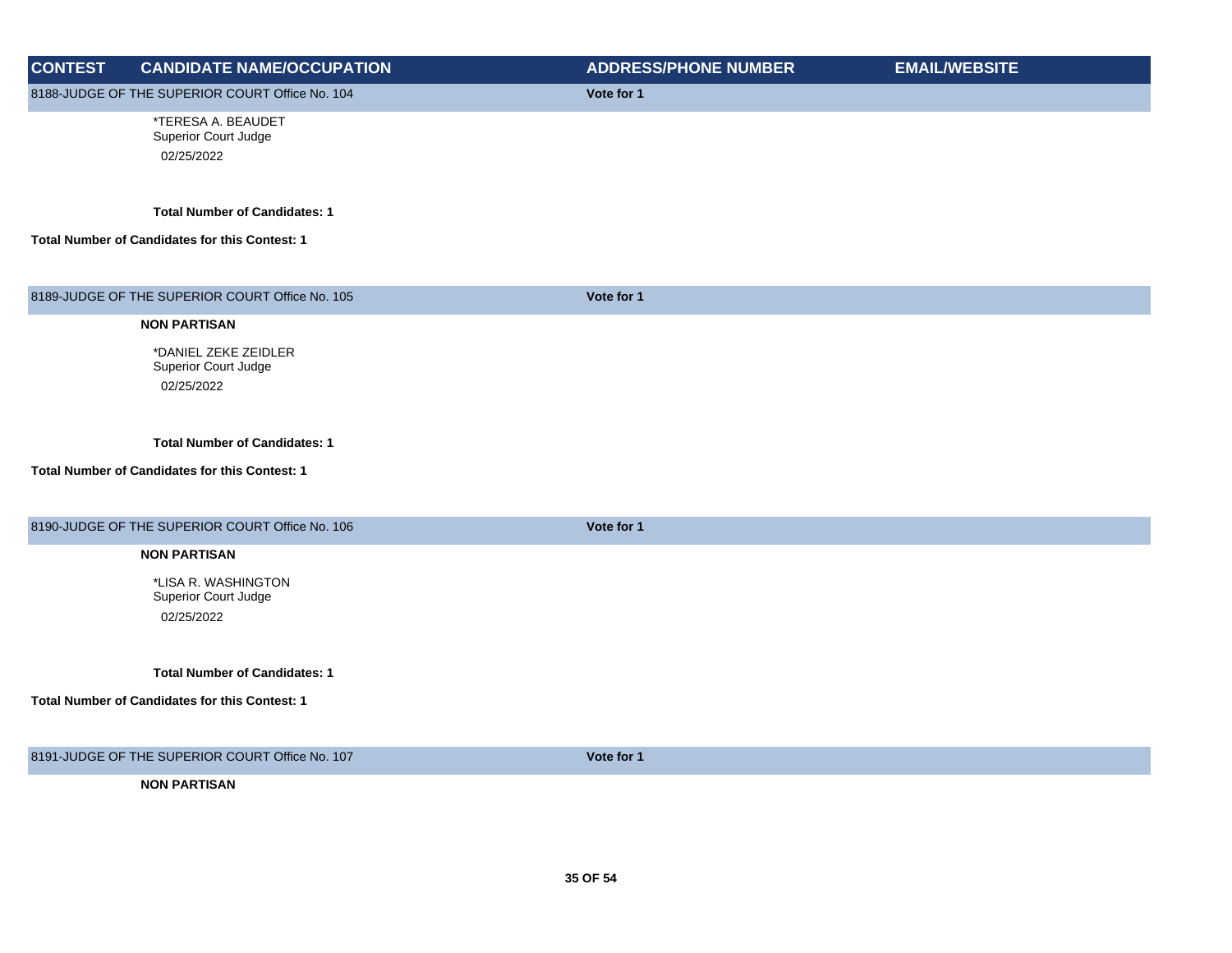| <b>CONTEST</b> | <b>CANDIDATE NAME/OCCUPATION</b>                | <b>ADDRESS/PHONE NUMBER</b> | <b>EMAIL/WEBSITE</b> |
|----------------|-------------------------------------------------|-----------------------------|----------------------|
|                | 8188-JUDGE OF THE SUPERIOR COURT Office No. 104 | Vote for 1                  |                      |
|                | *TERESA A. BEAUDET<br>Superior Court Judge      |                             |                      |
|                | 02/25/2022                                      |                             |                      |
|                |                                                 |                             |                      |
|                | <b>Total Number of Candidates: 1</b>            |                             |                      |
|                |                                                 |                             |                      |
|                | Total Number of Candidates for this Contest: 1  |                             |                      |
|                |                                                 |                             |                      |
|                | 8189-JUDGE OF THE SUPERIOR COURT Office No. 105 | Vote for 1                  |                      |
|                | <b>NON PARTISAN</b>                             |                             |                      |
|                | *DANIEL ZEKE ZEIDLER                            |                             |                      |
|                | Superior Court Judge<br>02/25/2022              |                             |                      |
|                |                                                 |                             |                      |
|                |                                                 |                             |                      |
|                | <b>Total Number of Candidates: 1</b>            |                             |                      |
|                | Total Number of Candidates for this Contest: 1  |                             |                      |
|                |                                                 |                             |                      |
|                | 8190-JUDGE OF THE SUPERIOR COURT Office No. 106 | Vote for 1                  |                      |
|                | <b>NON PARTISAN</b>                             |                             |                      |
|                | *LISA R. WASHINGTON                             |                             |                      |
|                | Superior Court Judge                            |                             |                      |
|                | 02/25/2022                                      |                             |                      |
|                |                                                 |                             |                      |
|                | <b>Total Number of Candidates: 1</b>            |                             |                      |
|                | Total Number of Candidates for this Contest: 1  |                             |                      |
|                |                                                 |                             |                      |
|                | 8191-JUDGE OF THE SUPERIOR COURT Office No. 107 | Vote for 1                  |                      |
|                | <b>NON PARTISAN</b>                             |                             |                      |
|                |                                                 |                             |                      |
|                |                                                 |                             |                      |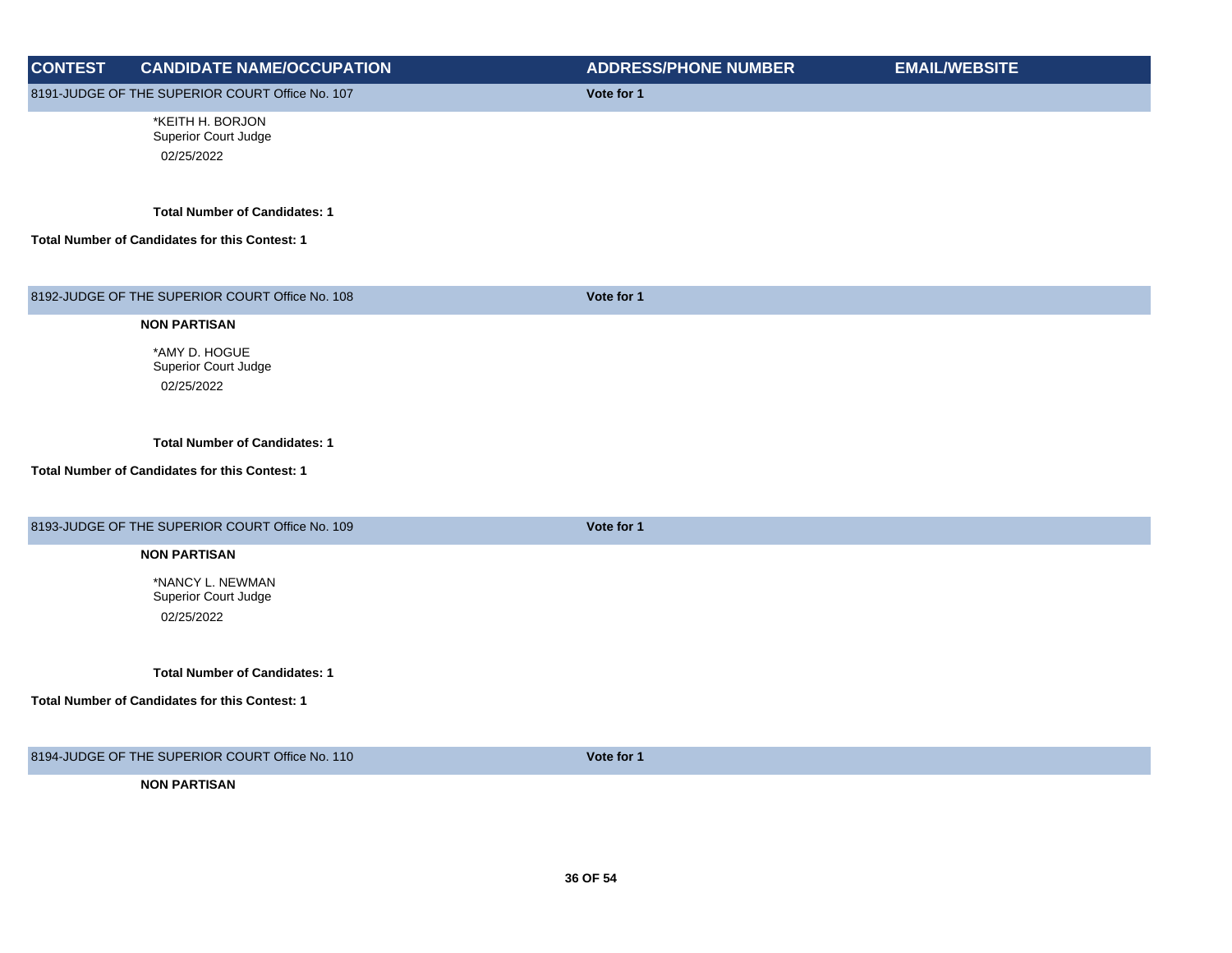| <b>CONTEST</b> | <b>CANDIDATE NAME/OCCUPATION</b>                                                       | <b>ADDRESS/PHONE NUMBER</b> | <b>EMAIL/WEBSITE</b> |
|----------------|----------------------------------------------------------------------------------------|-----------------------------|----------------------|
|                | 8191-JUDGE OF THE SUPERIOR COURT Office No. 107                                        | Vote for 1                  |                      |
|                | *KEITH H. BORJON<br>Superior Court Judge<br>02/25/2022                                 |                             |                      |
|                | <b>Total Number of Candidates: 1</b><br>Total Number of Candidates for this Contest: 1 |                             |                      |
|                |                                                                                        |                             |                      |
|                | 8192-JUDGE OF THE SUPERIOR COURT Office No. 108                                        | Vote for 1                  |                      |
|                | <b>NON PARTISAN</b>                                                                    |                             |                      |
|                | *AMY D. HOGUE<br>Superior Court Judge                                                  |                             |                      |
|                | 02/25/2022                                                                             |                             |                      |
|                | <b>Total Number of Candidates: 1</b>                                                   |                             |                      |
|                | Total Number of Candidates for this Contest: 1                                         |                             |                      |
|                | 8193-JUDGE OF THE SUPERIOR COURT Office No. 109                                        | Vote for 1                  |                      |
|                | <b>NON PARTISAN</b>                                                                    |                             |                      |
|                | *NANCY L. NEWMAN<br>Superior Court Judge                                               |                             |                      |
|                | 02/25/2022                                                                             |                             |                      |
|                | <b>Total Number of Candidates: 1</b>                                                   |                             |                      |
|                | Total Number of Candidates for this Contest: 1                                         |                             |                      |
|                | 8194-JUDGE OF THE SUPERIOR COURT Office No. 110                                        | Vote for 1                  |                      |
|                | <b>NON PARTISAN</b>                                                                    |                             |                      |
|                |                                                                                        |                             |                      |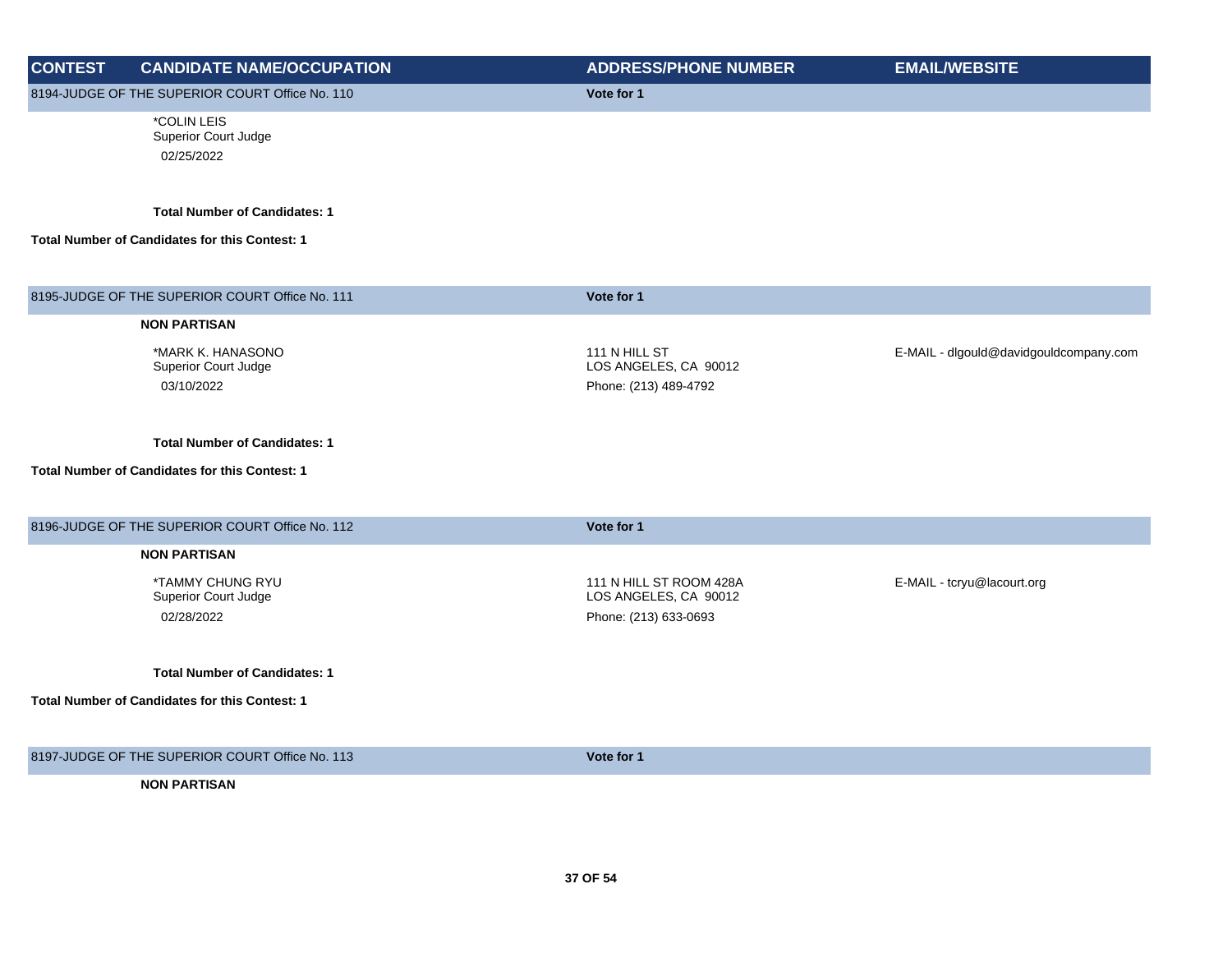| <b>CONTEST</b> | <b>CANDIDATE NAME/OCCUPATION</b>                      | <b>ADDRESS/PHONE NUMBER</b>                      | <b>EMAIL/WEBSITE</b>                   |
|----------------|-------------------------------------------------------|--------------------------------------------------|----------------------------------------|
|                | 8194-JUDGE OF THE SUPERIOR COURT Office No. 110       | Vote for 1                                       |                                        |
|                | *COLIN LEIS<br>Superior Court Judge<br>02/25/2022     |                                                  |                                        |
|                |                                                       |                                                  |                                        |
|                | <b>Total Number of Candidates: 1</b>                  |                                                  |                                        |
|                | Total Number of Candidates for this Contest: 1        |                                                  |                                        |
|                | 8195-JUDGE OF THE SUPERIOR COURT Office No. 111       | Vote for 1                                       |                                        |
|                | <b>NON PARTISAN</b>                                   |                                                  |                                        |
|                | *MARK K. HANASONO                                     | 111 N HILL ST                                    | E-MAIL - dlgould@davidgouldcompany.com |
|                | Superior Court Judge<br>03/10/2022                    | LOS ANGELES, CA 90012<br>Phone: (213) 489-4792   |                                        |
|                |                                                       |                                                  |                                        |
|                | <b>Total Number of Candidates: 1</b>                  |                                                  |                                        |
|                | <b>Total Number of Candidates for this Contest: 1</b> |                                                  |                                        |
|                | 8196-JUDGE OF THE SUPERIOR COURT Office No. 112       | Vote for 1                                       |                                        |
|                | <b>NON PARTISAN</b>                                   |                                                  |                                        |
|                | *TAMMY CHUNG RYU<br>Superior Court Judge              | 111 N HILL ST ROOM 428A<br>LOS ANGELES, CA 90012 | E-MAIL - tcryu@lacourt.org             |
|                | 02/28/2022                                            | Phone: (213) 633-0693                            |                                        |
|                | <b>Total Number of Candidates: 1</b>                  |                                                  |                                        |
|                | Total Number of Candidates for this Contest: 1        |                                                  |                                        |
|                |                                                       |                                                  |                                        |
|                | 8197-JUDGE OF THE SUPERIOR COURT Office No. 113       | Vote for 1                                       |                                        |
|                | <b>NON PARTISAN</b>                                   |                                                  |                                        |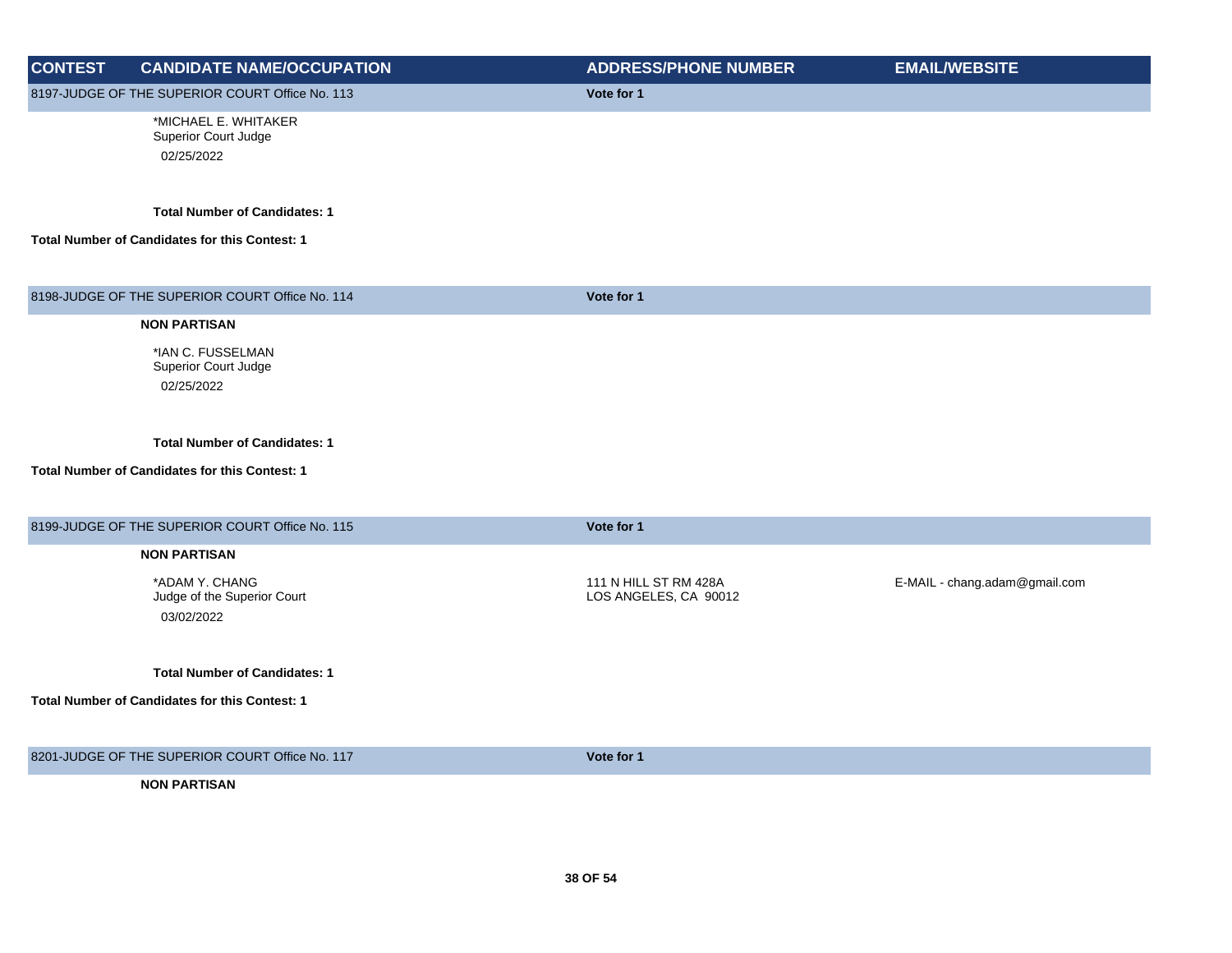| <b>CONTEST</b> | <b>CANDIDATE NAME/OCCUPATION</b>                            | <b>ADDRESS/PHONE NUMBER</b>                    | <b>EMAIL/WEBSITE</b>          |
|----------------|-------------------------------------------------------------|------------------------------------------------|-------------------------------|
|                | 8197-JUDGE OF THE SUPERIOR COURT Office No. 113             | Vote for 1                                     |                               |
|                | *MICHAEL E. WHITAKER<br>Superior Court Judge                |                                                |                               |
|                | 02/25/2022                                                  |                                                |                               |
|                | <b>Total Number of Candidates: 1</b>                        |                                                |                               |
|                | Total Number of Candidates for this Contest: 1              |                                                |                               |
|                | 8198-JUDGE OF THE SUPERIOR COURT Office No. 114             | Vote for 1                                     |                               |
|                | <b>NON PARTISAN</b>                                         |                                                |                               |
|                | *IAN C. FUSSELMAN<br>Superior Court Judge                   |                                                |                               |
|                | 02/25/2022                                                  |                                                |                               |
|                | <b>Total Number of Candidates: 1</b>                        |                                                |                               |
|                | Total Number of Candidates for this Contest: 1              |                                                |                               |
|                | 8199-JUDGE OF THE SUPERIOR COURT Office No. 115             | Vote for 1                                     |                               |
|                | <b>NON PARTISAN</b>                                         |                                                |                               |
|                | *ADAM Y. CHANG<br>Judge of the Superior Court<br>03/02/2022 | 111 N HILL ST RM 428A<br>LOS ANGELES, CA 90012 | E-MAIL - chang.adam@gmail.com |
|                | <b>Total Number of Candidates: 1</b>                        |                                                |                               |
|                | Total Number of Candidates for this Contest: 1              |                                                |                               |
|                | 8201-JUDGE OF THE SUPERIOR COURT Office No. 117             | Vote for 1                                     |                               |
|                | <b>NON PARTISAN</b>                                         |                                                |                               |
|                |                                                             |                                                |                               |
|                |                                                             |                                                |                               |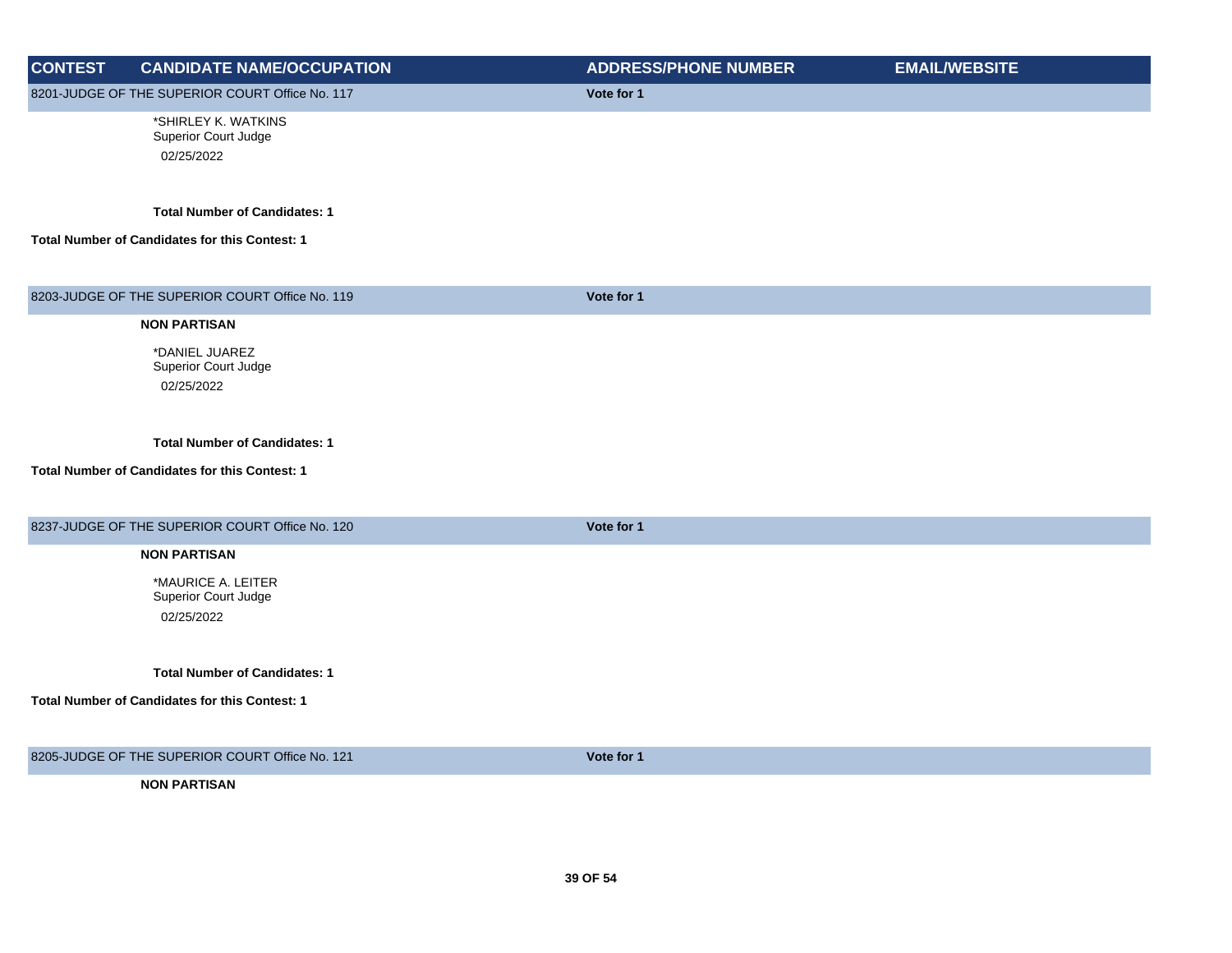| <b>CONTEST</b> | <b>CANDIDATE NAME/OCCUPATION</b>                          | <b>ADDRESS/PHONE NUMBER</b> | <b>EMAIL/WEBSITE</b> |
|----------------|-----------------------------------------------------------|-----------------------------|----------------------|
|                | 8201-JUDGE OF THE SUPERIOR COURT Office No. 117           | Vote for 1                  |                      |
|                | *SHIRLEY K. WATKINS<br>Superior Court Judge<br>02/25/2022 |                             |                      |
|                | <b>Total Number of Candidates: 1</b>                      |                             |                      |
|                | <b>Total Number of Candidates for this Contest: 1</b>     |                             |                      |
|                | 8203-JUDGE OF THE SUPERIOR COURT Office No. 119           | Vote for 1                  |                      |
|                | <b>NON PARTISAN</b>                                       |                             |                      |
|                | *DANIEL JUAREZ<br>Superior Court Judge                    |                             |                      |
|                | 02/25/2022                                                |                             |                      |
|                | <b>Total Number of Candidates: 1</b>                      |                             |                      |
|                | <b>Total Number of Candidates for this Contest: 1</b>     |                             |                      |
|                | 8237-JUDGE OF THE SUPERIOR COURT Office No. 120           | Vote for 1                  |                      |
|                | <b>NON PARTISAN</b>                                       |                             |                      |
|                | *MAURICE A. LEITER<br>Superior Court Judge                |                             |                      |
|                | 02/25/2022                                                |                             |                      |
|                | <b>Total Number of Candidates: 1</b>                      |                             |                      |
|                | <b>Total Number of Candidates for this Contest: 1</b>     |                             |                      |
|                | 8205-JUDGE OF THE SUPERIOR COURT Office No. 121           | Vote for 1                  |                      |
|                | <b>NON PARTISAN</b>                                       |                             |                      |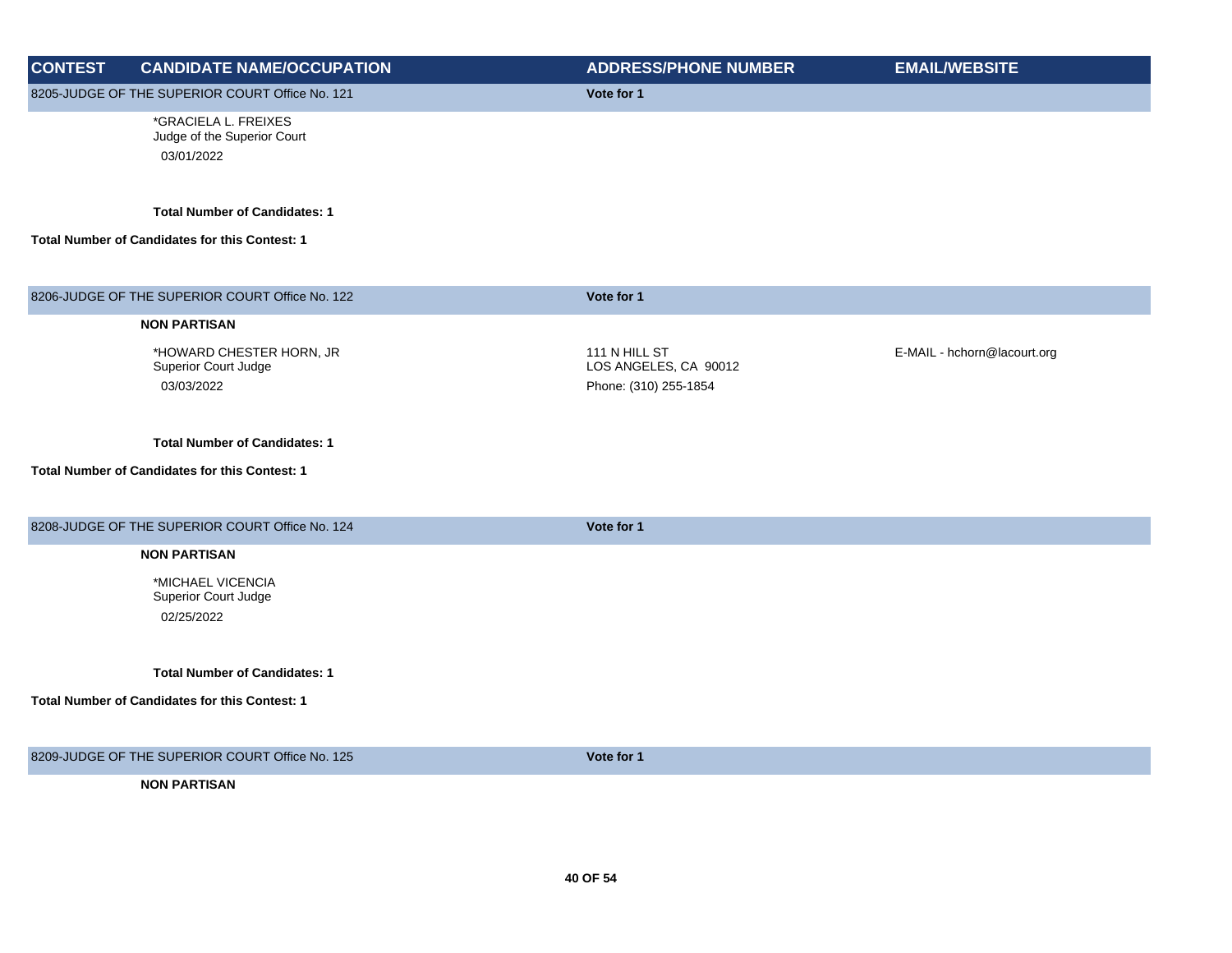| <b>CONTEST</b> | <b>CANDIDATE NAME/OCCUPATION</b>                                                              | <b>ADDRESS/PHONE NUMBER</b>                                     | <b>EMAIL/WEBSITE</b>        |
|----------------|-----------------------------------------------------------------------------------------------|-----------------------------------------------------------------|-----------------------------|
|                | 8205-JUDGE OF THE SUPERIOR COURT Office No. 121                                               | Vote for 1                                                      |                             |
|                | *GRACIELA L. FREIXES<br>Judge of the Superior Court<br>03/01/2022                             |                                                                 |                             |
|                | <b>Total Number of Candidates: 1</b><br>Total Number of Candidates for this Contest: 1        |                                                                 |                             |
|                | 8206-JUDGE OF THE SUPERIOR COURT Office No. 122                                               | Vote for 1                                                      |                             |
|                | <b>NON PARTISAN</b>                                                                           |                                                                 |                             |
|                | *HOWARD CHESTER HORN, JR<br>Superior Court Judge<br>03/03/2022                                | 111 N HILL ST<br>LOS ANGELES, CA 90012<br>Phone: (310) 255-1854 | E-MAIL - hchorn@lacourt.org |
|                | <b>Total Number of Candidates: 1</b><br><b>Total Number of Candidates for this Contest: 1</b> |                                                                 |                             |
|                | 8208-JUDGE OF THE SUPERIOR COURT Office No. 124                                               | Vote for 1                                                      |                             |
|                | <b>NON PARTISAN</b><br>*MICHAEL VICENCIA<br>Superior Court Judge<br>02/25/2022                |                                                                 |                             |
|                | <b>Total Number of Candidates: 1</b><br>Total Number of Candidates for this Contest: 1        |                                                                 |                             |
|                | 8209-JUDGE OF THE SUPERIOR COURT Office No. 125                                               | Vote for 1                                                      |                             |
|                | <b>NON PARTISAN</b>                                                                           |                                                                 |                             |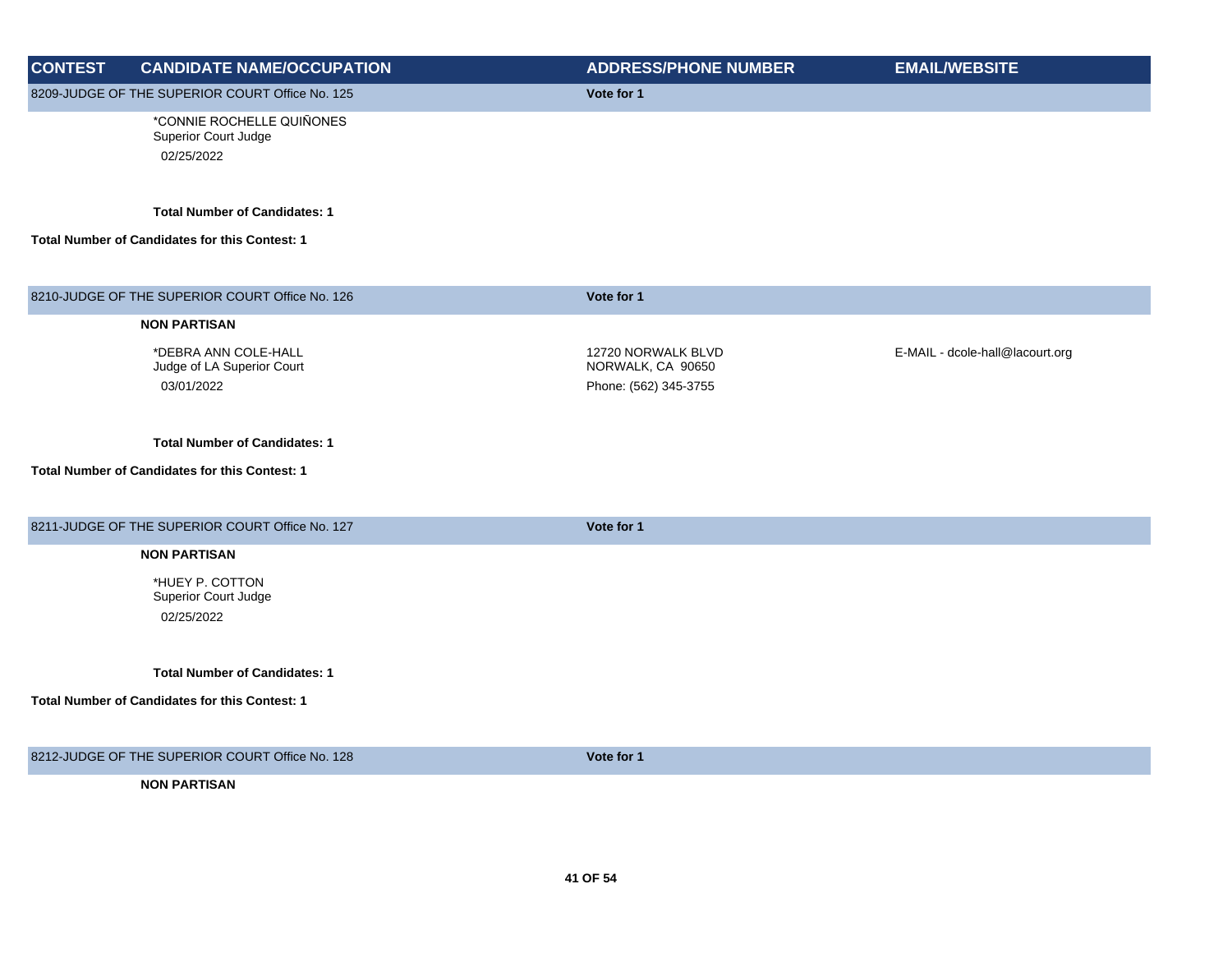| <b>CONTEST</b> | <b>CANDIDATE NAME/OCCUPATION</b>                                 | <b>ADDRESS/PHONE NUMBER</b>                                      | <b>EMAIL/WEBSITE</b>            |
|----------------|------------------------------------------------------------------|------------------------------------------------------------------|---------------------------------|
|                | 8209-JUDGE OF THE SUPERIOR COURT Office No. 125                  | Vote for 1                                                       |                                 |
|                | *CONNIE ROCHELLE QUIÑONES<br>Superior Court Judge<br>02/25/2022  |                                                                  |                                 |
|                | <b>Total Number of Candidates: 1</b>                             |                                                                  |                                 |
|                | <b>Total Number of Candidates for this Contest: 1</b>            |                                                                  |                                 |
|                | 8210-JUDGE OF THE SUPERIOR COURT Office No. 126                  | Vote for 1                                                       |                                 |
|                | <b>NON PARTISAN</b>                                              |                                                                  |                                 |
|                | *DEBRA ANN COLE-HALL<br>Judge of LA Superior Court<br>03/01/2022 | 12720 NORWALK BLVD<br>NORWALK, CA 90650<br>Phone: (562) 345-3755 | E-MAIL - dcole-hall@lacourt.org |
|                | <b>Total Number of Candidates: 1</b>                             |                                                                  |                                 |
|                | Total Number of Candidates for this Contest: 1                   |                                                                  |                                 |
|                | 8211-JUDGE OF THE SUPERIOR COURT Office No. 127                  | Vote for 1                                                       |                                 |
|                | <b>NON PARTISAN</b>                                              |                                                                  |                                 |
|                | *HUEY P. COTTON<br>Superior Court Judge<br>02/25/2022            |                                                                  |                                 |
|                | <b>Total Number of Candidates: 1</b>                             |                                                                  |                                 |
|                | Total Number of Candidates for this Contest: 1                   |                                                                  |                                 |
|                | 8212-JUDGE OF THE SUPERIOR COURT Office No. 128                  | Vote for 1                                                       |                                 |
|                | <b>NON PARTISAN</b>                                              |                                                                  |                                 |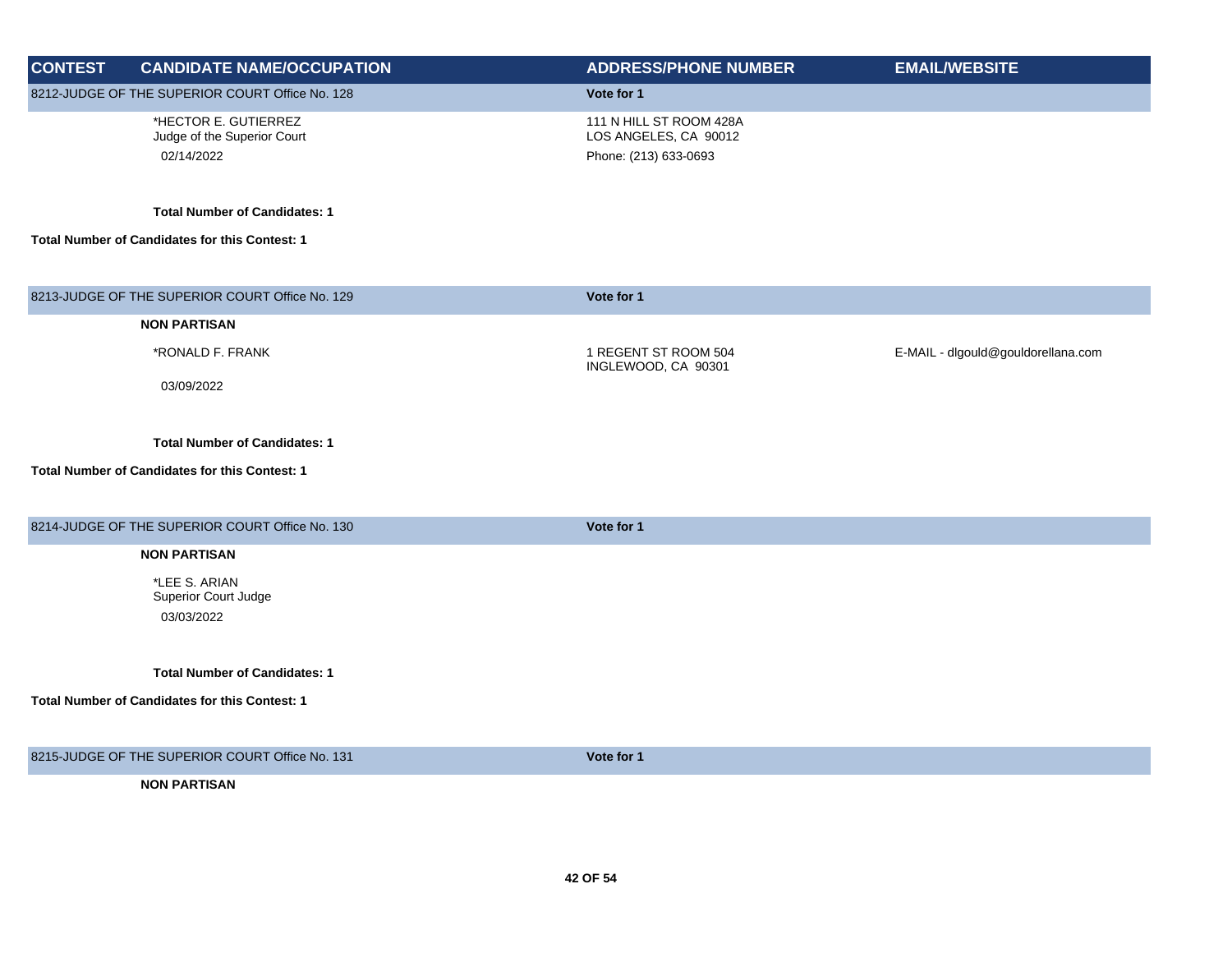| <b>CONTEST</b> | <b>CANDIDATE NAME/OCCUPATION</b>                                  | <b>ADDRESS/PHONE NUMBER</b>                                               | <b>EMAIL/WEBSITE</b>               |
|----------------|-------------------------------------------------------------------|---------------------------------------------------------------------------|------------------------------------|
|                | 8212-JUDGE OF THE SUPERIOR COURT Office No. 128                   | Vote for 1                                                                |                                    |
|                | *HECTOR E. GUTIERREZ<br>Judge of the Superior Court<br>02/14/2022 | 111 N HILL ST ROOM 428A<br>LOS ANGELES, CA 90012<br>Phone: (213) 633-0693 |                                    |
|                | <b>Total Number of Candidates: 1</b>                              |                                                                           |                                    |
|                | Total Number of Candidates for this Contest: 1                    |                                                                           |                                    |
|                | 8213-JUDGE OF THE SUPERIOR COURT Office No. 129                   | Vote for 1                                                                |                                    |
|                | <b>NON PARTISAN</b>                                               |                                                                           |                                    |
|                | *RONALD F. FRANK                                                  | 1 REGENT ST ROOM 504<br>INGLEWOOD, CA 90301                               | E-MAIL - dlgould@gouldorellana.com |
|                | 03/09/2022                                                        |                                                                           |                                    |
|                | <b>Total Number of Candidates: 1</b>                              |                                                                           |                                    |
|                | Total Number of Candidates for this Contest: 1                    |                                                                           |                                    |
|                | 8214-JUDGE OF THE SUPERIOR COURT Office No. 130                   | Vote for 1                                                                |                                    |
|                | <b>NON PARTISAN</b>                                               |                                                                           |                                    |
|                | *LEE S. ARIAN<br>Superior Court Judge<br>03/03/2022               |                                                                           |                                    |
|                | <b>Total Number of Candidates: 1</b>                              |                                                                           |                                    |
|                | Total Number of Candidates for this Contest: 1                    |                                                                           |                                    |
|                | 8215-JUDGE OF THE SUPERIOR COURT Office No. 131                   | Vote for 1                                                                |                                    |
|                | <b>NON PARTISAN</b>                                               |                                                                           |                                    |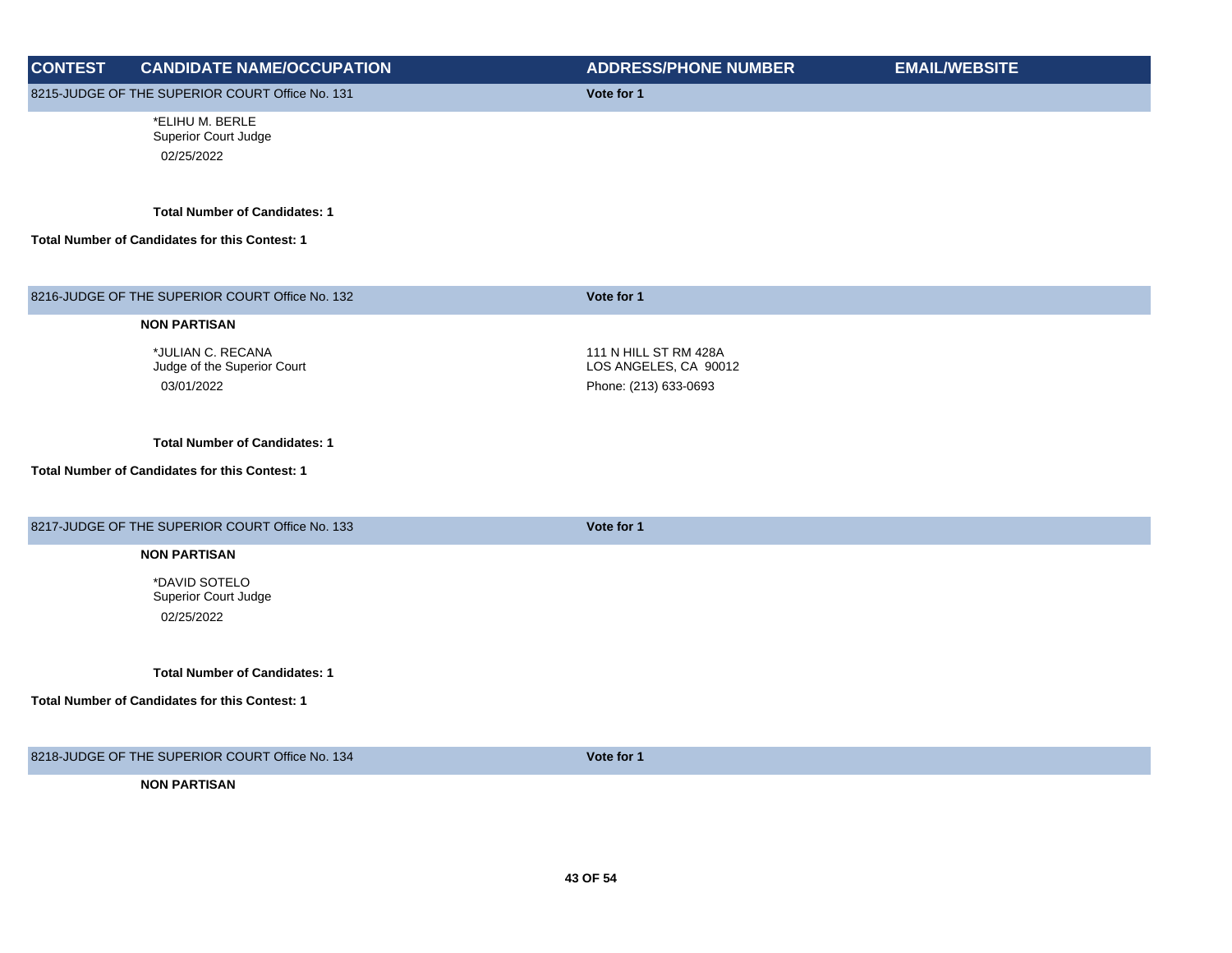| <b>CONTEST</b> | <b>CANDIDATE NAME/OCCUPATION</b>                                                       | <b>ADDRESS/PHONE NUMBER</b>                    | <b>EMAIL/WEBSITE</b> |
|----------------|----------------------------------------------------------------------------------------|------------------------------------------------|----------------------|
|                | 8215-JUDGE OF THE SUPERIOR COURT Office No. 131                                        | Vote for 1                                     |                      |
|                | *ELIHU M. BERLE<br>Superior Court Judge<br>02/25/2022                                  |                                                |                      |
|                | <b>Total Number of Candidates: 1</b><br>Total Number of Candidates for this Contest: 1 |                                                |                      |
|                |                                                                                        |                                                |                      |
|                | 8216-JUDGE OF THE SUPERIOR COURT Office No. 132                                        | Vote for 1                                     |                      |
|                | <b>NON PARTISAN</b>                                                                    |                                                |                      |
|                | *JULIAN C. RECANA<br>Judge of the Superior Court                                       | 111 N HILL ST RM 428A<br>LOS ANGELES, CA 90012 |                      |
|                | 03/01/2022                                                                             | Phone: (213) 633-0693                          |                      |
|                | <b>Total Number of Candidates: 1</b>                                                   |                                                |                      |
|                | Total Number of Candidates for this Contest: 1                                         |                                                |                      |
|                | 8217-JUDGE OF THE SUPERIOR COURT Office No. 133                                        | Vote for 1                                     |                      |
|                | <b>NON PARTISAN</b>                                                                    |                                                |                      |
|                | *DAVID SOTELO<br>Superior Court Judge                                                  |                                                |                      |
|                | 02/25/2022                                                                             |                                                |                      |
|                | <b>Total Number of Candidates: 1</b>                                                   |                                                |                      |
|                | Total Number of Candidates for this Contest: 1                                         |                                                |                      |
|                | 8218-JUDGE OF THE SUPERIOR COURT Office No. 134                                        | Vote for 1                                     |                      |
|                | <b>NON PARTISAN</b>                                                                    |                                                |                      |
|                |                                                                                        |                                                |                      |
|                |                                                                                        |                                                |                      |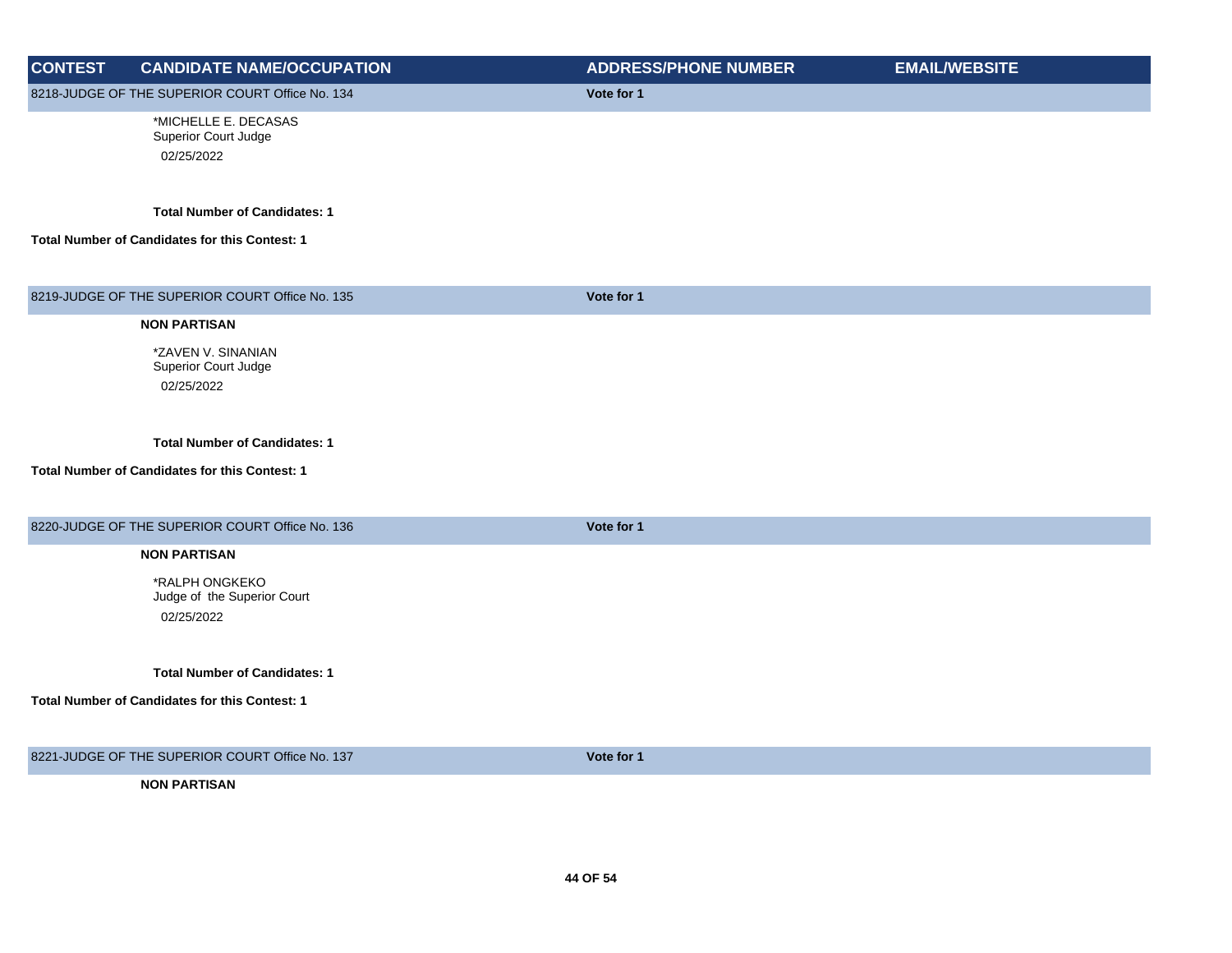| <b>CONTEST</b> | <b>CANDIDATE NAME/OCCUPATION</b>                                                       | <b>ADDRESS/PHONE NUMBER</b> | <b>EMAIL/WEBSITE</b> |
|----------------|----------------------------------------------------------------------------------------|-----------------------------|----------------------|
|                | 8218-JUDGE OF THE SUPERIOR COURT Office No. 134                                        | Vote for 1                  |                      |
|                | *MICHELLE E. DECASAS<br>Superior Court Judge<br>02/25/2022                             |                             |                      |
|                | <b>Total Number of Candidates: 1</b><br>Total Number of Candidates for this Contest: 1 |                             |                      |
|                | 8219-JUDGE OF THE SUPERIOR COURT Office No. 135                                        | Vote for 1                  |                      |
|                | <b>NON PARTISAN</b>                                                                    |                             |                      |
|                | *ZAVEN V. SINANIAN<br>Superior Court Judge<br>02/25/2022                               |                             |                      |
|                | <b>Total Number of Candidates: 1</b>                                                   |                             |                      |
|                | Total Number of Candidates for this Contest: 1                                         |                             |                      |
|                | 8220-JUDGE OF THE SUPERIOR COURT Office No. 136                                        | Vote for 1                  |                      |
|                | <b>NON PARTISAN</b>                                                                    |                             |                      |
|                | *RALPH ONGKEKO<br>Judge of the Superior Court<br>02/25/2022                            |                             |                      |
|                | <b>Total Number of Candidates: 1</b>                                                   |                             |                      |
|                | Total Number of Candidates for this Contest: 1                                         |                             |                      |
|                | 8221-JUDGE OF THE SUPERIOR COURT Office No. 137                                        | Vote for 1                  |                      |
|                | <b>NON PARTISAN</b>                                                                    |                             |                      |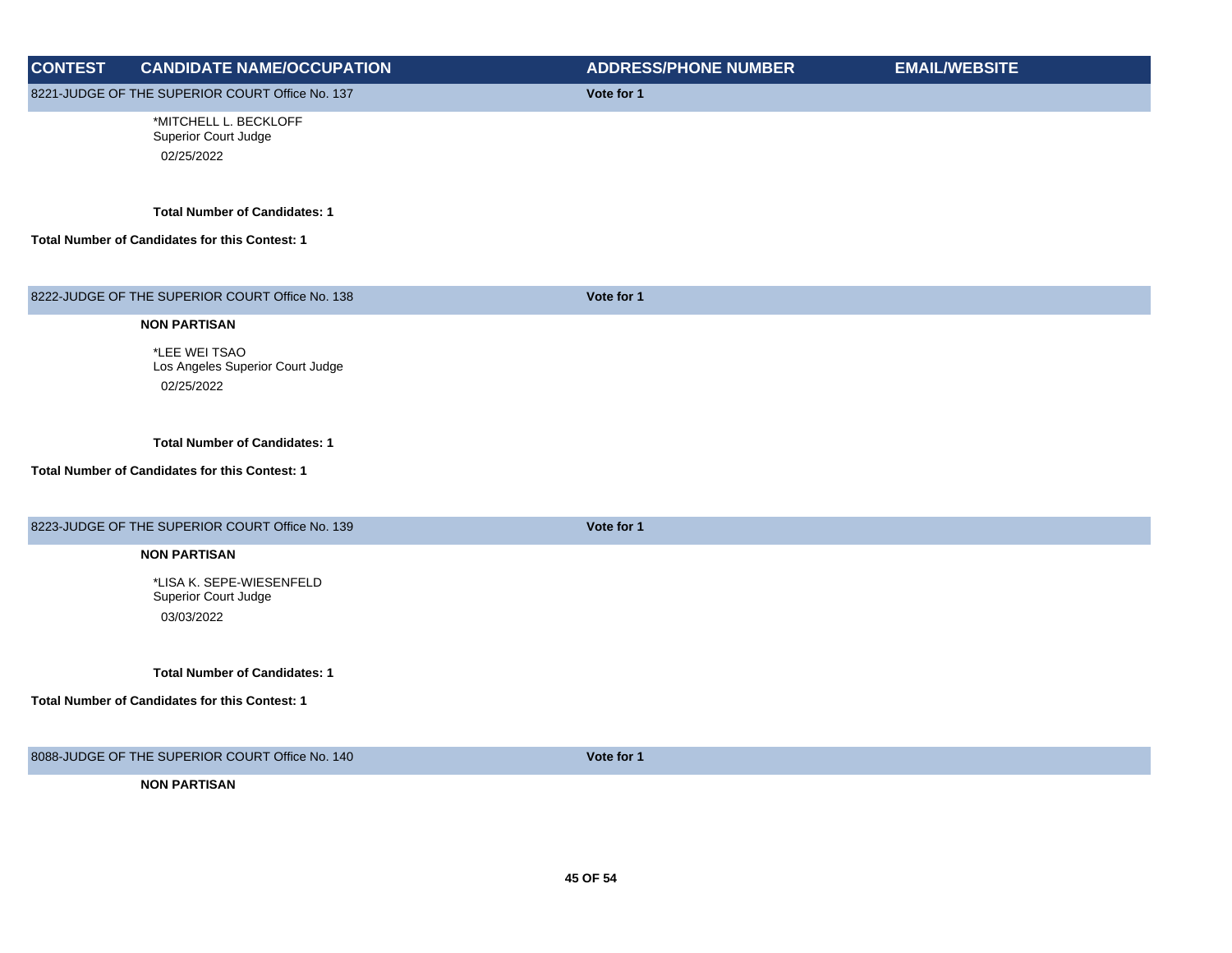| <b>CONTEST</b> | <b>CANDIDATE NAME/OCCUPATION</b>                                                       | <b>ADDRESS/PHONE NUMBER</b> | <b>EMAIL/WEBSITE</b> |
|----------------|----------------------------------------------------------------------------------------|-----------------------------|----------------------|
|                | 8221-JUDGE OF THE SUPERIOR COURT Office No. 137                                        | Vote for 1                  |                      |
|                | *MITCHELL L. BECKLOFF<br>Superior Court Judge<br>02/25/2022                            |                             |                      |
|                | <b>Total Number of Candidates: 1</b><br>Total Number of Candidates for this Contest: 1 |                             |                      |
|                | 8222-JUDGE OF THE SUPERIOR COURT Office No. 138                                        | Vote for 1                  |                      |
|                | <b>NON PARTISAN</b>                                                                    |                             |                      |
|                | *LEE WEI TSAO<br>Los Angeles Superior Court Judge<br>02/25/2022                        |                             |                      |
|                | <b>Total Number of Candidates: 1</b>                                                   |                             |                      |
|                | <b>Total Number of Candidates for this Contest: 1</b>                                  |                             |                      |
|                | 8223-JUDGE OF THE SUPERIOR COURT Office No. 139                                        | Vote for 1                  |                      |
|                | <b>NON PARTISAN</b>                                                                    |                             |                      |
|                | *LISA K. SEPE-WIESENFELD<br>Superior Court Judge<br>03/03/2022                         |                             |                      |
|                | <b>Total Number of Candidates: 1</b>                                                   |                             |                      |
|                | <b>Total Number of Candidates for this Contest: 1</b>                                  |                             |                      |
|                | 8088-JUDGE OF THE SUPERIOR COURT Office No. 140                                        | Vote for 1                  |                      |
|                | <b>NON PARTISAN</b>                                                                    |                             |                      |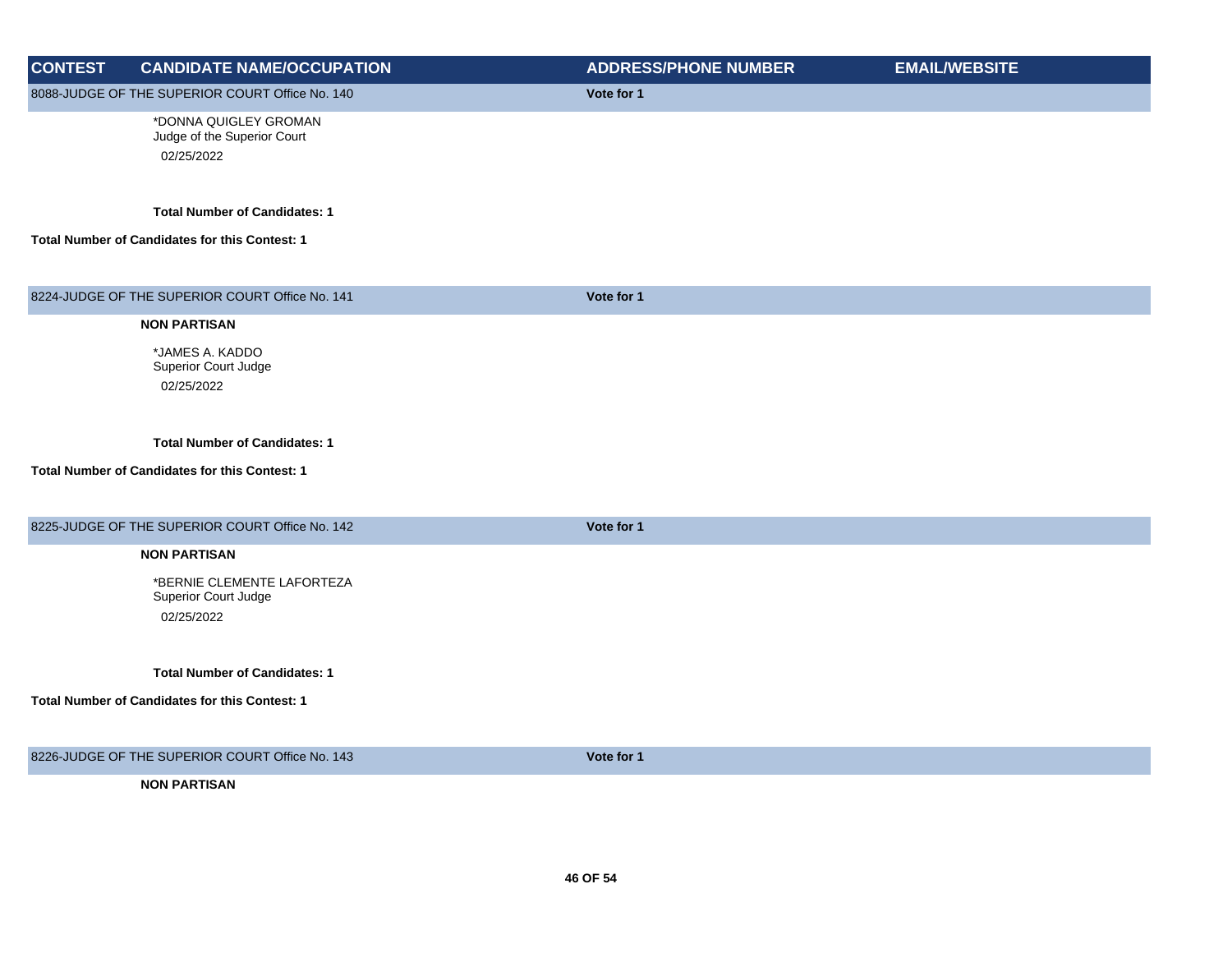| <b>CONTEST</b> | <b>CANDIDATE NAME/OCCUPATION</b>                                   | <b>ADDRESS/PHONE NUMBER</b> | <b>EMAIL/WEBSITE</b> |
|----------------|--------------------------------------------------------------------|-----------------------------|----------------------|
|                | 8088-JUDGE OF THE SUPERIOR COURT Office No. 140                    | Vote for 1                  |                      |
|                | *DONNA QUIGLEY GROMAN<br>Judge of the Superior Court<br>02/25/2022 |                             |                      |
|                | <b>Total Number of Candidates: 1</b>                               |                             |                      |
|                | Total Number of Candidates for this Contest: 1                     |                             |                      |
|                | 8224-JUDGE OF THE SUPERIOR COURT Office No. 141                    | Vote for 1                  |                      |
|                | <b>NON PARTISAN</b>                                                |                             |                      |
|                | *JAMES A. KADDO                                                    |                             |                      |
|                | Superior Court Judge<br>02/25/2022                                 |                             |                      |
|                |                                                                    |                             |                      |
|                | <b>Total Number of Candidates: 1</b>                               |                             |                      |
|                | Total Number of Candidates for this Contest: 1                     |                             |                      |
|                | 8225-JUDGE OF THE SUPERIOR COURT Office No. 142                    | Vote for 1                  |                      |
|                | <b>NON PARTISAN</b>                                                |                             |                      |
|                | *BERNIE CLEMENTE LAFORTEZA<br>Superior Court Judge                 |                             |                      |
|                | 02/25/2022                                                         |                             |                      |
|                | <b>Total Number of Candidates: 1</b>                               |                             |                      |
|                | Total Number of Candidates for this Contest: 1                     |                             |                      |
|                | 8226-JUDGE OF THE SUPERIOR COURT Office No. 143                    | Vote for 1                  |                      |
|                | <b>NON PARTISAN</b>                                                |                             |                      |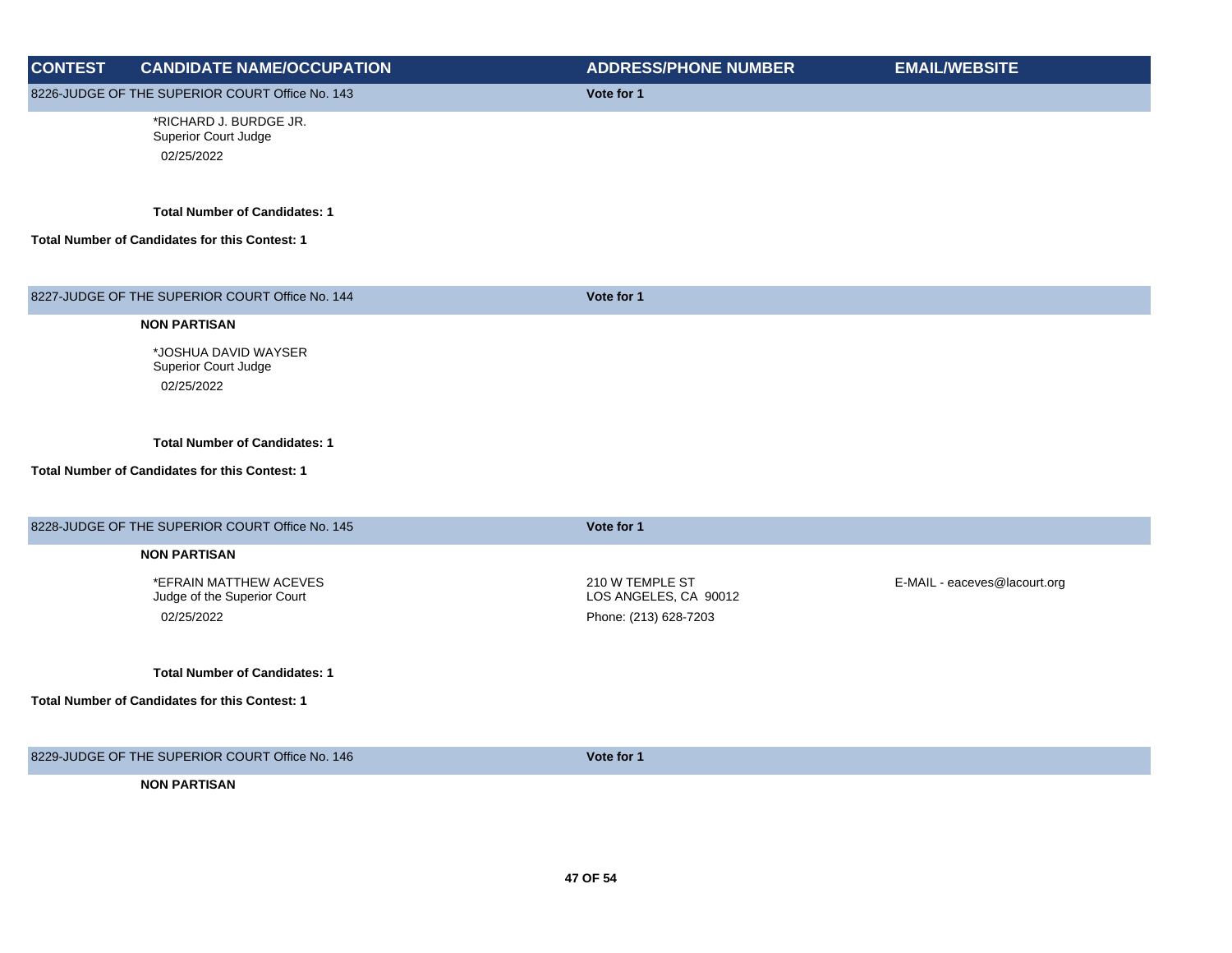| <b>CONTEST</b> | <b>CANDIDATE NAME/OCCUPATION</b>                             | <b>ADDRESS/PHONE NUMBER</b>              | <b>EMAIL/WEBSITE</b>         |
|----------------|--------------------------------------------------------------|------------------------------------------|------------------------------|
|                | 8226-JUDGE OF THE SUPERIOR COURT Office No. 143              | Vote for 1                               |                              |
|                | *RICHARD J. BURDGE JR.<br>Superior Court Judge<br>02/25/2022 |                                          |                              |
|                |                                                              |                                          |                              |
|                | <b>Total Number of Candidates: 1</b>                         |                                          |                              |
|                | Total Number of Candidates for this Contest: 1               |                                          |                              |
|                | 8227-JUDGE OF THE SUPERIOR COURT Office No. 144              | Vote for 1                               |                              |
|                | <b>NON PARTISAN</b>                                          |                                          |                              |
|                | *JOSHUA DAVID WAYSER                                         |                                          |                              |
|                | Superior Court Judge<br>02/25/2022                           |                                          |                              |
|                |                                                              |                                          |                              |
|                | <b>Total Number of Candidates: 1</b>                         |                                          |                              |
|                | Total Number of Candidates for this Contest: 1               |                                          |                              |
|                | 8228-JUDGE OF THE SUPERIOR COURT Office No. 145              | Vote for 1                               |                              |
|                | <b>NON PARTISAN</b>                                          |                                          |                              |
|                | *EFRAIN MATTHEW ACEVES<br>Judge of the Superior Court        | 210 W TEMPLE ST<br>LOS ANGELES, CA 90012 | E-MAIL - eaceves@lacourt.org |
|                | 02/25/2022                                                   | Phone: (213) 628-7203                    |                              |
|                |                                                              |                                          |                              |
|                | <b>Total Number of Candidates: 1</b>                         |                                          |                              |
|                | Total Number of Candidates for this Contest: 1               |                                          |                              |
|                | 8229-JUDGE OF THE SUPERIOR COURT Office No. 146              | Vote for 1                               |                              |
|                | <b>NON PARTISAN</b>                                          |                                          |                              |
|                |                                                              |                                          |                              |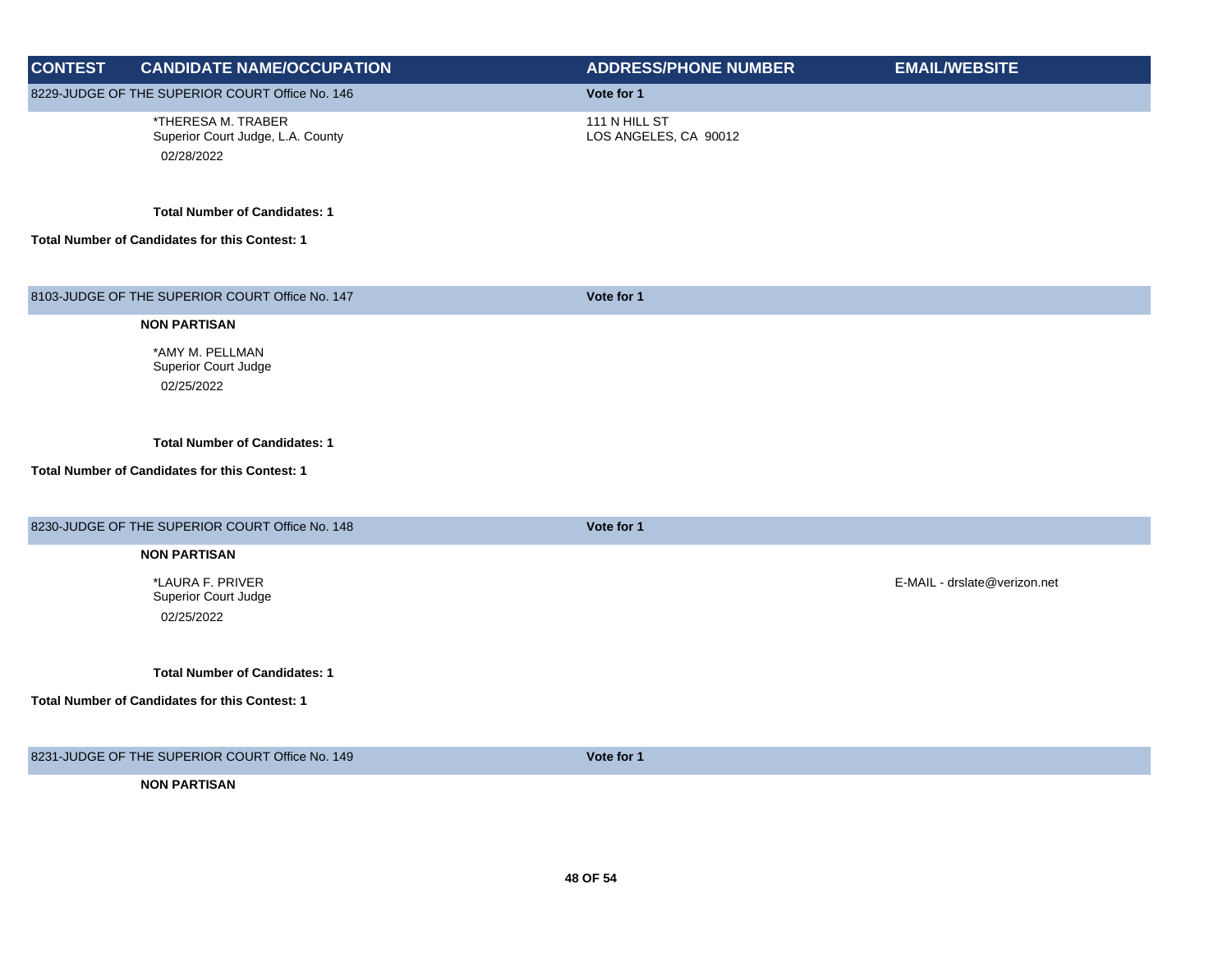| <b>CONTEST</b> | <b>CANDIDATE NAME/OCCUPATION</b>                                      | <b>ADDRESS/PHONE NUMBER</b>            | <b>EMAIL/WEBSITE</b>         |
|----------------|-----------------------------------------------------------------------|----------------------------------------|------------------------------|
|                | 8229-JUDGE OF THE SUPERIOR COURT Office No. 146                       | Vote for 1                             |                              |
|                | *THERESA M. TRABER<br>Superior Court Judge, L.A. County<br>02/28/2022 | 111 N HILL ST<br>LOS ANGELES, CA 90012 |                              |
|                | <b>Total Number of Candidates: 1</b>                                  |                                        |                              |
|                | Total Number of Candidates for this Contest: 1                        |                                        |                              |
|                | 8103-JUDGE OF THE SUPERIOR COURT Office No. 147                       | Vote for 1                             |                              |
|                | <b>NON PARTISAN</b>                                                   |                                        |                              |
|                | *AMY M. PELLMAN<br>Superior Court Judge<br>02/25/2022                 |                                        |                              |
|                | <b>Total Number of Candidates: 1</b>                                  |                                        |                              |
|                | Total Number of Candidates for this Contest: 1                        |                                        |                              |
|                | 8230-JUDGE OF THE SUPERIOR COURT Office No. 148                       | Vote for 1                             |                              |
|                | <b>NON PARTISAN</b>                                                   |                                        |                              |
|                | *LAURA F. PRIVER<br><b>Superior Court Judge</b><br>02/25/2022         |                                        | E-MAIL - drslate@verizon.net |
|                | <b>Total Number of Candidates: 1</b>                                  |                                        |                              |
|                | Total Number of Candidates for this Contest: 1                        |                                        |                              |
|                | 8231-JUDGE OF THE SUPERIOR COURT Office No. 149                       | Vote for 1                             |                              |
|                | <b>NON PARTISAN</b>                                                   |                                        |                              |
|                |                                                                       |                                        |                              |
|                |                                                                       |                                        |                              |
|                |                                                                       |                                        |                              |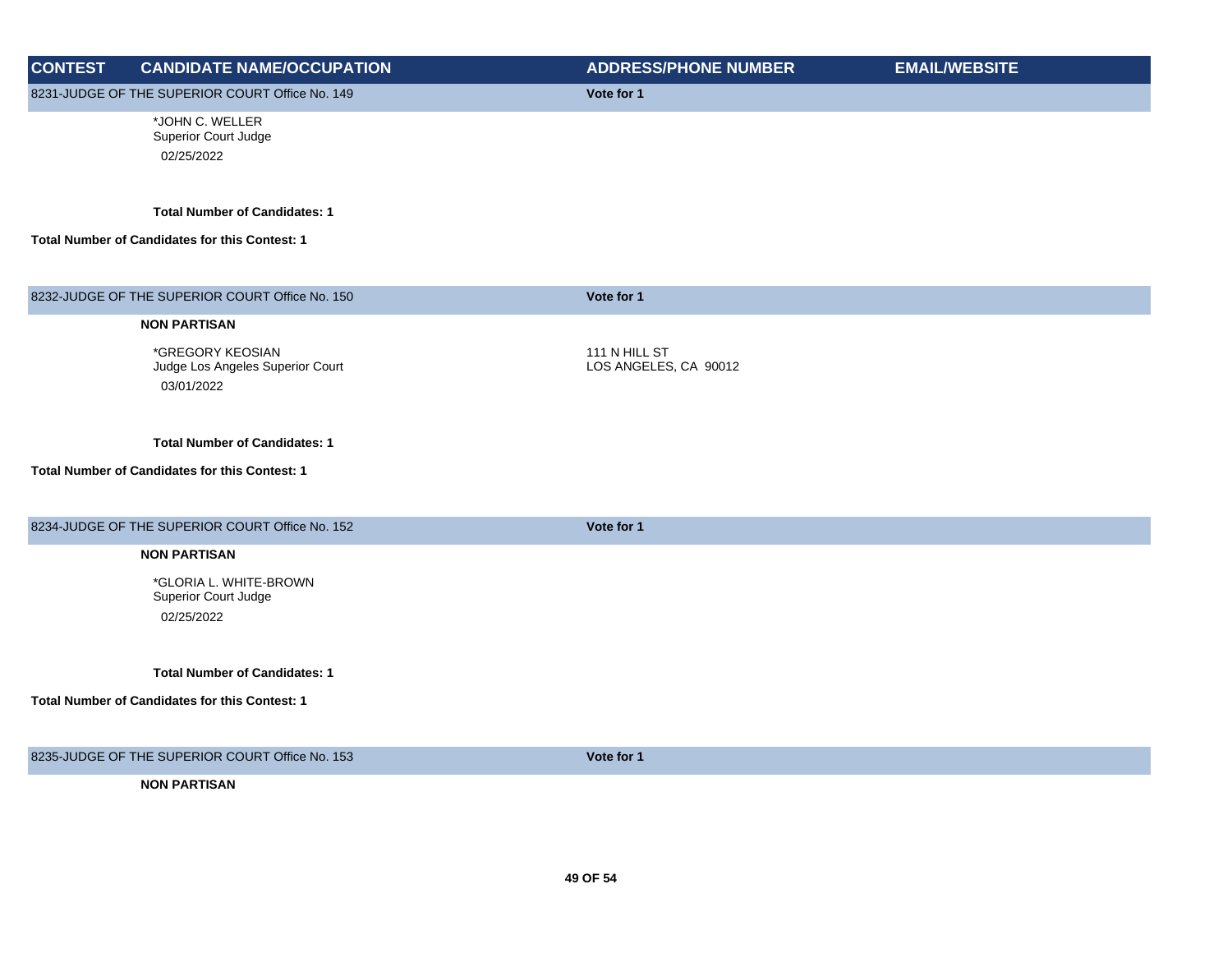| <b>CONTEST</b> | <b>CANDIDATE NAME/OCCUPATION</b>                                                       | <b>ADDRESS/PHONE NUMBER</b>            | <b>EMAIL/WEBSITE</b> |
|----------------|----------------------------------------------------------------------------------------|----------------------------------------|----------------------|
|                | 8231-JUDGE OF THE SUPERIOR COURT Office No. 149                                        | Vote for 1                             |                      |
|                | *JOHN C. WELLER<br>Superior Court Judge<br>02/25/2022                                  |                                        |                      |
|                | <b>Total Number of Candidates: 1</b><br>Total Number of Candidates for this Contest: 1 |                                        |                      |
|                | 8232-JUDGE OF THE SUPERIOR COURT Office No. 150                                        | Vote for 1                             |                      |
|                | <b>NON PARTISAN</b>                                                                    |                                        |                      |
|                | *GREGORY KEOSIAN<br>Judge Los Angeles Superior Court<br>03/01/2022                     | 111 N HILL ST<br>LOS ANGELES, CA 90012 |                      |
|                | <b>Total Number of Candidates: 1</b><br>Total Number of Candidates for this Contest: 1 |                                        |                      |
|                |                                                                                        |                                        |                      |
|                | 8234-JUDGE OF THE SUPERIOR COURT Office No. 152                                        | Vote for 1                             |                      |
|                | <b>NON PARTISAN</b>                                                                    |                                        |                      |
|                | *GLORIA L. WHITE-BROWN<br>Superior Court Judge                                         |                                        |                      |
|                | 02/25/2022                                                                             |                                        |                      |
|                | <b>Total Number of Candidates: 1</b>                                                   |                                        |                      |
|                | Total Number of Candidates for this Contest: 1                                         |                                        |                      |
|                | 8235-JUDGE OF THE SUPERIOR COURT Office No. 153                                        | Vote for 1                             |                      |
|                | <b>NON PARTISAN</b>                                                                    |                                        |                      |
|                |                                                                                        |                                        |                      |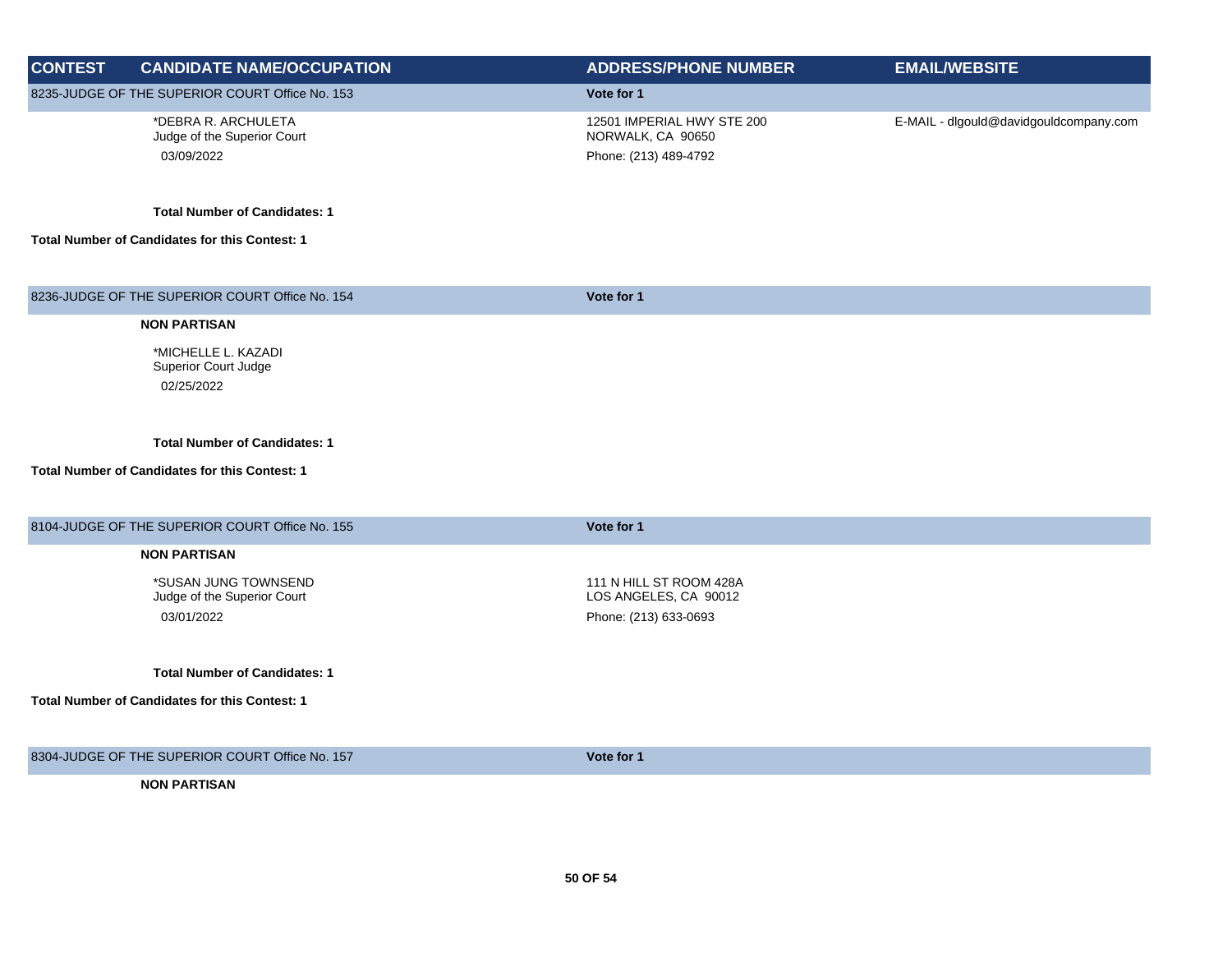| <b>CONTEST</b> | <b>CANDIDATE NAME/OCCUPATION</b>                      | <b>ADDRESS/PHONE NUMBER</b>                      | <b>EMAIL/WEBSITE</b>                   |
|----------------|-------------------------------------------------------|--------------------------------------------------|----------------------------------------|
|                |                                                       |                                                  |                                        |
|                | 8235-JUDGE OF THE SUPERIOR COURT Office No. 153       | Vote for 1                                       |                                        |
|                | *DEBRA R. ARCHULETA<br>Judge of the Superior Court    | 12501 IMPERIAL HWY STE 200<br>NORWALK, CA 90650  | E-MAIL - dlgould@davidgouldcompany.com |
|                | 03/09/2022                                            | Phone: (213) 489-4792                            |                                        |
|                |                                                       |                                                  |                                        |
|                | <b>Total Number of Candidates: 1</b>                  |                                                  |                                        |
|                | <b>Total Number of Candidates for this Contest: 1</b> |                                                  |                                        |
|                |                                                       |                                                  |                                        |
|                | 8236-JUDGE OF THE SUPERIOR COURT Office No. 154       | Vote for 1                                       |                                        |
|                | <b>NON PARTISAN</b>                                   |                                                  |                                        |
|                | *MICHELLE L. KAZADI<br><b>Superior Court Judge</b>    |                                                  |                                        |
|                | 02/25/2022                                            |                                                  |                                        |
|                |                                                       |                                                  |                                        |
|                | <b>Total Number of Candidates: 1</b>                  |                                                  |                                        |
|                | Total Number of Candidates for this Contest: 1        |                                                  |                                        |
|                |                                                       |                                                  |                                        |
|                | 8104-JUDGE OF THE SUPERIOR COURT Office No. 155       | Vote for 1                                       |                                        |
|                |                                                       |                                                  |                                        |
|                | <b>NON PARTISAN</b>                                   |                                                  |                                        |
|                | *SUSAN JUNG TOWNSEND<br>Judge of the Superior Court   | 111 N HILL ST ROOM 428A<br>LOS ANGELES, CA 90012 |                                        |
|                | 03/01/2022                                            | Phone: (213) 633-0693                            |                                        |
|                |                                                       |                                                  |                                        |
|                | <b>Total Number of Candidates: 1</b>                  |                                                  |                                        |
|                | <b>Total Number of Candidates for this Contest: 1</b> |                                                  |                                        |
|                |                                                       |                                                  |                                        |
|                | 8304-JUDGE OF THE SUPERIOR COURT Office No. 157       |                                                  |                                        |
|                |                                                       | Vote for 1                                       |                                        |
|                | <b>NON PARTISAN</b>                                   |                                                  |                                        |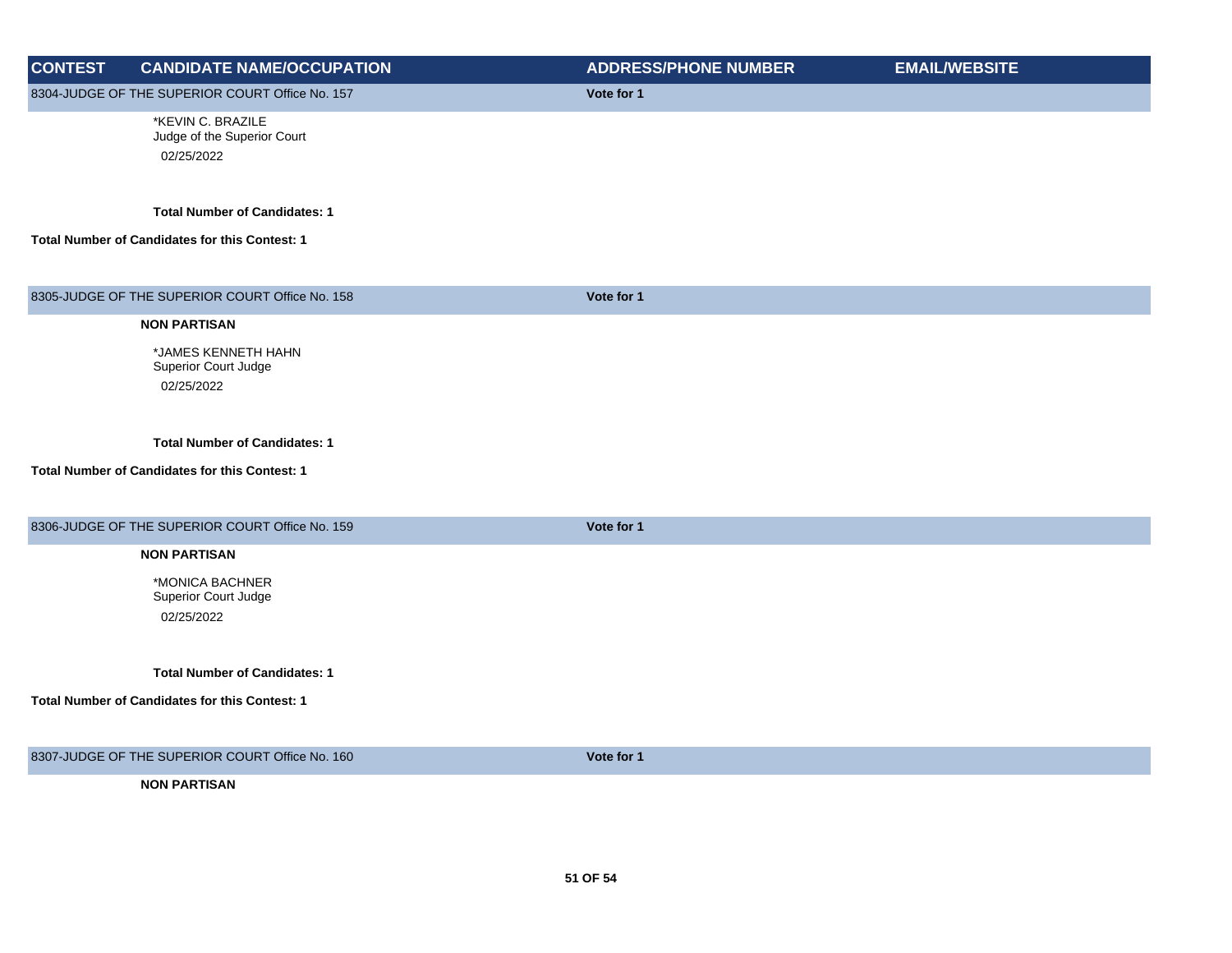| <b>CONTEST</b> | <b>CANDIDATE NAME/OCCUPATION</b>                               | <b>ADDRESS/PHONE NUMBER</b> | <b>EMAIL/WEBSITE</b> |
|----------------|----------------------------------------------------------------|-----------------------------|----------------------|
|                | 8304-JUDGE OF THE SUPERIOR COURT Office No. 157                | Vote for 1                  |                      |
|                | *KEVIN C. BRAZILE<br>Judge of the Superior Court<br>02/25/2022 |                             |                      |
|                | <b>Total Number of Candidates: 1</b>                           |                             |                      |
|                | Total Number of Candidates for this Contest: 1                 |                             |                      |
|                | 8305-JUDGE OF THE SUPERIOR COURT Office No. 158                | Vote for 1                  |                      |
|                | <b>NON PARTISAN</b>                                            |                             |                      |
|                | *JAMES KENNETH HAHN<br>Superior Court Judge                    |                             |                      |
|                | 02/25/2022                                                     |                             |                      |
|                | <b>Total Number of Candidates: 1</b>                           |                             |                      |
|                | <b>Total Number of Candidates for this Contest: 1</b>          |                             |                      |
|                | 8306-JUDGE OF THE SUPERIOR COURT Office No. 159                | Vote for 1                  |                      |
|                | <b>NON PARTISAN</b>                                            |                             |                      |
|                | *MONICA BACHNER<br>Superior Court Judge                        |                             |                      |
|                | 02/25/2022                                                     |                             |                      |
|                | <b>Total Number of Candidates: 1</b>                           |                             |                      |
|                | Total Number of Candidates for this Contest: 1                 |                             |                      |
|                | 8307-JUDGE OF THE SUPERIOR COURT Office No. 160                | Vote for 1                  |                      |
|                | <b>NON PARTISAN</b>                                            |                             |                      |
|                |                                                                |                             |                      |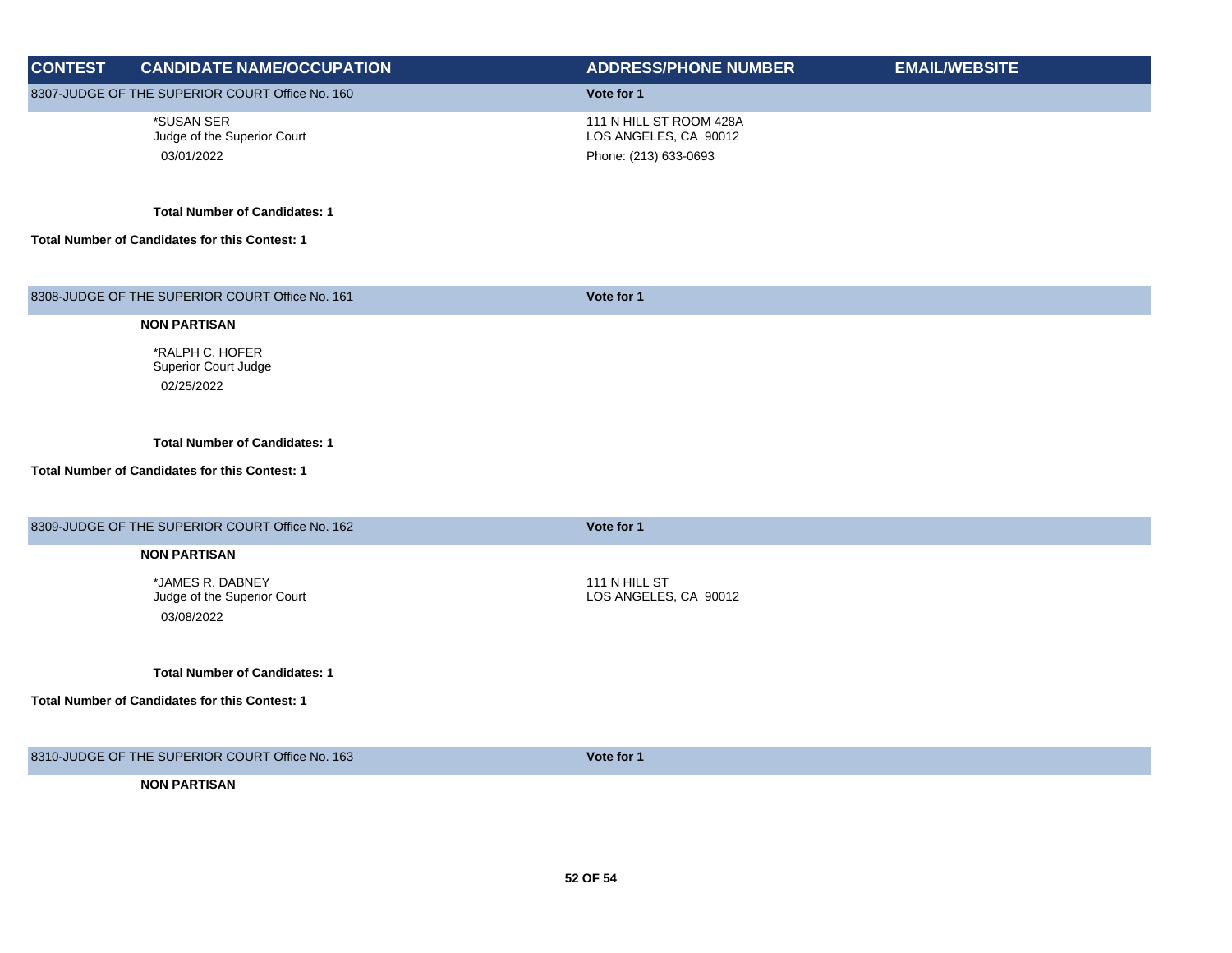| <b>CONTEST</b>                                  | <b>CANDIDATE NAME/OCCUPATION</b>                | <b>ADDRESS/PHONE NUMBER</b>                      | <b>EMAIL/WEBSITE</b> |
|-------------------------------------------------|-------------------------------------------------|--------------------------------------------------|----------------------|
| 8307-JUDGE OF THE SUPERIOR COURT Office No. 160 |                                                 | Vote for 1                                       |                      |
|                                                 | *SUSAN SER<br>Judge of the Superior Court       | 111 N HILL ST ROOM 428A<br>LOS ANGELES, CA 90012 |                      |
|                                                 | 03/01/2022                                      | Phone: (213) 633-0693                            |                      |
|                                                 |                                                 |                                                  |                      |
|                                                 | <b>Total Number of Candidates: 1</b>            |                                                  |                      |
|                                                 | Total Number of Candidates for this Contest: 1  |                                                  |                      |
|                                                 |                                                 |                                                  |                      |
|                                                 | 8308-JUDGE OF THE SUPERIOR COURT Office No. 161 | Vote for 1                                       |                      |
|                                                 | <b>NON PARTISAN</b>                             |                                                  |                      |
|                                                 | *RALPH C. HOFER                                 |                                                  |                      |
|                                                 | Superior Court Judge<br>02/25/2022              |                                                  |                      |
|                                                 |                                                 |                                                  |                      |
|                                                 | <b>Total Number of Candidates: 1</b>            |                                                  |                      |
|                                                 |                                                 |                                                  |                      |
|                                                 | Total Number of Candidates for this Contest: 1  |                                                  |                      |
|                                                 |                                                 |                                                  |                      |
|                                                 | 8309-JUDGE OF THE SUPERIOR COURT Office No. 162 | Vote for 1                                       |                      |
|                                                 | <b>NON PARTISAN</b>                             |                                                  |                      |
|                                                 | *JAMES R. DABNEY<br>Judge of the Superior Court | 111 N HILL ST<br>LOS ANGELES, CA 90012           |                      |
|                                                 | 03/08/2022                                      |                                                  |                      |
|                                                 |                                                 |                                                  |                      |
|                                                 | <b>Total Number of Candidates: 1</b>            |                                                  |                      |
|                                                 | Total Number of Candidates for this Contest: 1  |                                                  |                      |
|                                                 |                                                 |                                                  |                      |
|                                                 | 8310-JUDGE OF THE SUPERIOR COURT Office No. 163 | Vote for 1                                       |                      |
|                                                 | <b>NON PARTISAN</b>                             |                                                  |                      |
|                                                 |                                                 |                                                  |                      |
|                                                 |                                                 |                                                  |                      |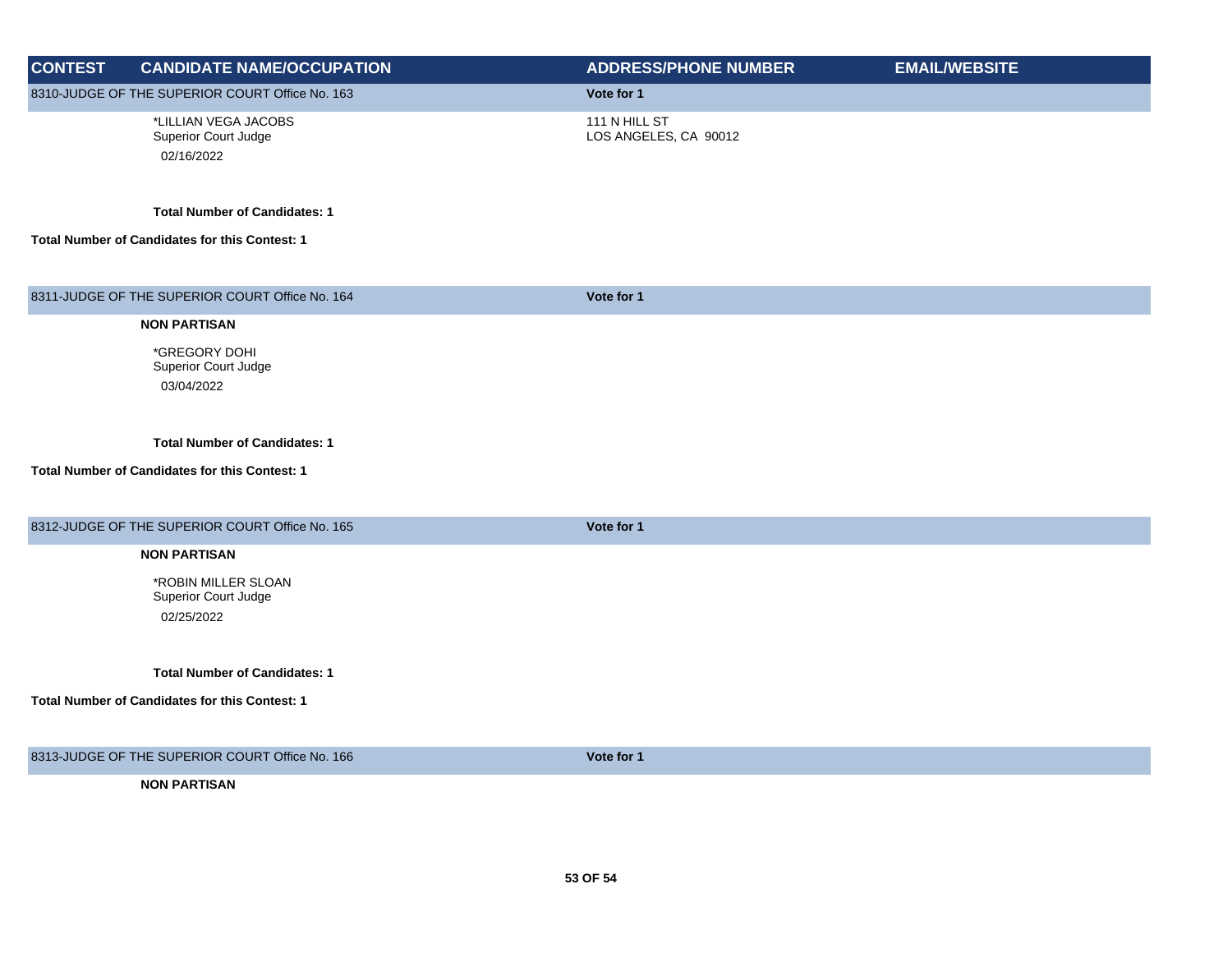| <b>CONTEST</b> | <b>CANDIDATE NAME/OCCUPATION</b>                           | <b>ADDRESS/PHONE NUMBER</b>            | <b>EMAIL/WEBSITE</b> |
|----------------|------------------------------------------------------------|----------------------------------------|----------------------|
|                | 8310-JUDGE OF THE SUPERIOR COURT Office No. 163            | Vote for 1                             |                      |
|                | *LILLIAN VEGA JACOBS<br>Superior Court Judge<br>02/16/2022 | 111 N HILL ST<br>LOS ANGELES, CA 90012 |                      |
|                | <b>Total Number of Candidates: 1</b>                       |                                        |                      |
|                | Total Number of Candidates for this Contest: 1             |                                        |                      |
|                | 8311-JUDGE OF THE SUPERIOR COURT Office No. 164            | Vote for 1                             |                      |
|                | <b>NON PARTISAN</b>                                        |                                        |                      |
|                | *GREGORY DOHI<br>Superior Court Judge<br>03/04/2022        |                                        |                      |
|                | <b>Total Number of Candidates: 1</b>                       |                                        |                      |
|                | Total Number of Candidates for this Contest: 1             |                                        |                      |
|                | 8312-JUDGE OF THE SUPERIOR COURT Office No. 165            | Vote for 1                             |                      |
|                | <b>NON PARTISAN</b>                                        |                                        |                      |
|                | *ROBIN MILLER SLOAN<br>Superior Court Judge<br>02/25/2022  |                                        |                      |
|                | <b>Total Number of Candidates: 1</b>                       |                                        |                      |
|                | Total Number of Candidates for this Contest: 1             |                                        |                      |
|                | 8313-JUDGE OF THE SUPERIOR COURT Office No. 166            | Vote for 1                             |                      |
|                | <b>NON PARTISAN</b>                                        |                                        |                      |
|                |                                                            |                                        |                      |